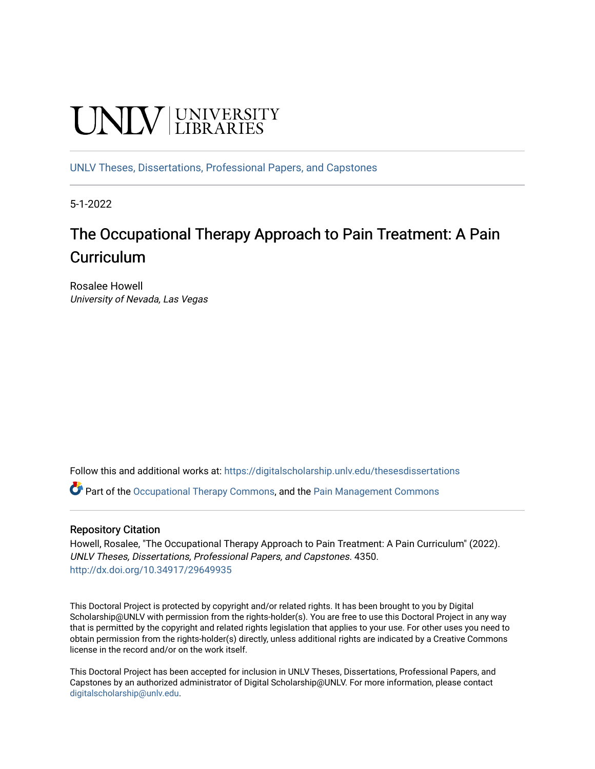# **UNIVERSITY**

[UNLV Theses, Dissertations, Professional Papers, and Capstones](https://digitalscholarship.unlv.edu/thesesdissertations)

5-1-2022

## The Occupational Therapy Approach to Pain Treatment: A Pain **Curriculum**

Rosalee Howell University of Nevada, Las Vegas

Follow this and additional works at: [https://digitalscholarship.unlv.edu/thesesdissertations](https://digitalscholarship.unlv.edu/thesesdissertations?utm_source=digitalscholarship.unlv.edu%2Fthesesdissertations%2F4350&utm_medium=PDF&utm_campaign=PDFCoverPages)

Part of the [Occupational Therapy Commons,](https://network.bepress.com/hgg/discipline/752?utm_source=digitalscholarship.unlv.edu%2Fthesesdissertations%2F4350&utm_medium=PDF&utm_campaign=PDFCoverPages) and the [Pain Management Commons](https://network.bepress.com/hgg/discipline/1274?utm_source=digitalscholarship.unlv.edu%2Fthesesdissertations%2F4350&utm_medium=PDF&utm_campaign=PDFCoverPages)

#### Repository Citation

Howell, Rosalee, "The Occupational Therapy Approach to Pain Treatment: A Pain Curriculum" (2022). UNLV Theses, Dissertations, Professional Papers, and Capstones. 4350. <http://dx.doi.org/10.34917/29649935>

This Doctoral Project is protected by copyright and/or related rights. It has been brought to you by Digital Scholarship@UNLV with permission from the rights-holder(s). You are free to use this Doctoral Project in any way that is permitted by the copyright and related rights legislation that applies to your use. For other uses you need to obtain permission from the rights-holder(s) directly, unless additional rights are indicated by a Creative Commons license in the record and/or on the work itself.

This Doctoral Project has been accepted for inclusion in UNLV Theses, Dissertations, Professional Papers, and Capstones by an authorized administrator of Digital Scholarship@UNLV. For more information, please contact [digitalscholarship@unlv.edu](mailto:digitalscholarship@unlv.edu).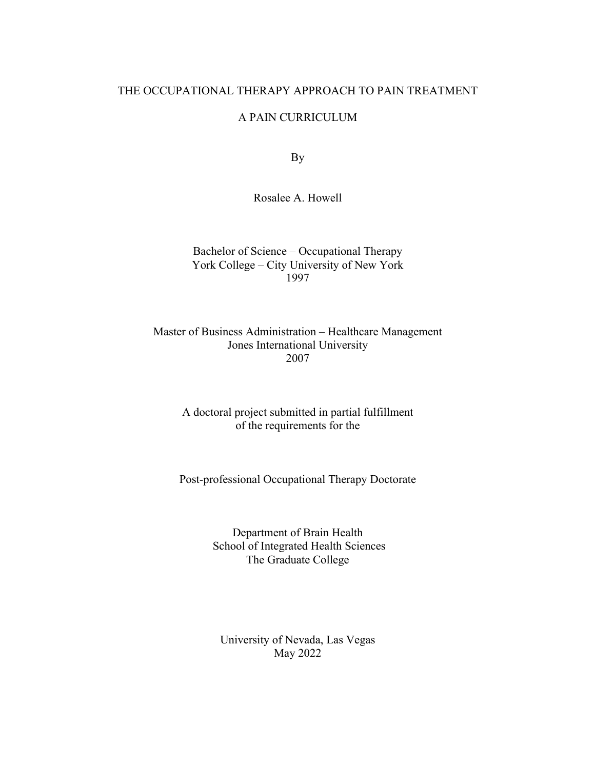#### THE OCCUPATIONAL THERAPY APPROACH TO PAIN TREATMENT

#### A PAIN CURRICULUM

By

Rosalee A. Howell

Bachelor of Science – Occupational Therapy York College – City University of New York 1997

Master of Business Administration – Healthcare Management Jones International University 2007

> A doctoral project submitted in partial fulfillment of the requirements for the

Post-professional Occupational Therapy Doctorate

Department of Brain Health School of Integrated Health Sciences The Graduate College

University of Nevada, Las Vegas May 2022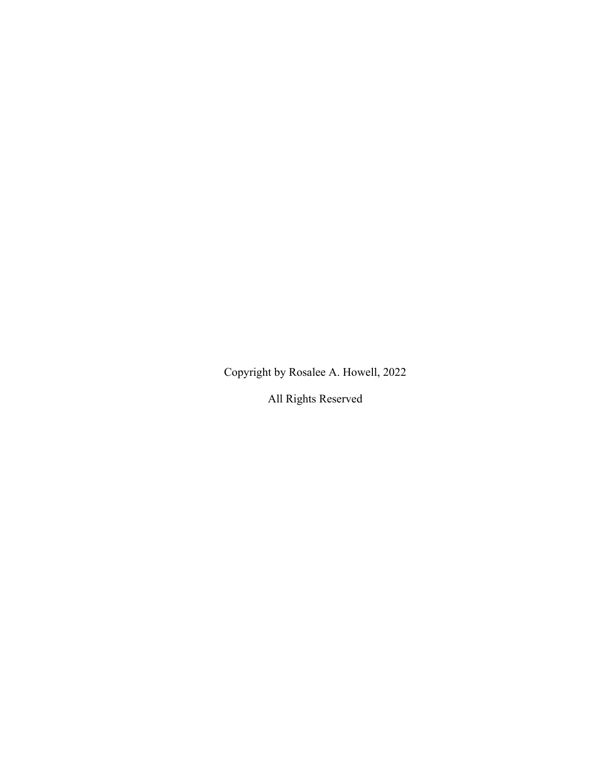Copyright by Rosalee A. Howell, 2022

All Rights Reserved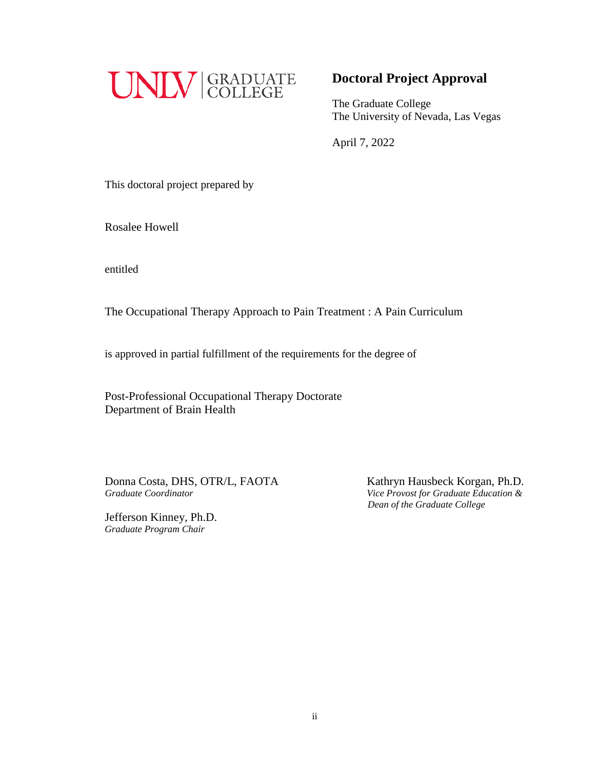

### **Doctoral Project Approval**

The Graduate College The University of Nevada, Las Vegas

April 7, 2022

This doctoral project prepared by

Rosalee Howell

entitled

The Occupational Therapy Approach to Pain Treatment : A Pain Curriculum

is approved in partial fulfillment of the requirements for the degree of

Post-Professional Occupational Therapy Doctorate Department of Brain Health

 Donna Costa, DHS, OTR/L, FAOTAKathryn Hausbeck Korgan, Ph.D. *Graduate Coordinator Vice Provost for Graduate Education &* 

Jefferson Kinney, Ph.D. *Graduate Program Chair*

 *Dean of the Graduate College*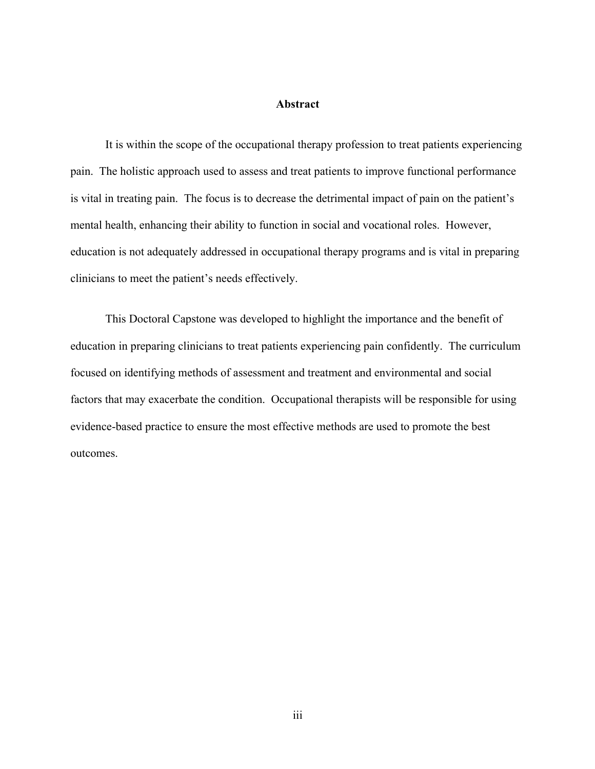#### **Abstract**

It is within the scope of the occupational therapy profession to treat patients experiencing pain. The holistic approach used to assess and treat patients to improve functional performance is vital in treating pain. The focus is to decrease the detrimental impact of pain on the patient's mental health, enhancing their ability to function in social and vocational roles. However, education is not adequately addressed in occupational therapy programs and is vital in preparing clinicians to meet the patient's needs effectively.

This Doctoral Capstone was developed to highlight the importance and the benefit of education in preparing clinicians to treat patients experiencing pain confidently. The curriculum focused on identifying methods of assessment and treatment and environmental and social factors that may exacerbate the condition. Occupational therapists will be responsible for using evidence-based practice to ensure the most effective methods are used to promote the best outcomes.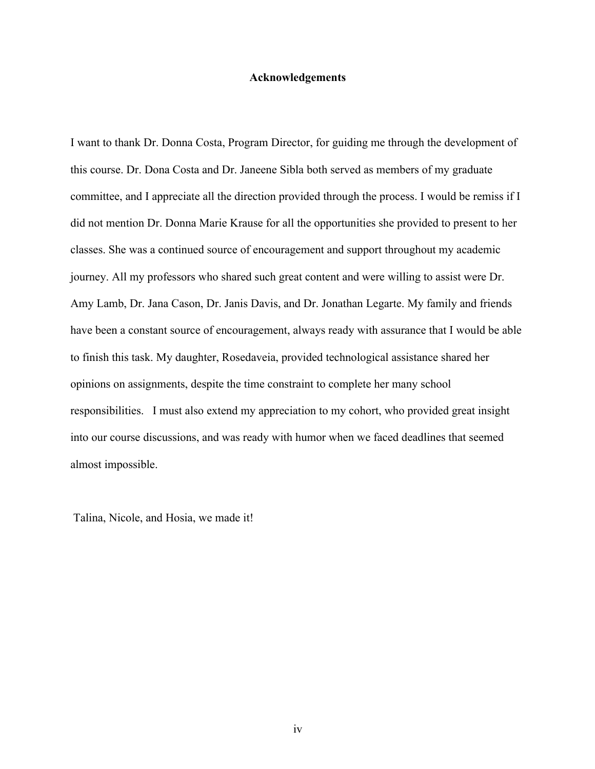#### **Acknowledgements**

I want to thank Dr. Donna Costa, Program Director, for guiding me through the development of this course. Dr. Dona Costa and Dr. Janeene Sibla both served as members of my graduate committee, and I appreciate all the direction provided through the process. I would be remiss if I did not mention Dr. Donna Marie Krause for all the opportunities she provided to present to her classes. She was a continued source of encouragement and support throughout my academic journey. All my professors who shared such great content and were willing to assist were Dr. Amy Lamb, Dr. Jana Cason, Dr. Janis Davis, and Dr. Jonathan Legarte. My family and friends have been a constant source of encouragement, always ready with assurance that I would be able to finish this task. My daughter, Rosedaveia, provided technological assistance shared her opinions on assignments, despite the time constraint to complete her many school responsibilities. I must also extend my appreciation to my cohort, who provided great insight into our course discussions, and was ready with humor when we faced deadlines that seemed almost impossible.

Talina, Nicole, and Hosia, we made it!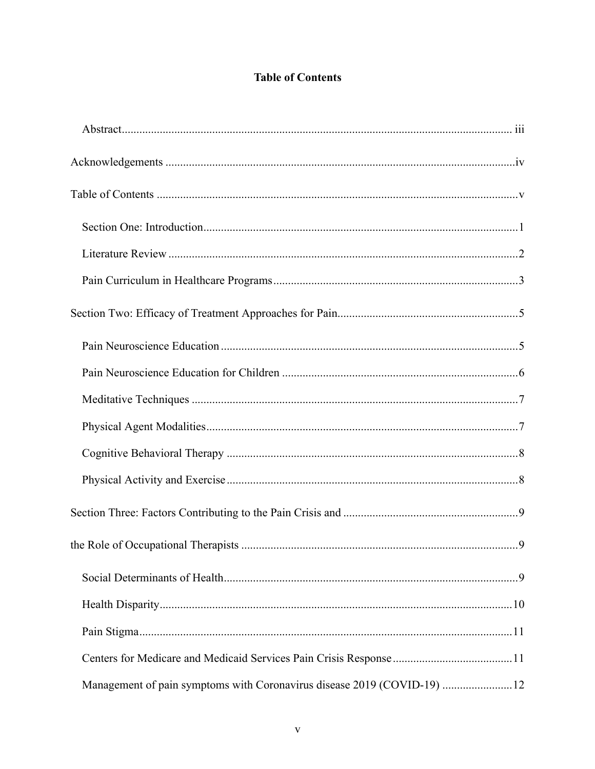## **Table of Contents**

| Management of pain symptoms with Coronavirus disease 2019 (COVID-19) 12 |  |
|-------------------------------------------------------------------------|--|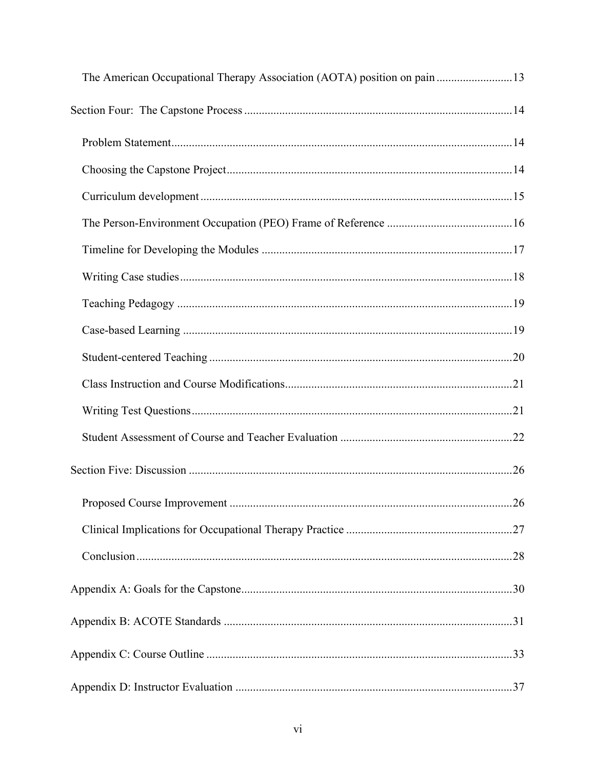| The American Occupational Therapy Association (AOTA) position on pain 13 |    |
|--------------------------------------------------------------------------|----|
|                                                                          |    |
|                                                                          |    |
|                                                                          |    |
|                                                                          |    |
|                                                                          |    |
|                                                                          |    |
|                                                                          |    |
|                                                                          |    |
|                                                                          |    |
|                                                                          |    |
|                                                                          |    |
|                                                                          |    |
|                                                                          |    |
|                                                                          |    |
|                                                                          | 26 |
|                                                                          |    |
|                                                                          |    |
|                                                                          |    |
|                                                                          |    |
|                                                                          |    |
|                                                                          |    |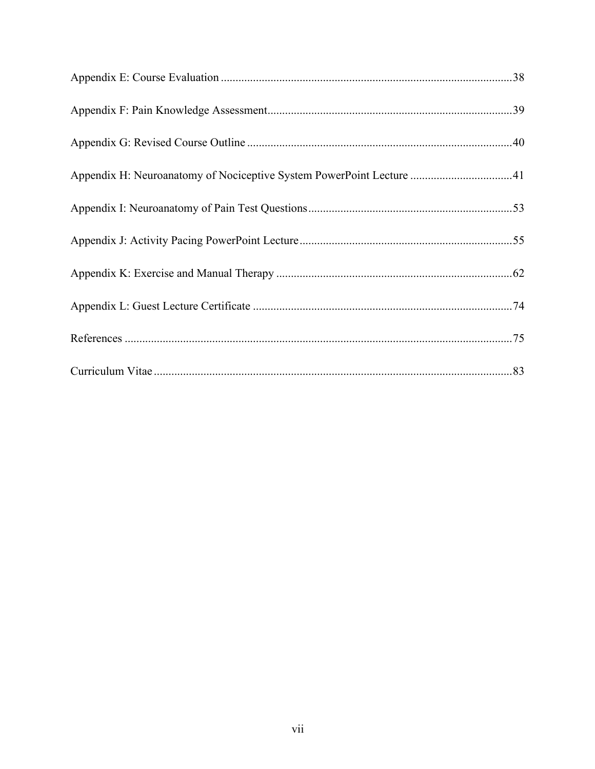| Appendix H: Neuroanatomy of Nociceptive System PowerPoint Lecture 41 |  |
|----------------------------------------------------------------------|--|
|                                                                      |  |
|                                                                      |  |
|                                                                      |  |
|                                                                      |  |
|                                                                      |  |
|                                                                      |  |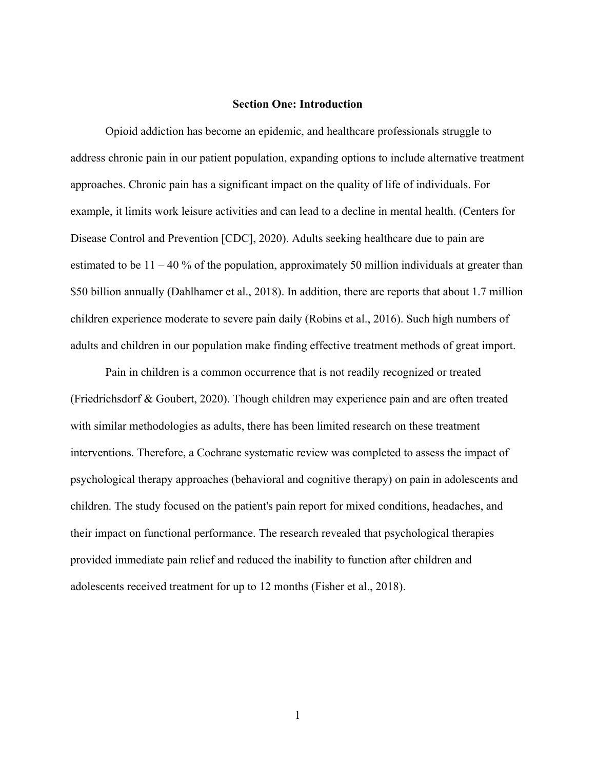#### **Section One: Introduction**

Opioid addiction has become an epidemic, and healthcare professionals struggle to address chronic pain in our patient population, expanding options to include alternative treatment approaches. Chronic pain has a significant impact on the quality of life of individuals. For example, it limits work leisure activities and can lead to a decline in mental health. (Centers for Disease Control and Prevention [CDC], 2020). Adults seeking healthcare due to pain are estimated to be  $11 - 40$  % of the population, approximately 50 million individuals at greater than \$50 billion annually (Dahlhamer et al., 2018). In addition, there are reports that about 1.7 million children experience moderate to severe pain daily (Robins et al., 2016). Such high numbers of adults and children in our population make finding effective treatment methods of great import.

Pain in children is a common occurrence that is not readily recognized or treated (Friedrichsdorf & Goubert, 2020). Though children may experience pain and are often treated with similar methodologies as adults, there has been limited research on these treatment interventions. Therefore, a Cochrane systematic review was completed to assess the impact of psychological therapy approaches (behavioral and cognitive therapy) on pain in adolescents and children. The study focused on the patient's pain report for mixed conditions, headaches, and their impact on functional performance. The research revealed that psychological therapies provided immediate pain relief and reduced the inability to function after children and adolescents received treatment for up to 12 months (Fisher et al., 2018).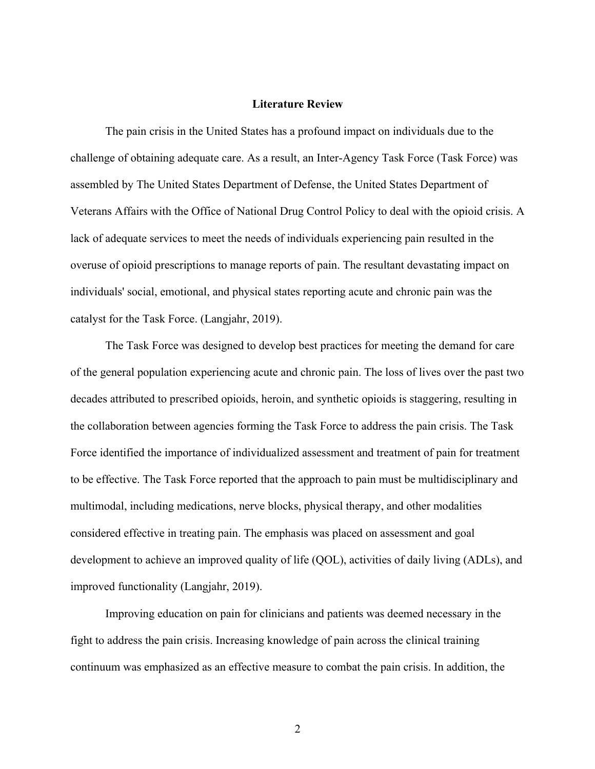#### **Literature Review**

The pain crisis in the United States has a profound impact on individuals due to the challenge of obtaining adequate care. As a result, an Inter-Agency Task Force (Task Force) was assembled by The United States Department of Defense, the United States Department of Veterans Affairs with the Office of National Drug Control Policy to deal with the opioid crisis. A lack of adequate services to meet the needs of individuals experiencing pain resulted in the overuse of opioid prescriptions to manage reports of pain. The resultant devastating impact on individuals' social, emotional, and physical states reporting acute and chronic pain was the catalyst for the Task Force. (Langjahr, 2019).

The Task Force was designed to develop best practices for meeting the demand for care of the general population experiencing acute and chronic pain. The loss of lives over the past two decades attributed to prescribed opioids, heroin, and synthetic opioids is staggering, resulting in the collaboration between agencies forming the Task Force to address the pain crisis. The Task Force identified the importance of individualized assessment and treatment of pain for treatment to be effective. The Task Force reported that the approach to pain must be multidisciplinary and multimodal, including medications, nerve blocks, physical therapy, and other modalities considered effective in treating pain. The emphasis was placed on assessment and goal development to achieve an improved quality of life (QOL), activities of daily living (ADLs), and improved functionality (Langjahr, 2019).

Improving education on pain for clinicians and patients was deemed necessary in the fight to address the pain crisis. Increasing knowledge of pain across the clinical training continuum was emphasized as an effective measure to combat the pain crisis. In addition, the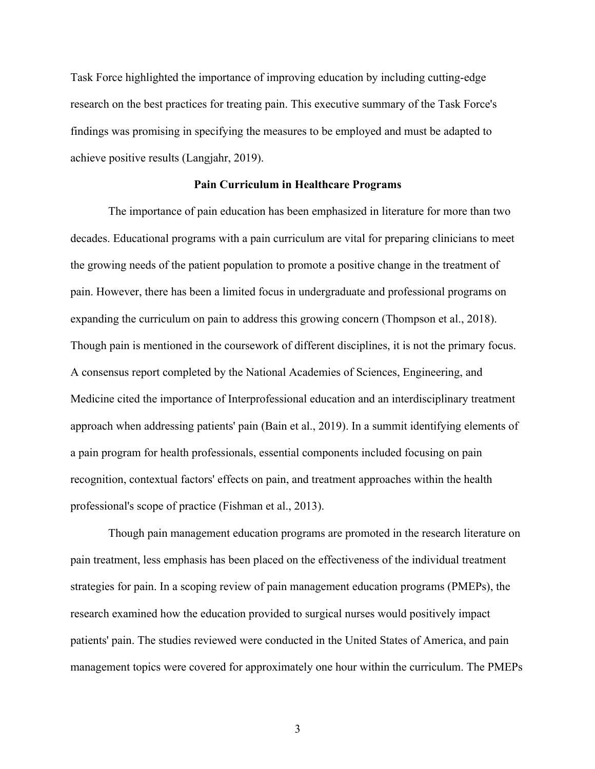Task Force highlighted the importance of improving education by including cutting-edge research on the best practices for treating pain. This executive summary of the Task Force's findings was promising in specifying the measures to be employed and must be adapted to achieve positive results (Langjahr, 2019).

#### **Pain Curriculum in Healthcare Programs**

The importance of pain education has been emphasized in literature for more than two decades. Educational programs with a pain curriculum are vital for preparing clinicians to meet the growing needs of the patient population to promote a positive change in the treatment of pain. However, there has been a limited focus in undergraduate and professional programs on expanding the curriculum on pain to address this growing concern (Thompson et al., 2018). Though pain is mentioned in the coursework of different disciplines, it is not the primary focus. A consensus report completed by the National Academies of Sciences, Engineering, and Medicine cited the importance of Interprofessional education and an interdisciplinary treatment approach when addressing patients' pain (Bain et al., 2019). In a summit identifying elements of a pain program for health professionals, essential components included focusing on pain recognition, contextual factors' effects on pain, and treatment approaches within the health professional's scope of practice (Fishman et al., 2013).

Though pain management education programs are promoted in the research literature on pain treatment, less emphasis has been placed on the effectiveness of the individual treatment strategies for pain. In a scoping review of pain management education programs (PMEPs), the research examined how the education provided to surgical nurses would positively impact patients' pain. The studies reviewed were conducted in the United States of America, and pain management topics were covered for approximately one hour within the curriculum. The PMEPs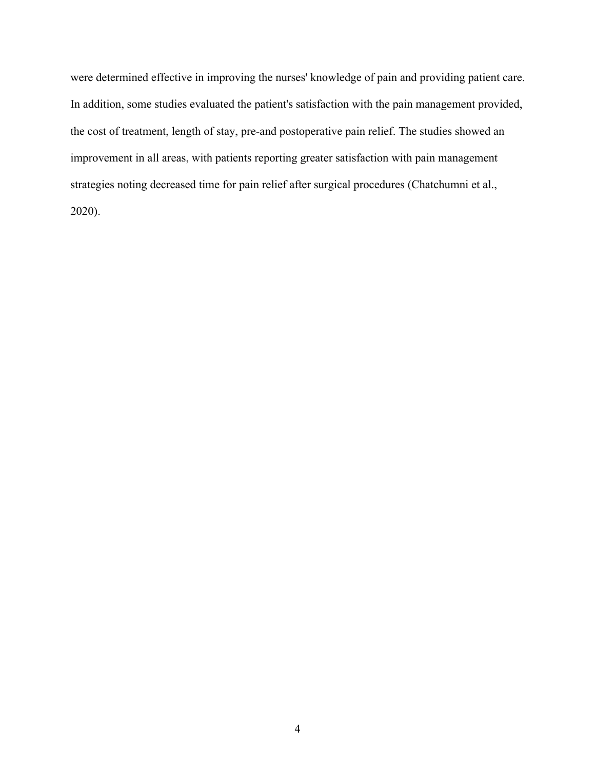were determined effective in improving the nurses' knowledge of pain and providing patient care. In addition, some studies evaluated the patient's satisfaction with the pain management provided, the cost of treatment, length of stay, pre-and postoperative pain relief. The studies showed an improvement in all areas, with patients reporting greater satisfaction with pain management strategies noting decreased time for pain relief after surgical procedures (Chatchumni et al., 2020).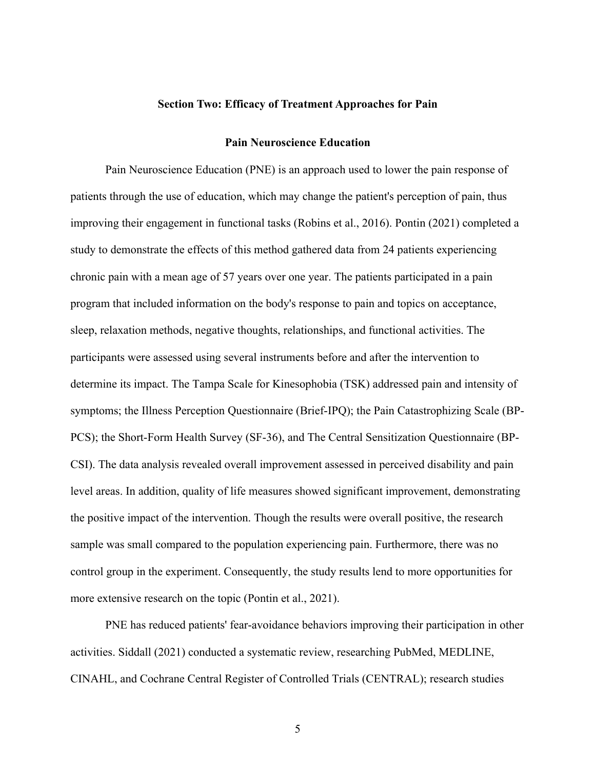#### **Section Two: Efficacy of Treatment Approaches for Pain**

#### **Pain Neuroscience Education**

Pain Neuroscience Education (PNE) is an approach used to lower the pain response of patients through the use of education, which may change the patient's perception of pain, thus improving their engagement in functional tasks (Robins et al., 2016). Pontin (2021) completed a study to demonstrate the effects of this method gathered data from 24 patients experiencing chronic pain with a mean age of 57 years over one year. The patients participated in a pain program that included information on the body's response to pain and topics on acceptance, sleep, relaxation methods, negative thoughts, relationships, and functional activities. The participants were assessed using several instruments before and after the intervention to determine its impact. The Tampa Scale for Kinesophobia (TSK) addressed pain and intensity of symptoms; the Illness Perception Questionnaire (Brief-IPQ); the Pain Catastrophizing Scale (BP-PCS); the Short-Form Health Survey (SF-36), and The Central Sensitization Questionnaire (BP-CSI). The data analysis revealed overall improvement assessed in perceived disability and pain level areas. In addition, quality of life measures showed significant improvement, demonstrating the positive impact of the intervention. Though the results were overall positive, the research sample was small compared to the population experiencing pain. Furthermore, there was no control group in the experiment. Consequently, the study results lend to more opportunities for more extensive research on the topic (Pontin et al., 2021).

PNE has reduced patients' fear-avoidance behaviors improving their participation in other activities. Siddall (2021) conducted a systematic review, researching PubMed, MEDLINE, CINAHL, and Cochrane Central Register of Controlled Trials (CENTRAL); research studies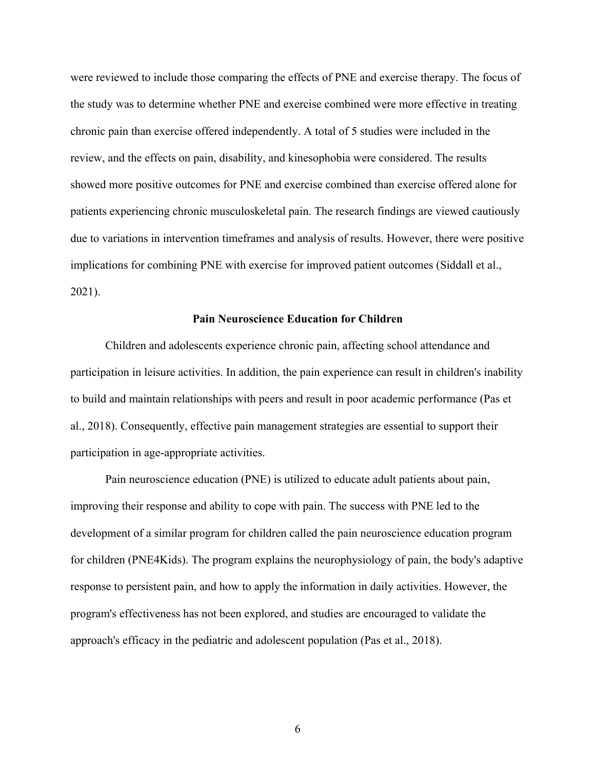were reviewed to include those comparing the effects of PNE and exercise therapy. The focus of the study was to determine whether PNE and exercise combined were more effective in treating chronic pain than exercise offered independently. A total of 5 studies were included in the review, and the effects on pain, disability, and kinesophobia were considered. The results showed more positive outcomes for PNE and exercise combined than exercise offered alone for patients experiencing chronic musculoskeletal pain. The research findings are viewed cautiously due to variations in intervention timeframes and analysis of results. However, there were positive implications for combining PNE with exercise for improved patient outcomes (Siddall et al., 2021).

#### **Pain Neuroscience Education for Children**

Children and adolescents experience chronic pain, affecting school attendance and participation in leisure activities. In addition, the pain experience can result in children's inability to build and maintain relationships with peers and result in poor academic performance (Pas et al., 2018). Consequently, effective pain management strategies are essential to support their participation in age-appropriate activities.

Pain neuroscience education (PNE) is utilized to educate adult patients about pain, improving their response and ability to cope with pain. The success with PNE led to the development of a similar program for children called the pain neuroscience education program for children (PNE4Kids). The program explains the neurophysiology of pain, the body's adaptive response to persistent pain, and how to apply the information in daily activities. However, the program's effectiveness has not been explored, and studies are encouraged to validate the approach's efficacy in the pediatric and adolescent population (Pas et al., 2018).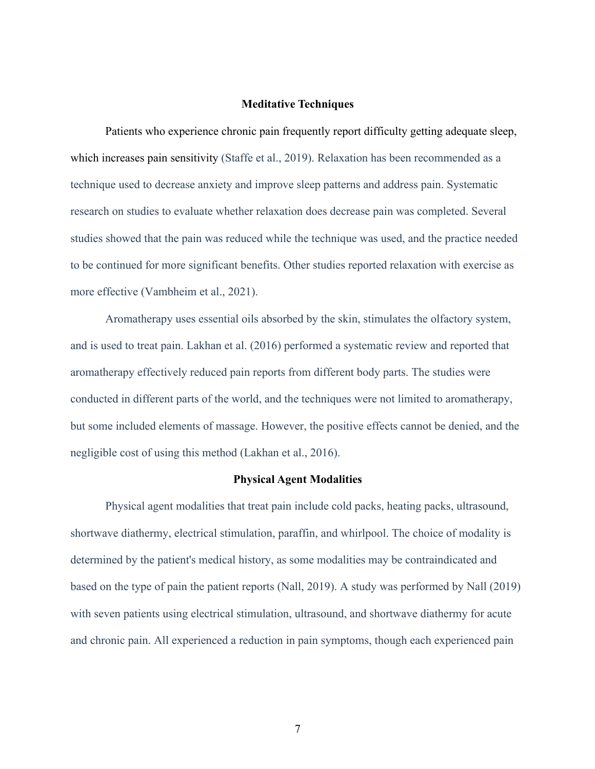#### **Meditative Techniques**

Patients who experience chronic pain frequently report difficulty getting adequate sleep, which increases pain sensitivity (Staffe et al., 2019). Relaxation has been recommended as a technique used to decrease anxiety and improve sleep patterns and address pain. Systematic research on studies to evaluate whether relaxation does decrease pain was completed. Several studies showed that the pain was reduced while the technique was used, and the practice needed to be continued for more significant benefits. Other studies reported relaxation with exercise as more effective (Vambheim et al., 2021).

Aromatherapy uses essential oils absorbed by the skin, stimulates the olfactory system, and is used to treat pain. Lakhan et al. (2016) performed a systematic review and reported that aromatherapy effectively reduced pain reports from different body parts. The studies were conducted in different parts of the world, and the techniques were not limited to aromatherapy, but some included elements of massage. However, the positive effects cannot be denied, and the negligible cost of using this method (Lakhan et al., 2016).

#### **Physical Agent Modalities**

Physical agent modalities that treat pain include cold packs, heating packs, ultrasound, shortwave diathermy, electrical stimulation, paraffin, and whirlpool. The choice of modality is determined by the patient's medical history, as some modalities may be contraindicated and based on the type of pain the patient reports (Nall, 2019). A study was performed by Nall (2019) with seven patients using electrical stimulation, ultrasound, and shortwave diathermy for acute and chronic pain. All experienced a reduction in pain symptoms, though each experienced pain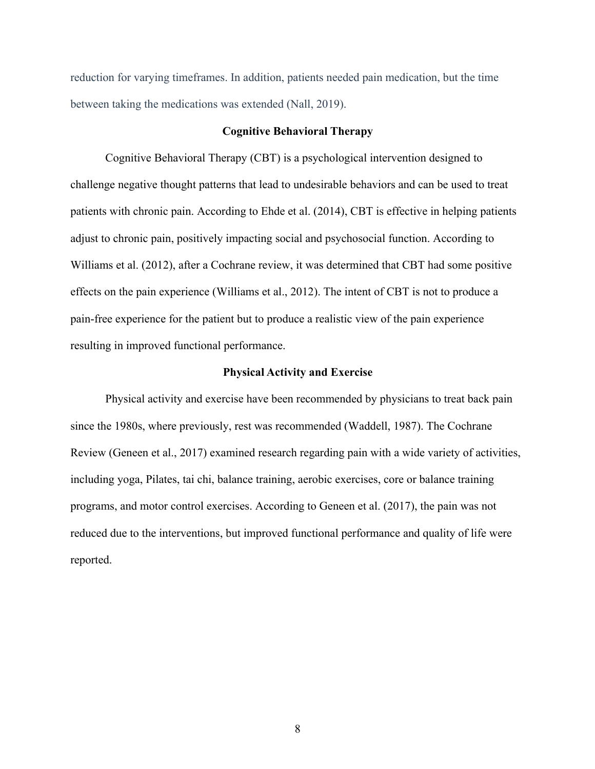reduction for varying timeframes. In addition, patients needed pain medication, but the time between taking the medications was extended (Nall, 2019).

#### **Cognitive Behavioral Therapy**

Cognitive Behavioral Therapy (CBT) is a psychological intervention designed to challenge negative thought patterns that lead to undesirable behaviors and can be used to treat patients with chronic pain. According to Ehde et al. (2014), CBT is effective in helping patients adjust to chronic pain, positively impacting social and psychosocial function. According to Williams et al. (2012), after a Cochrane review, it was determined that CBT had some positive effects on the pain experience (Williams et al., 2012). The intent of CBT is not to produce a pain-free experience for the patient but to produce a realistic view of the pain experience resulting in improved functional performance.

#### **Physical Activity and Exercise**

Physical activity and exercise have been recommended by physicians to treat back pain since the 1980s, where previously, rest was recommended (Waddell, 1987). The Cochrane Review (Geneen et al., 2017) examined research regarding pain with a wide variety of activities, including yoga, Pilates, tai chi, balance training, aerobic exercises, core or balance training programs, and motor control exercises. According to Geneen et al. (2017), the pain was not reduced due to the interventions, but improved functional performance and quality of life were reported.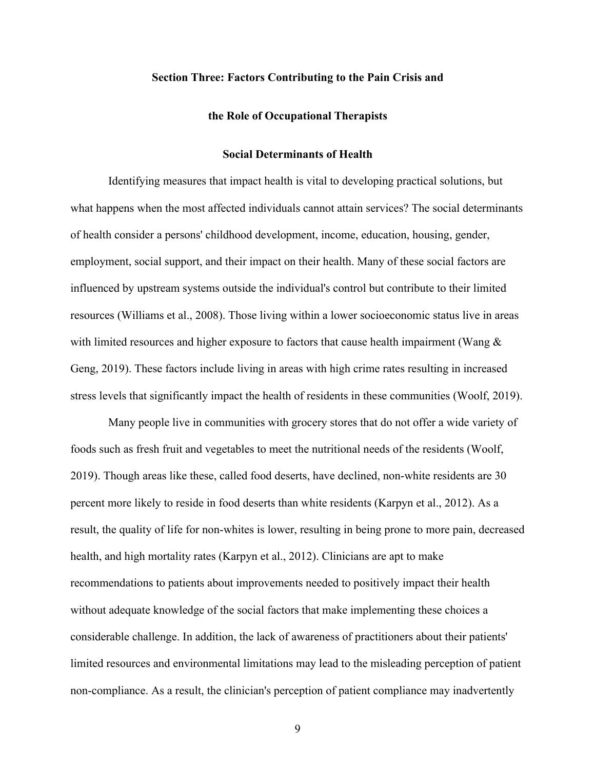#### **Section Three: Factors Contributing to the Pain Crisis and**

#### **the Role of Occupational Therapists**

#### **Social Determinants of Health**

Identifying measures that impact health is vital to developing practical solutions, but what happens when the most affected individuals cannot attain services? The social determinants of health consider a persons' childhood development, income, education, housing, gender, employment, social support, and their impact on their health. Many of these social factors are influenced by upstream systems outside the individual's control but contribute to their limited resources (Williams et al., 2008). Those living within a lower socioeconomic status live in areas with limited resources and higher exposure to factors that cause health impairment (Wang  $\&$ Geng, 2019). These factors include living in areas with high crime rates resulting in increased stress levels that significantly impact the health of residents in these communities (Woolf, 2019).

Many people live in communities with grocery stores that do not offer a wide variety of foods such as fresh fruit and vegetables to meet the nutritional needs of the residents (Woolf, 2019). Though areas like these, called food deserts, have declined, non-white residents are 30 percent more likely to reside in food deserts than white residents (Karpyn et al., 2012). As a result, the quality of life for non-whites is lower, resulting in being prone to more pain, decreased health, and high mortality rates (Karpyn et al., 2012). Clinicians are apt to make recommendations to patients about improvements needed to positively impact their health without adequate knowledge of the social factors that make implementing these choices a considerable challenge. In addition, the lack of awareness of practitioners about their patients' limited resources and environmental limitations may lead to the misleading perception of patient non-compliance. As a result, the clinician's perception of patient compliance may inadvertently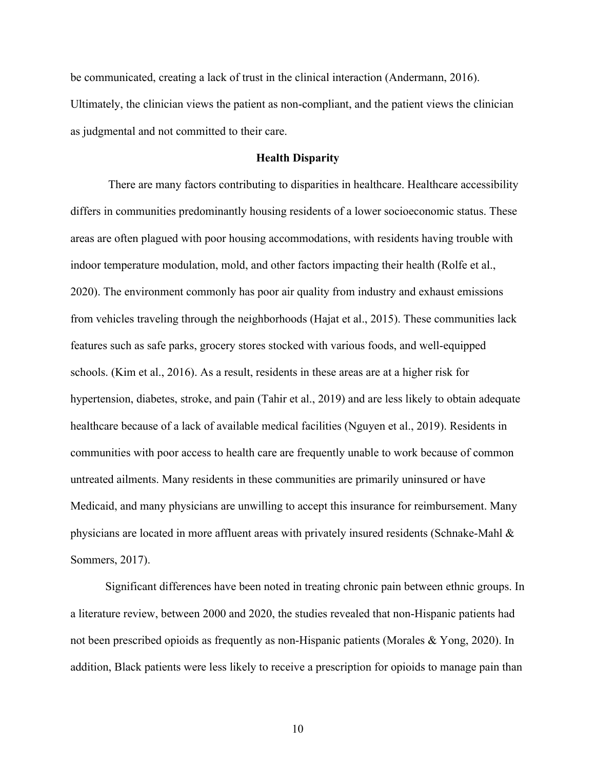be communicated, creating a lack of trust in the clinical interaction (Andermann, 2016). Ultimately, the clinician views the patient as non-compliant, and the patient views the clinician as judgmental and not committed to their care.

#### **Health Disparity**

There are many factors contributing to disparities in healthcare. Healthcare accessibility differs in communities predominantly housing residents of a lower socioeconomic status. These areas are often plagued with poor housing accommodations, with residents having trouble with indoor temperature modulation, mold, and other factors impacting their health (Rolfe et al., 2020). The environment commonly has poor air quality from industry and exhaust emissions from vehicles traveling through the neighborhoods (Hajat et al., 2015). These communities lack features such as safe parks, grocery stores stocked with various foods, and well-equipped schools. (Kim et al., 2016). As a result, residents in these areas are at a higher risk for hypertension, diabetes, stroke, and pain (Tahir et al., 2019) and are less likely to obtain adequate healthcare because of a lack of available medical facilities (Nguyen et al., 2019). Residents in communities with poor access to health care are frequently unable to work because of common untreated ailments. Many residents in these communities are primarily uninsured or have Medicaid, and many physicians are unwilling to accept this insurance for reimbursement. Many physicians are located in more affluent areas with privately insured residents (Schnake-Mahl & Sommers, 2017).

Significant differences have been noted in treating chronic pain between ethnic groups. In a literature review, between 2000 and 2020, the studies revealed that non-Hispanic patients had not been prescribed opioids as frequently as non-Hispanic patients (Morales & Yong, 2020). In addition, Black patients were less likely to receive a prescription for opioids to manage pain than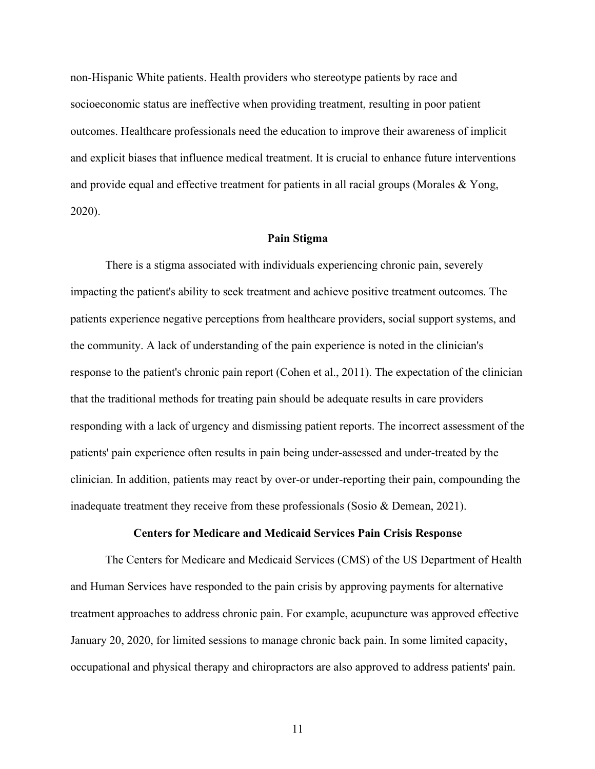non-Hispanic White patients. Health providers who stereotype patients by race and socioeconomic status are ineffective when providing treatment, resulting in poor patient outcomes. Healthcare professionals need the education to improve their awareness of implicit and explicit biases that influence medical treatment. It is crucial to enhance future interventions and provide equal and effective treatment for patients in all racial groups (Morales & Yong, 2020).

#### **Pain Stigma**

There is a stigma associated with individuals experiencing chronic pain, severely impacting the patient's ability to seek treatment and achieve positive treatment outcomes. The patients experience negative perceptions from healthcare providers, social support systems, and the community. A lack of understanding of the pain experience is noted in the clinician's response to the patient's chronic pain report (Cohen et al., 2011). The expectation of the clinician that the traditional methods for treating pain should be adequate results in care providers responding with a lack of urgency and dismissing patient reports. The incorrect assessment of the patients' pain experience often results in pain being under-assessed and under-treated by the clinician. In addition, patients may react by over-or under-reporting their pain, compounding the inadequate treatment they receive from these professionals (Sosio & Demean, 2021).

#### **Centers for Medicare and Medicaid Services Pain Crisis Response**

The Centers for Medicare and Medicaid Services (CMS) of the US Department of Health and Human Services have responded to the pain crisis by approving payments for alternative treatment approaches to address chronic pain. For example, acupuncture was approved effective January 20, 2020, for limited sessions to manage chronic back pain. In some limited capacity, occupational and physical therapy and chiropractors are also approved to address patients' pain.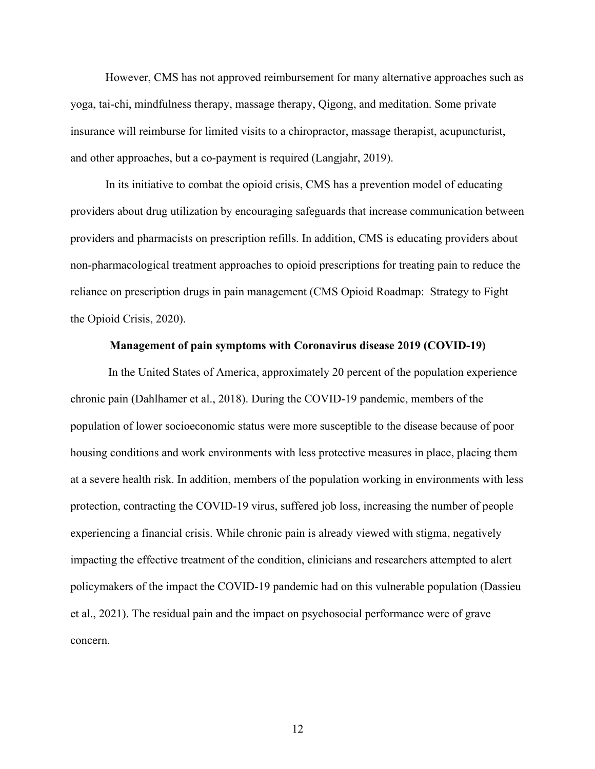However, CMS has not approved reimbursement for many alternative approaches such as yoga, tai-chi, mindfulness therapy, massage therapy, Qigong, and meditation. Some private insurance will reimburse for limited visits to a chiropractor, massage therapist, acupuncturist, and other approaches, but a co-payment is required (Langjahr, 2019).

In its initiative to combat the opioid crisis, CMS has a prevention model of educating providers about drug utilization by encouraging safeguards that increase communication between providers and pharmacists on prescription refills. In addition, CMS is educating providers about non-pharmacological treatment approaches to opioid prescriptions for treating pain to reduce the reliance on prescription drugs in pain management (CMS Opioid Roadmap: Strategy to Fight the Opioid Crisis, 2020).

#### **Management of pain symptoms with Coronavirus disease 2019 (COVID-19)**

In the United States of America, approximately 20 percent of the population experience chronic pain (Dahlhamer et al., 2018). During the COVID-19 pandemic, members of the population of lower socioeconomic status were more susceptible to the disease because of poor housing conditions and work environments with less protective measures in place, placing them at a severe health risk. In addition, members of the population working in environments with less protection, contracting the COVID-19 virus, suffered job loss, increasing the number of people experiencing a financial crisis. While chronic pain is already viewed with stigma, negatively impacting the effective treatment of the condition, clinicians and researchers attempted to alert policymakers of the impact the COVID-19 pandemic had on this vulnerable population (Dassieu et al., 2021). The residual pain and the impact on psychosocial performance were of grave concern.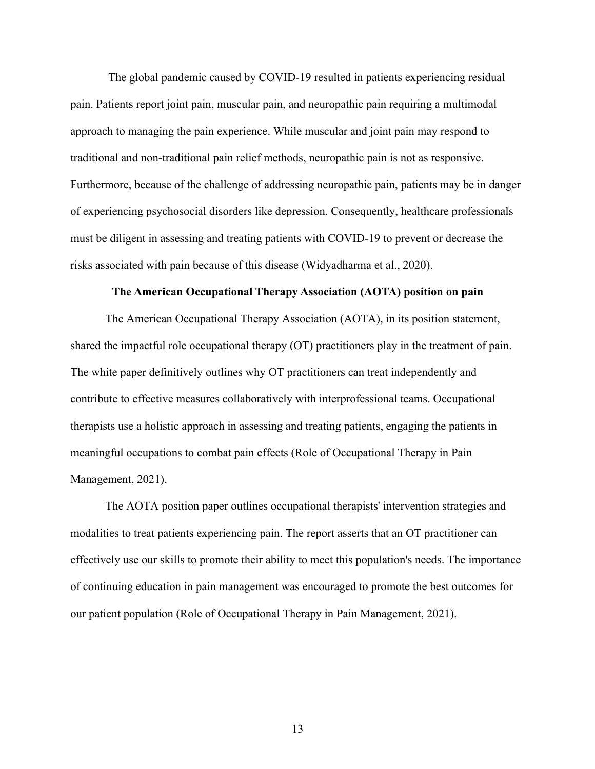The global pandemic caused by COVID-19 resulted in patients experiencing residual pain. Patients report joint pain, muscular pain, and neuropathic pain requiring a multimodal approach to managing the pain experience. While muscular and joint pain may respond to traditional and non-traditional pain relief methods, neuropathic pain is not as responsive. Furthermore, because of the challenge of addressing neuropathic pain, patients may be in danger of experiencing psychosocial disorders like depression. Consequently, healthcare professionals must be diligent in assessing and treating patients with COVID-19 to prevent or decrease the risks associated with pain because of this disease (Widyadharma et al., 2020).

#### **The American Occupational Therapy Association (AOTA) position on pain**

The American Occupational Therapy Association (AOTA), in its position statement, shared the impactful role occupational therapy (OT) practitioners play in the treatment of pain. The white paper definitively outlines why OT practitioners can treat independently and contribute to effective measures collaboratively with interprofessional teams. Occupational therapists use a holistic approach in assessing and treating patients, engaging the patients in meaningful occupations to combat pain effects (Role of Occupational Therapy in Pain Management, 2021).

The AOTA position paper outlines occupational therapists' intervention strategies and modalities to treat patients experiencing pain. The report asserts that an OT practitioner can effectively use our skills to promote their ability to meet this population's needs. The importance of continuing education in pain management was encouraged to promote the best outcomes for our patient population (Role of Occupational Therapy in Pain Management, 2021).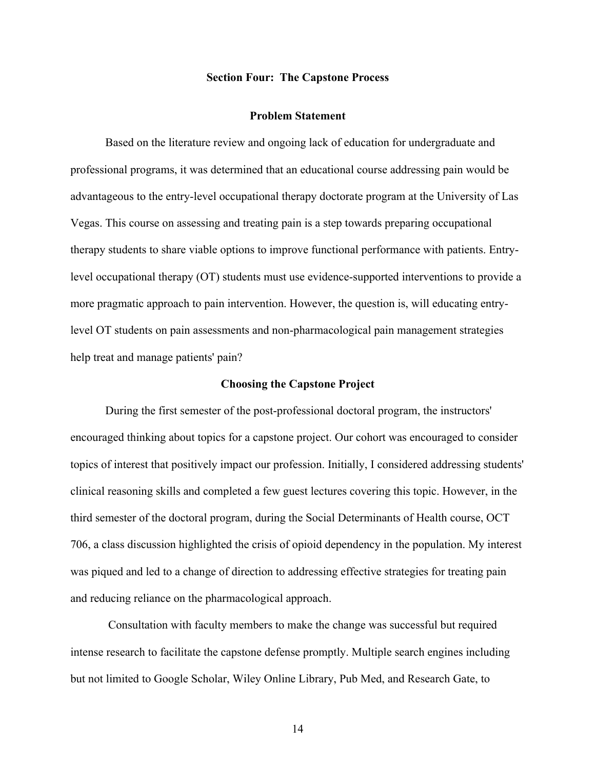#### **Section Four: The Capstone Process**

#### **Problem Statement**

Based on the literature review and ongoing lack of education for undergraduate and professional programs, it was determined that an educational course addressing pain would be advantageous to the entry-level occupational therapy doctorate program at the University of Las Vegas. This course on assessing and treating pain is a step towards preparing occupational therapy students to share viable options to improve functional performance with patients. Entrylevel occupational therapy (OT) students must use evidence-supported interventions to provide a more pragmatic approach to pain intervention. However, the question is, will educating entrylevel OT students on pain assessments and non-pharmacological pain management strategies help treat and manage patients' pain?

#### **Choosing the Capstone Project**

During the first semester of the post-professional doctoral program, the instructors' encouraged thinking about topics for a capstone project. Our cohort was encouraged to consider topics of interest that positively impact our profession. Initially, I considered addressing students' clinical reasoning skills and completed a few guest lectures covering this topic. However, in the third semester of the doctoral program, during the Social Determinants of Health course, OCT 706, a class discussion highlighted the crisis of opioid dependency in the population. My interest was piqued and led to a change of direction to addressing effective strategies for treating pain and reducing reliance on the pharmacological approach.

Consultation with faculty members to make the change was successful but required intense research to facilitate the capstone defense promptly. Multiple search engines including but not limited to Google Scholar, Wiley Online Library, Pub Med, and Research Gate, to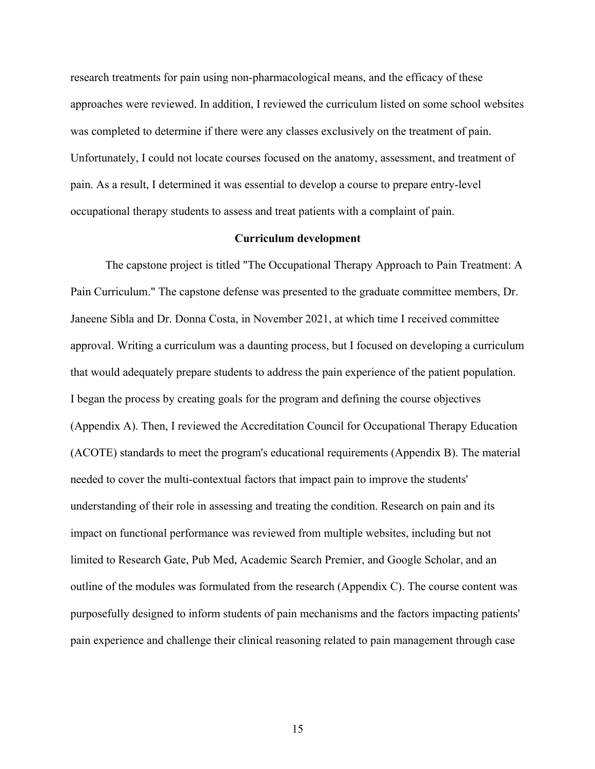research treatments for pain using non-pharmacological means, and the efficacy of these approaches were reviewed. In addition, I reviewed the curriculum listed on some school websites was completed to determine if there were any classes exclusively on the treatment of pain. Unfortunately, I could not locate courses focused on the anatomy, assessment, and treatment of pain. As a result, I determined it was essential to develop a course to prepare entry-level occupational therapy students to assess and treat patients with a complaint of pain.

#### **Curriculum development**

The capstone project is titled "The Occupational Therapy Approach to Pain Treatment: A Pain Curriculum." The capstone defense was presented to the graduate committee members, Dr. Janeene Sibla and Dr. Donna Costa, in November 2021, at which time I received committee approval. Writing a curriculum was a daunting process, but I focused on developing a curriculum that would adequately prepare students to address the pain experience of the patient population. I began the process by creating goals for the program and defining the course objectives (Appendix A). Then, I reviewed the Accreditation Council for Occupational Therapy Education (ACOTE) standards to meet the program's educational requirements (Appendix B). The material needed to cover the multi-contextual factors that impact pain to improve the students' understanding of their role in assessing and treating the condition. Research on pain and its impact on functional performance was reviewed from multiple websites, including but not limited to Research Gate, Pub Med, Academic Search Premier, and Google Scholar, and an outline of the modules was formulated from the research (Appendix C). The course content was purposefully designed to inform students of pain mechanisms and the factors impacting patients' pain experience and challenge their clinical reasoning related to pain management through case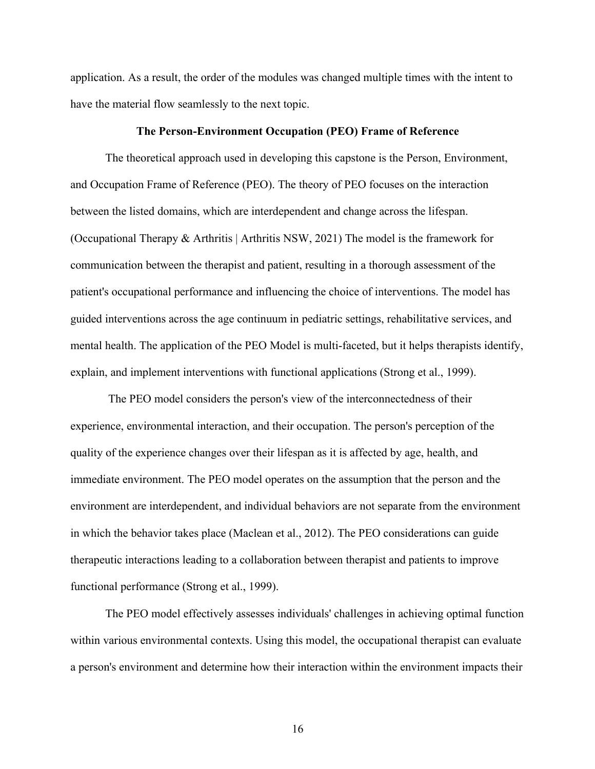application. As a result, the order of the modules was changed multiple times with the intent to have the material flow seamlessly to the next topic.

#### **The Person-Environment Occupation (PEO) Frame of Reference**

The theoretical approach used in developing this capstone is the Person, Environment, and Occupation Frame of Reference (PEO). The theory of PEO focuses on the interaction between the listed domains, which are interdependent and change across the lifespan. (Occupational Therapy & Arthritis | Arthritis NSW, 2021) The model is the framework for communication between the therapist and patient, resulting in a thorough assessment of the patient's occupational performance and influencing the choice of interventions. The model has guided interventions across the age continuum in pediatric settings, rehabilitative services, and mental health. The application of the PEO Model is multi-faceted, but it helps therapists identify, explain, and implement interventions with functional applications (Strong et al., 1999).

The PEO model considers the person's view of the interconnectedness of their experience, environmental interaction, and their occupation. The person's perception of the quality of the experience changes over their lifespan as it is affected by age, health, and immediate environment. The PEO model operates on the assumption that the person and the environment are interdependent, and individual behaviors are not separate from the environment in which the behavior takes place (Maclean et al., 2012). The PEO considerations can guide therapeutic interactions leading to a collaboration between therapist and patients to improve functional performance (Strong et al., 1999).

The PEO model effectively assesses individuals' challenges in achieving optimal function within various environmental contexts. Using this model, the occupational therapist can evaluate a person's environment and determine how their interaction within the environment impacts their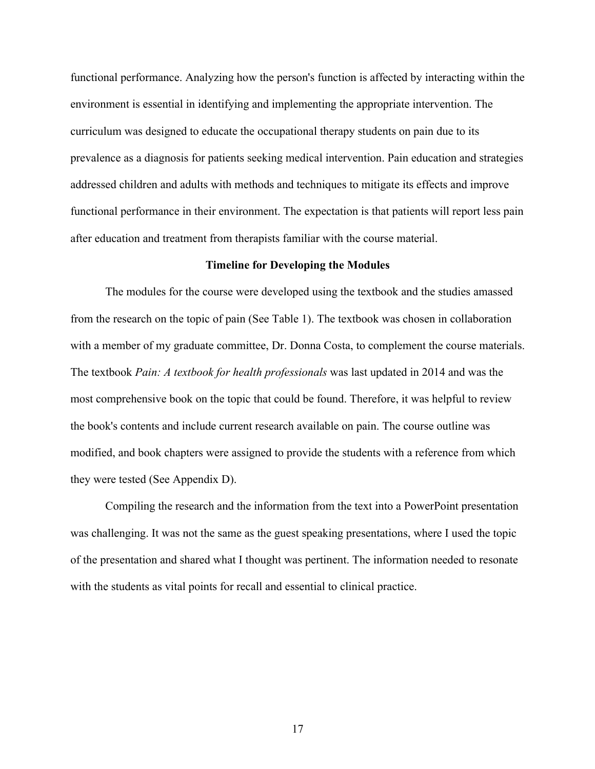functional performance. Analyzing how the person's function is affected by interacting within the environment is essential in identifying and implementing the appropriate intervention. The curriculum was designed to educate the occupational therapy students on pain due to its prevalence as a diagnosis for patients seeking medical intervention. Pain education and strategies addressed children and adults with methods and techniques to mitigate its effects and improve functional performance in their environment. The expectation is that patients will report less pain after education and treatment from therapists familiar with the course material.

#### **Timeline for Developing the Modules**

The modules for the course were developed using the textbook and the studies amassed from the research on the topic of pain (See Table 1). The textbook was chosen in collaboration with a member of my graduate committee, Dr. Donna Costa, to complement the course materials. The textbook *Pain: A textbook for health professionals* was last updated in 2014 and was the most comprehensive book on the topic that could be found. Therefore, it was helpful to review the book's contents and include current research available on pain. The course outline was modified, and book chapters were assigned to provide the students with a reference from which they were tested (See Appendix D).

Compiling the research and the information from the text into a PowerPoint presentation was challenging. It was not the same as the guest speaking presentations, where I used the topic of the presentation and shared what I thought was pertinent. The information needed to resonate with the students as vital points for recall and essential to clinical practice.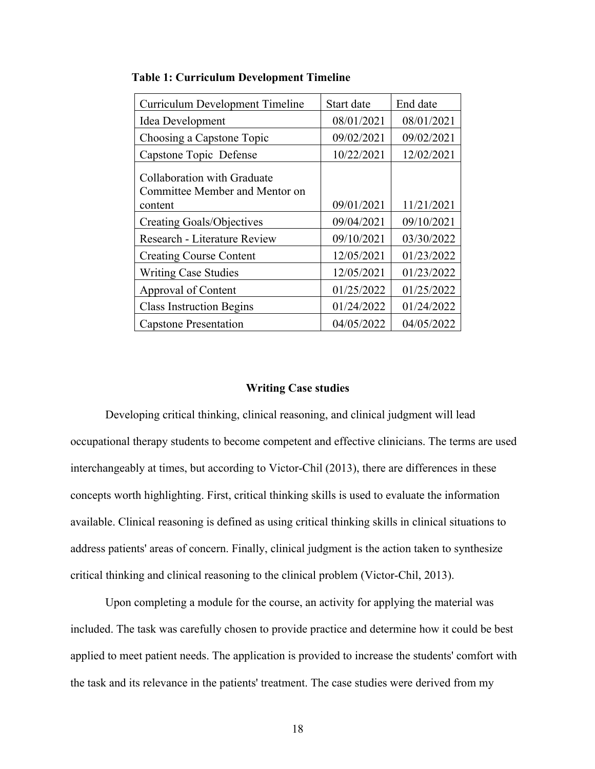| <b>Curriculum Development Timeline</b>                                   | Start date | End date   |  |
|--------------------------------------------------------------------------|------------|------------|--|
| Idea Development                                                         | 08/01/2021 | 08/01/2021 |  |
| Choosing a Capstone Topic                                                | 09/02/2021 | 09/02/2021 |  |
| Capstone Topic Defense                                                   | 10/22/2021 | 12/02/2021 |  |
| Collaboration with Graduate<br>Committee Member and Mentor on<br>content | 09/01/2021 | 11/21/2021 |  |
| <b>Creating Goals/Objectives</b>                                         | 09/04/2021 | 09/10/2021 |  |
| <b>Research - Literature Review</b>                                      | 09/10/2021 | 03/30/2022 |  |
| <b>Creating Course Content</b>                                           | 12/05/2021 | 01/23/2022 |  |
| <b>Writing Case Studies</b>                                              | 12/05/2021 | 01/23/2022 |  |
| Approval of Content                                                      | 01/25/2022 | 01/25/2022 |  |
| <b>Class Instruction Begins</b>                                          | 01/24/2022 | 01/24/2022 |  |
| <b>Capstone Presentation</b>                                             | 04/05/2022 | 04/05/2022 |  |

**Table 1: Curriculum Development Timeline**

#### **Writing Case studies**

Developing critical thinking, clinical reasoning, and clinical judgment will lead occupational therapy students to become competent and effective clinicians. The terms are used interchangeably at times, but according to Victor-Chil (2013), there are differences in these concepts worth highlighting. First, critical thinking skills is used to evaluate the information available. Clinical reasoning is defined as using critical thinking skills in clinical situations to address patients' areas of concern. Finally, clinical judgment is the action taken to synthesize critical thinking and clinical reasoning to the clinical problem (Victor-Chil, 2013).

Upon completing a module for the course, an activity for applying the material was included. The task was carefully chosen to provide practice and determine how it could be best applied to meet patient needs. The application is provided to increase the students' comfort with the task and its relevance in the patients' treatment. The case studies were derived from my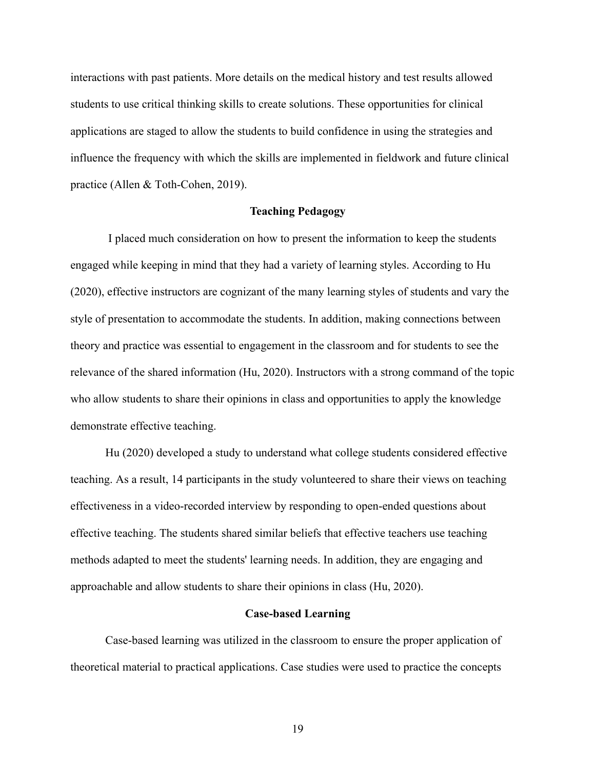interactions with past patients. More details on the medical history and test results allowed students to use critical thinking skills to create solutions. These opportunities for clinical applications are staged to allow the students to build confidence in using the strategies and influence the frequency with which the skills are implemented in fieldwork and future clinical practice (Allen & Toth-Cohen, 2019).

#### **Teaching Pedagogy**

I placed much consideration on how to present the information to keep the students engaged while keeping in mind that they had a variety of learning styles. According to Hu (2020), effective instructors are cognizant of the many learning styles of students and vary the style of presentation to accommodate the students. In addition, making connections between theory and practice was essential to engagement in the classroom and for students to see the relevance of the shared information (Hu, 2020). Instructors with a strong command of the topic who allow students to share their opinions in class and opportunities to apply the knowledge demonstrate effective teaching.

Hu (2020) developed a study to understand what college students considered effective teaching. As a result, 14 participants in the study volunteered to share their views on teaching effectiveness in a video-recorded interview by responding to open-ended questions about effective teaching. The students shared similar beliefs that effective teachers use teaching methods adapted to meet the students' learning needs. In addition, they are engaging and approachable and allow students to share their opinions in class (Hu, 2020).

#### **Case-based Learning**

Case-based learning was utilized in the classroom to ensure the proper application of theoretical material to practical applications. Case studies were used to practice the concepts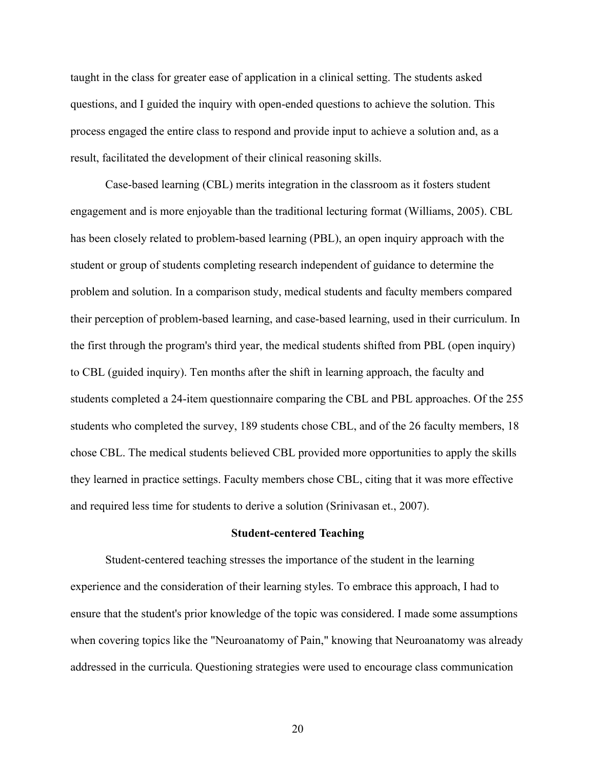taught in the class for greater ease of application in a clinical setting. The students asked questions, and I guided the inquiry with open-ended questions to achieve the solution. This process engaged the entire class to respond and provide input to achieve a solution and, as a result, facilitated the development of their clinical reasoning skills.

Case-based learning (CBL) merits integration in the classroom as it fosters student engagement and is more enjoyable than the traditional lecturing format (Williams, 2005). CBL has been closely related to problem-based learning (PBL), an open inquiry approach with the student or group of students completing research independent of guidance to determine the problem and solution. In a comparison study, medical students and faculty members compared their perception of problem-based learning, and case-based learning, used in their curriculum. In the first through the program's third year, the medical students shifted from PBL (open inquiry) to CBL (guided inquiry). Ten months after the shift in learning approach, the faculty and students completed a 24-item questionnaire comparing the CBL and PBL approaches. Of the 255 students who completed the survey, 189 students chose CBL, and of the 26 faculty members, 18 chose CBL. The medical students believed CBL provided more opportunities to apply the skills they learned in practice settings. Faculty members chose CBL, citing that it was more effective and required less time for students to derive a solution (Srinivasan et., 2007).

#### **Student-centered Teaching**

Student-centered teaching stresses the importance of the student in the learning experience and the consideration of their learning styles. To embrace this approach, I had to ensure that the student's prior knowledge of the topic was considered. I made some assumptions when covering topics like the "Neuroanatomy of Pain," knowing that Neuroanatomy was already addressed in the curricula. Questioning strategies were used to encourage class communication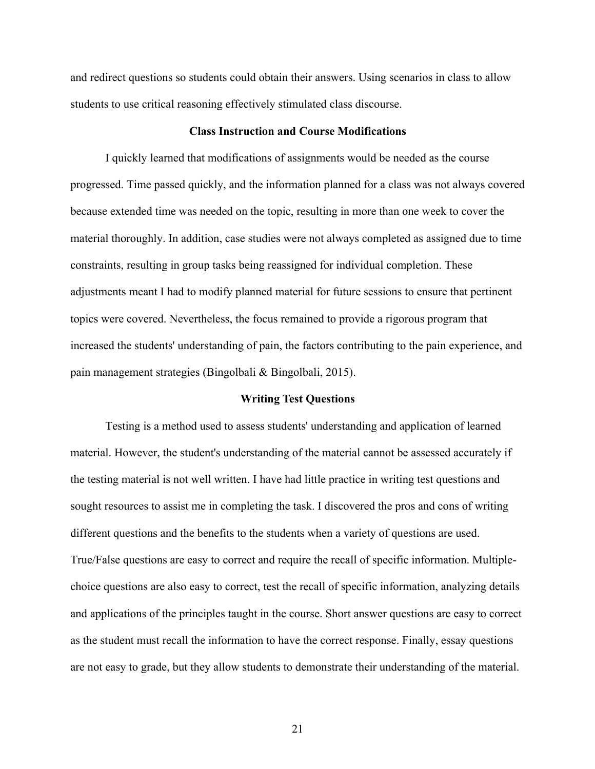and redirect questions so students could obtain their answers. Using scenarios in class to allow students to use critical reasoning effectively stimulated class discourse.

#### **Class Instruction and Course Modifications**

I quickly learned that modifications of assignments would be needed as the course progressed. Time passed quickly, and the information planned for a class was not always covered because extended time was needed on the topic, resulting in more than one week to cover the material thoroughly. In addition, case studies were not always completed as assigned due to time constraints, resulting in group tasks being reassigned for individual completion. These adjustments meant I had to modify planned material for future sessions to ensure that pertinent topics were covered. Nevertheless, the focus remained to provide a rigorous program that increased the students' understanding of pain, the factors contributing to the pain experience, and pain management strategies (Bingolbali & Bingolbali, 2015).

#### **Writing Test Questions**

Testing is a method used to assess students' understanding and application of learned material. However, the student's understanding of the material cannot be assessed accurately if the testing material is not well written. I have had little practice in writing test questions and sought resources to assist me in completing the task. I discovered the pros and cons of writing different questions and the benefits to the students when a variety of questions are used. True/False questions are easy to correct and require the recall of specific information. Multiplechoice questions are also easy to correct, test the recall of specific information, analyzing details and applications of the principles taught in the course. Short answer questions are easy to correct as the student must recall the information to have the correct response. Finally, essay questions are not easy to grade, but they allow students to demonstrate their understanding of the material.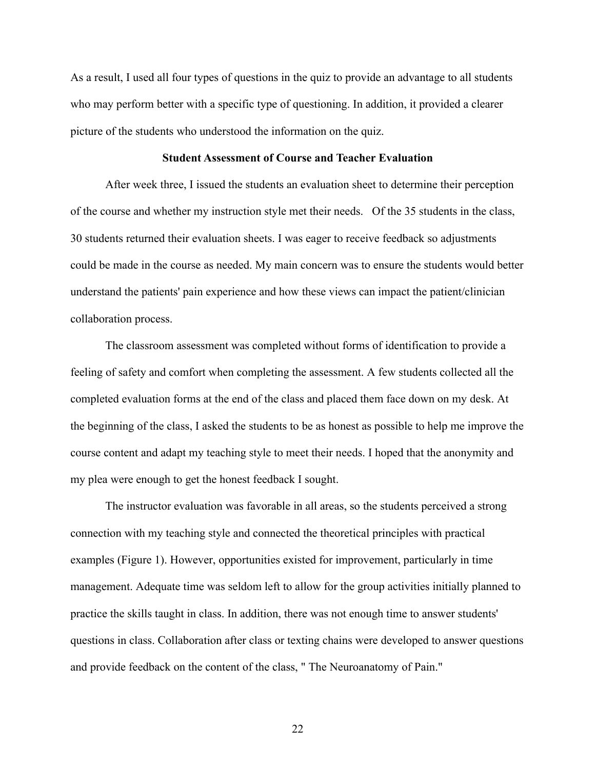As a result, I used all four types of questions in the quiz to provide an advantage to all students who may perform better with a specific type of questioning. In addition, it provided a clearer picture of the students who understood the information on the quiz.

#### **Student Assessment of Course and Teacher Evaluation**

After week three, I issued the students an evaluation sheet to determine their perception of the course and whether my instruction style met their needs. Of the 35 students in the class, 30 students returned their evaluation sheets. I was eager to receive feedback so adjustments could be made in the course as needed. My main concern was to ensure the students would better understand the patients' pain experience and how these views can impact the patient/clinician collaboration process.

The classroom assessment was completed without forms of identification to provide a feeling of safety and comfort when completing the assessment. A few students collected all the completed evaluation forms at the end of the class and placed them face down on my desk. At the beginning of the class, I asked the students to be as honest as possible to help me improve the course content and adapt my teaching style to meet their needs. I hoped that the anonymity and my plea were enough to get the honest feedback I sought.

The instructor evaluation was favorable in all areas, so the students perceived a strong connection with my teaching style and connected the theoretical principles with practical examples (Figure 1). However, opportunities existed for improvement, particularly in time management. Adequate time was seldom left to allow for the group activities initially planned to practice the skills taught in class. In addition, there was not enough time to answer students' questions in class. Collaboration after class or texting chains were developed to answer questions and provide feedback on the content of the class, " The Neuroanatomy of Pain."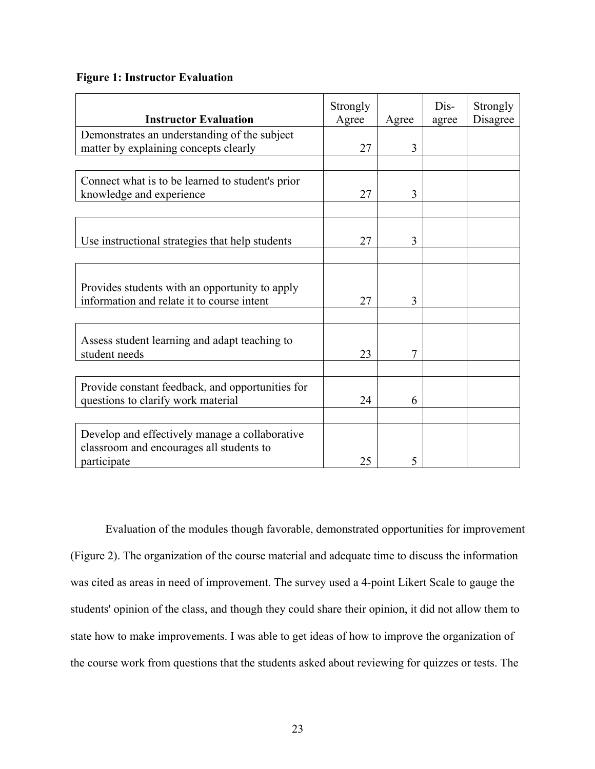#### **Figure 1: Instructor Evaluation**

| <b>Instructor Evaluation</b>                                                                              | Strongly<br>Agree | Agree | Dis-<br>agree | Strongly<br>Disagree |
|-----------------------------------------------------------------------------------------------------------|-------------------|-------|---------------|----------------------|
| Demonstrates an understanding of the subject<br>matter by explaining concepts clearly                     | 27                | 3     |               |                      |
|                                                                                                           |                   |       |               |                      |
| Connect what is to be learned to student's prior<br>knowledge and experience                              | 27                | 3     |               |                      |
|                                                                                                           |                   |       |               |                      |
| Use instructional strategies that help students                                                           | 27                | 3     |               |                      |
|                                                                                                           |                   |       |               |                      |
| Provides students with an opportunity to apply<br>information and relate it to course intent              | 27                | 3     |               |                      |
|                                                                                                           |                   |       |               |                      |
| Assess student learning and adapt teaching to<br>student needs                                            | 23                | 7     |               |                      |
|                                                                                                           |                   |       |               |                      |
| Provide constant feedback, and opportunities for<br>questions to clarify work material                    | 24                | 6     |               |                      |
|                                                                                                           |                   |       |               |                      |
| Develop and effectively manage a collaborative<br>classroom and encourages all students to<br>participate | 25                | 5     |               |                      |

Evaluation of the modules though favorable, demonstrated opportunities for improvement (Figure 2). The organization of the course material and adequate time to discuss the information was cited as areas in need of improvement. The survey used a 4-point Likert Scale to gauge the students' opinion of the class, and though they could share their opinion, it did not allow them to state how to make improvements. I was able to get ideas of how to improve the organization of the course work from questions that the students asked about reviewing for quizzes or tests. The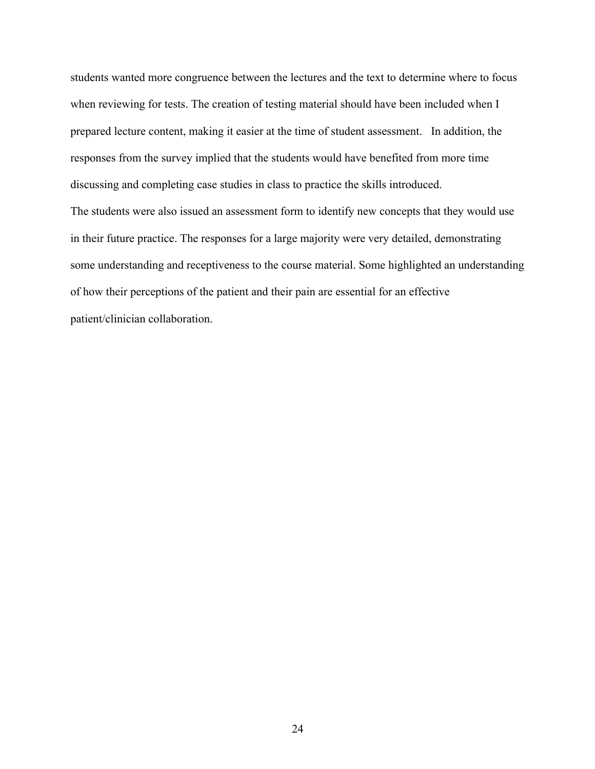students wanted more congruence between the lectures and the text to determine where to focus when reviewing for tests. The creation of testing material should have been included when I prepared lecture content, making it easier at the time of student assessment. In addition, the responses from the survey implied that the students would have benefited from more time discussing and completing case studies in class to practice the skills introduced. The students were also issued an assessment form to identify new concepts that they would use in their future practice. The responses for a large majority were very detailed, demonstrating some understanding and receptiveness to the course material. Some highlighted an understanding of how their perceptions of the patient and their pain are essential for an effective patient/clinician collaboration.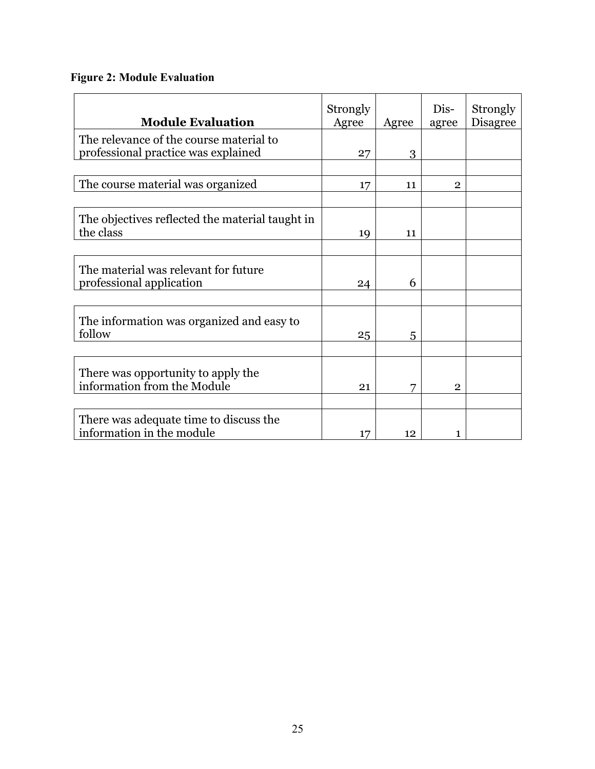## **Figure 2: Module Evaluation**

| <b>Module Evaluation</b>                                                       | Strongly<br>Agree | Agree | Dis-<br>agree  | Strongly<br><b>Disagree</b> |
|--------------------------------------------------------------------------------|-------------------|-------|----------------|-----------------------------|
| The relevance of the course material to<br>professional practice was explained | 27                | 3     |                |                             |
|                                                                                |                   |       |                |                             |
| The course material was organized                                              | 17                | 11    | $\mathbf{2}$   |                             |
| The objectives reflected the material taught in<br>the class                   | 19                | 11    |                |                             |
|                                                                                |                   |       |                |                             |
| The material was relevant for future<br>professional application               | 24                | 6     |                |                             |
|                                                                                |                   |       |                |                             |
| The information was organized and easy to<br>follow                            | 25                | 5     |                |                             |
|                                                                                |                   |       |                |                             |
| There was opportunity to apply the<br>information from the Module              | 21                | 7     | $\overline{2}$ |                             |
|                                                                                |                   |       |                |                             |
| There was adequate time to discuss the<br>information in the module            | 17                | 12    | 1              |                             |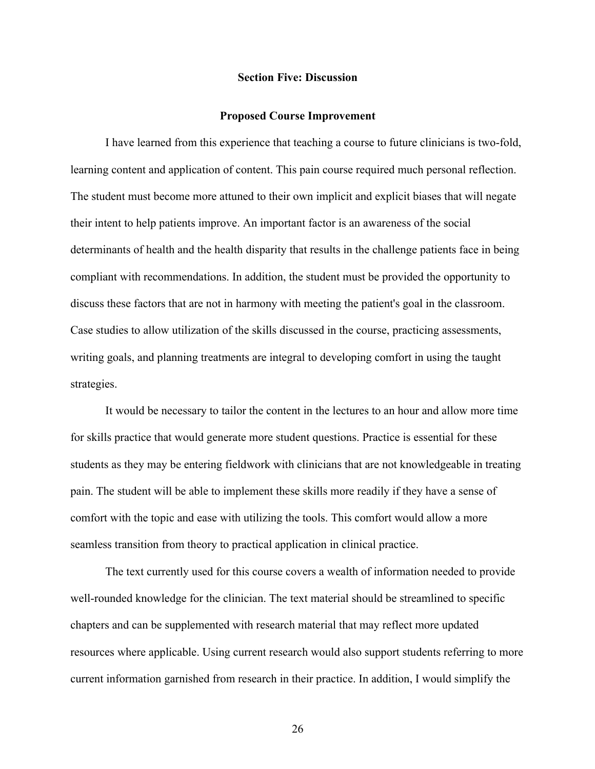#### **Section Five: Discussion**

#### **Proposed Course Improvement**

I have learned from this experience that teaching a course to future clinicians is two-fold, learning content and application of content. This pain course required much personal reflection. The student must become more attuned to their own implicit and explicit biases that will negate their intent to help patients improve. An important factor is an awareness of the social determinants of health and the health disparity that results in the challenge patients face in being compliant with recommendations. In addition, the student must be provided the opportunity to discuss these factors that are not in harmony with meeting the patient's goal in the classroom. Case studies to allow utilization of the skills discussed in the course, practicing assessments, writing goals, and planning treatments are integral to developing comfort in using the taught strategies.

It would be necessary to tailor the content in the lectures to an hour and allow more time for skills practice that would generate more student questions. Practice is essential for these students as they may be entering fieldwork with clinicians that are not knowledgeable in treating pain. The student will be able to implement these skills more readily if they have a sense of comfort with the topic and ease with utilizing the tools. This comfort would allow a more seamless transition from theory to practical application in clinical practice.

The text currently used for this course covers a wealth of information needed to provide well-rounded knowledge for the clinician. The text material should be streamlined to specific chapters and can be supplemented with research material that may reflect more updated resources where applicable. Using current research would also support students referring to more current information garnished from research in their practice. In addition, I would simplify the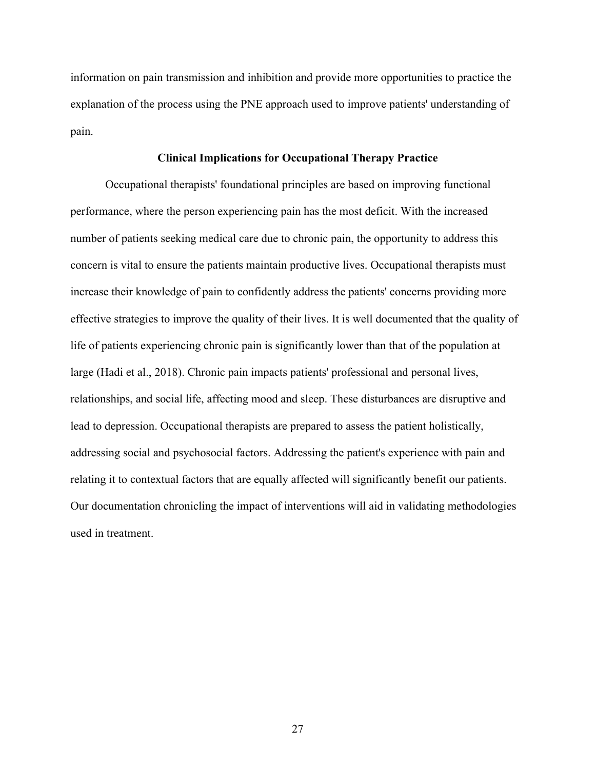information on pain transmission and inhibition and provide more opportunities to practice the explanation of the process using the PNE approach used to improve patients' understanding of pain.

#### **Clinical Implications for Occupational Therapy Practice**

Occupational therapists' foundational principles are based on improving functional performance, where the person experiencing pain has the most deficit. With the increased number of patients seeking medical care due to chronic pain, the opportunity to address this concern is vital to ensure the patients maintain productive lives. Occupational therapists must increase their knowledge of pain to confidently address the patients' concerns providing more effective strategies to improve the quality of their lives. It is well documented that the quality of life of patients experiencing chronic pain is significantly lower than that of the population at large (Hadi et al., 2018). Chronic pain impacts patients' professional and personal lives, relationships, and social life, affecting mood and sleep. These disturbances are disruptive and lead to depression. Occupational therapists are prepared to assess the patient holistically, addressing social and psychosocial factors. Addressing the patient's experience with pain and relating it to contextual factors that are equally affected will significantly benefit our patients. Our documentation chronicling the impact of interventions will aid in validating methodologies used in treatment.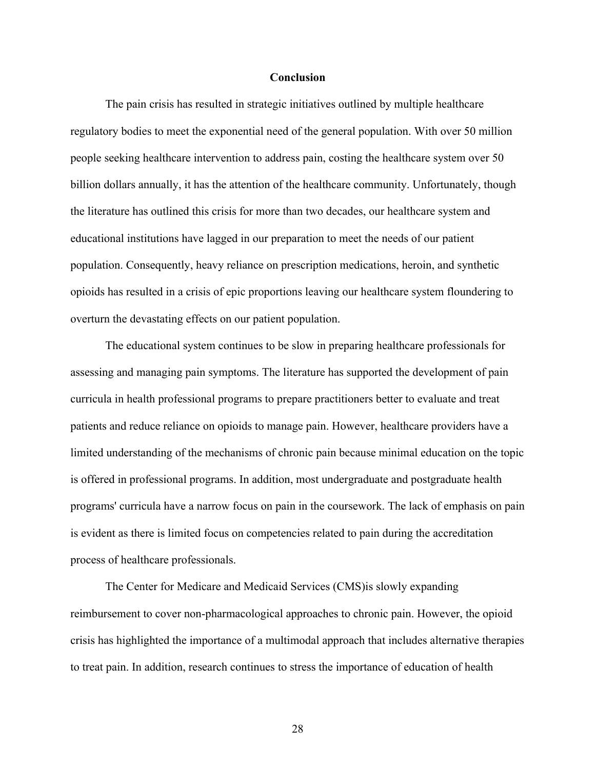#### **Conclusion**

The pain crisis has resulted in strategic initiatives outlined by multiple healthcare regulatory bodies to meet the exponential need of the general population. With over 50 million people seeking healthcare intervention to address pain, costing the healthcare system over 50 billion dollars annually, it has the attention of the healthcare community. Unfortunately, though the literature has outlined this crisis for more than two decades, our healthcare system and educational institutions have lagged in our preparation to meet the needs of our patient population. Consequently, heavy reliance on prescription medications, heroin, and synthetic opioids has resulted in a crisis of epic proportions leaving our healthcare system floundering to overturn the devastating effects on our patient population.

The educational system continues to be slow in preparing healthcare professionals for assessing and managing pain symptoms. The literature has supported the development of pain curricula in health professional programs to prepare practitioners better to evaluate and treat patients and reduce reliance on opioids to manage pain. However, healthcare providers have a limited understanding of the mechanisms of chronic pain because minimal education on the topic is offered in professional programs. In addition, most undergraduate and postgraduate health programs' curricula have a narrow focus on pain in the coursework. The lack of emphasis on pain is evident as there is limited focus on competencies related to pain during the accreditation process of healthcare professionals.

The Center for Medicare and Medicaid Services (CMS)is slowly expanding reimbursement to cover non-pharmacological approaches to chronic pain. However, the opioid crisis has highlighted the importance of a multimodal approach that includes alternative therapies to treat pain. In addition, research continues to stress the importance of education of health

28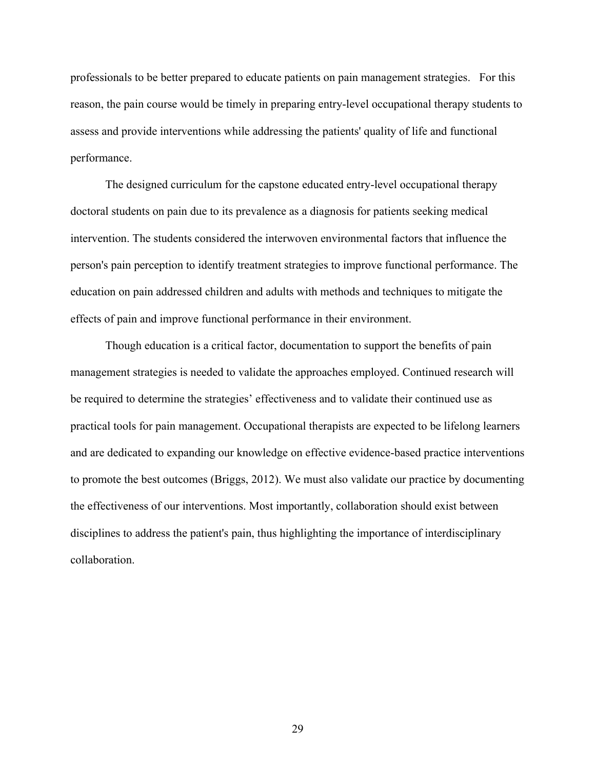professionals to be better prepared to educate patients on pain management strategies. For this reason, the pain course would be timely in preparing entry-level occupational therapy students to assess and provide interventions while addressing the patients' quality of life and functional performance.

The designed curriculum for the capstone educated entry-level occupational therapy doctoral students on pain due to its prevalence as a diagnosis for patients seeking medical intervention. The students considered the interwoven environmental factors that influence the person's pain perception to identify treatment strategies to improve functional performance. The education on pain addressed children and adults with methods and techniques to mitigate the effects of pain and improve functional performance in their environment.

Though education is a critical factor, documentation to support the benefits of pain management strategies is needed to validate the approaches employed. Continued research will be required to determine the strategies' effectiveness and to validate their continued use as practical tools for pain management. Occupational therapists are expected to be lifelong learners and are dedicated to expanding our knowledge on effective evidence-based practice interventions to promote the best outcomes (Briggs, 2012). We must also validate our practice by documenting the effectiveness of our interventions. Most importantly, collaboration should exist between disciplines to address the patient's pain, thus highlighting the importance of interdisciplinary collaboration.

29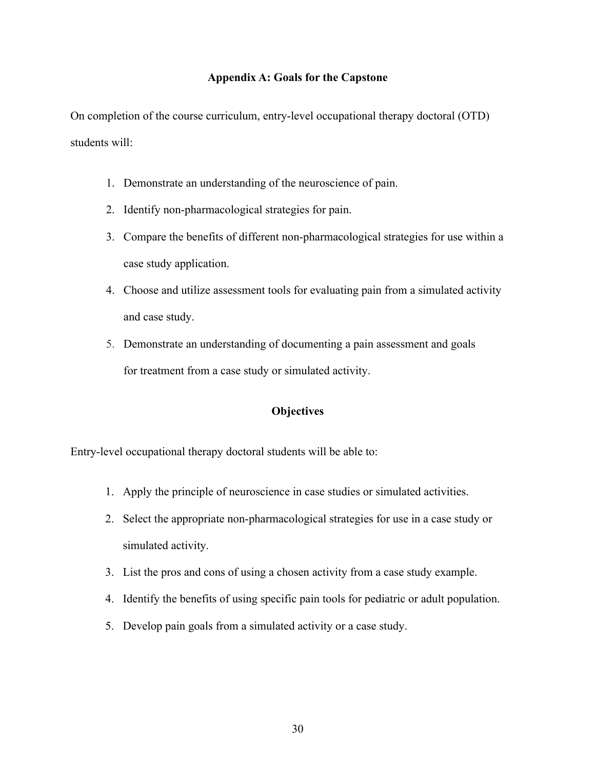## **Appendix A: Goals for the Capstone**

On completion of the course curriculum, entry-level occupational therapy doctoral (OTD) students will:

- 1. Demonstrate an understanding of the neuroscience of pain.
- 2. Identify non-pharmacological strategies for pain.
- 3. Compare the benefits of different non-pharmacological strategies for use within a case study application.
- 4. Choose and utilize assessment tools for evaluating pain from a simulated activity and case study.
- 5. Demonstrate an understanding of documenting a pain assessment and goals for treatment from a case study or simulated activity.

## **Objectives**

Entry-level occupational therapy doctoral students will be able to:

- 1. Apply the principle of neuroscience in case studies or simulated activities.
- 2. Select the appropriate non-pharmacological strategies for use in a case study or simulated activity.
- 3. List the pros and cons of using a chosen activity from a case study example.
- 4. Identify the benefits of using specific pain tools for pediatric or adult population.
- 5. Develop pain goals from a simulated activity or a case study.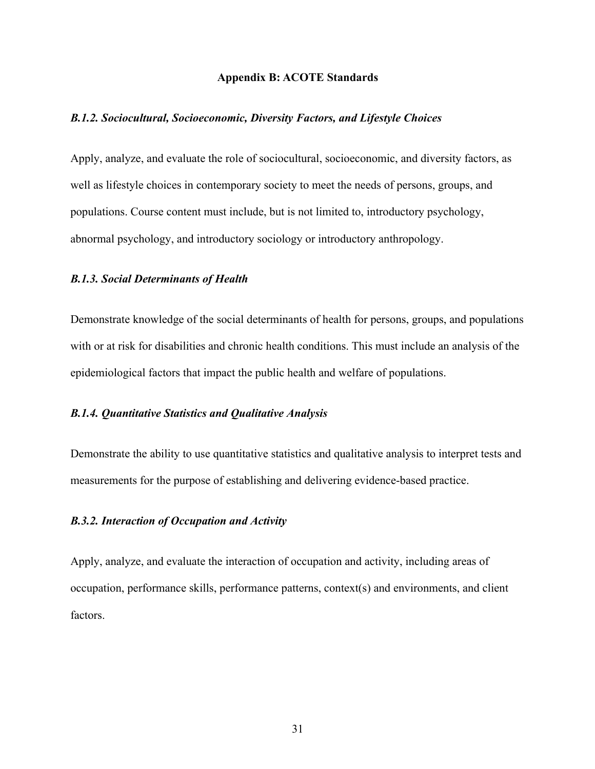#### **Appendix B: ACOTE Standards**

#### *B.1.2. Sociocultural, Socioeconomic, Diversity Factors, and Lifestyle Choices*

Apply, analyze, and evaluate the role of sociocultural, socioeconomic, and diversity factors, as well as lifestyle choices in contemporary society to meet the needs of persons, groups, and populations. Course content must include, but is not limited to, introductory psychology, abnormal psychology, and introductory sociology or introductory anthropology.

#### *B.1.3. Social Determinants of Health*

Demonstrate knowledge of the social determinants of health for persons, groups, and populations with or at risk for disabilities and chronic health conditions. This must include an analysis of the epidemiological factors that impact the public health and welfare of populations.

#### *B.1.4. Quantitative Statistics and Qualitative Analysis*

Demonstrate the ability to use quantitative statistics and qualitative analysis to interpret tests and measurements for the purpose of establishing and delivering evidence-based practice.

#### *B.3.2. Interaction of Occupation and Activity*

Apply, analyze, and evaluate the interaction of occupation and activity, including areas of occupation, performance skills, performance patterns, context(s) and environments, and client factors.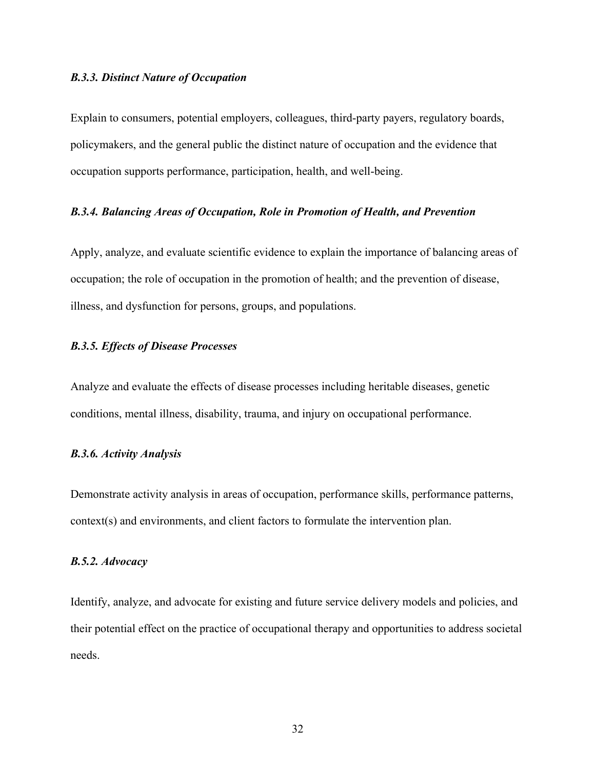#### *B.3.3. Distinct Nature of Occupation*

Explain to consumers, potential employers, colleagues, third-party payers, regulatory boards, policymakers, and the general public the distinct nature of occupation and the evidence that occupation supports performance, participation, health, and well-being.

#### *B.3.4. Balancing Areas of Occupation, Role in Promotion of Health, and Prevention*

Apply, analyze, and evaluate scientific evidence to explain the importance of balancing areas of occupation; the role of occupation in the promotion of health; and the prevention of disease, illness, and dysfunction for persons, groups, and populations.

## *B.3.5. Effects of Disease Processes*

Analyze and evaluate the effects of disease processes including heritable diseases, genetic conditions, mental illness, disability, trauma, and injury on occupational performance.

### *B.3.6. Activity Analysis*

Demonstrate activity analysis in areas of occupation, performance skills, performance patterns, context(s) and environments, and client factors to formulate the intervention plan.

### *B.5.2. Advocacy*

Identify, analyze, and advocate for existing and future service delivery models and policies, and their potential effect on the practice of occupational therapy and opportunities to address societal needs.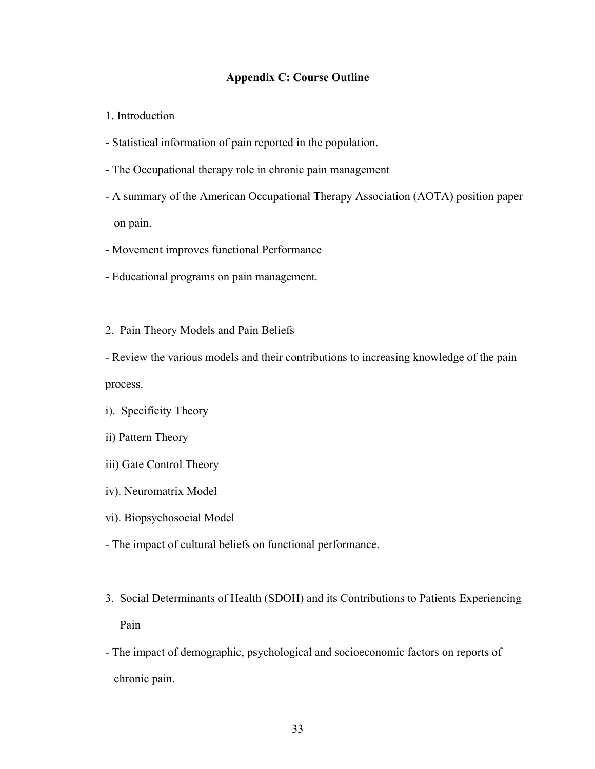## **Appendix C: Course Outline**

1. Introduction

- Statistical information of pain reported in the population.
- The Occupational therapy role in chronic pain management
- A summary of the American Occupational Therapy Association (AOTA) position paper on pain.
- Movement improves functional Performance
- Educational programs on pain management.
- 2. Pain Theory Models and Pain Beliefs

- Review the various models and their contributions to increasing knowledge of the pain process.

- i). Specificity Theory
- ii) Pattern Theory
- iii) Gate Control Theory
- iv). Neuromatrix Model
- vi). Biopsychosocial Model
- The impact of cultural beliefs on functional performance.
- 3. Social Determinants of Health (SDOH) and its Contributions to Patients Experiencing Pain
- The impact of demographic, psychological and socioeconomic factors on reports of chronic pain.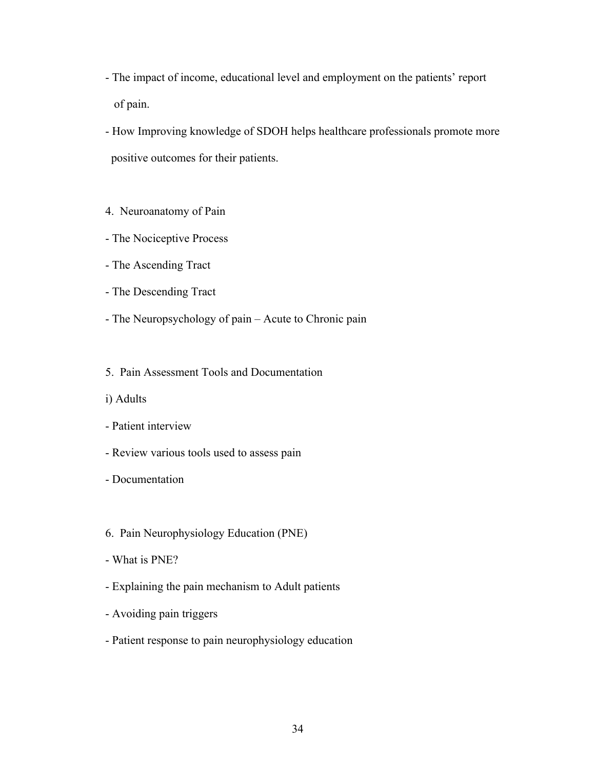- The impact of income, educational level and employment on the patients' report of pain.
- How Improving knowledge of SDOH helps healthcare professionals promote more positive outcomes for their patients.

#### 4. Neuroanatomy of Pain

- The Nociceptive Process
- The Ascending Tract
- The Descending Tract
- The Neuropsychology of pain Acute to Chronic pain
- 5. Pain Assessment Tools and Documentation
- i) Adults

#### - Patient interview

- Review various tools used to assess pain
- Documentation
- 6. Pain Neurophysiology Education (PNE)
- What is PNE?
- Explaining the pain mechanism to Adult patients
- Avoiding pain triggers
- Patient response to pain neurophysiology education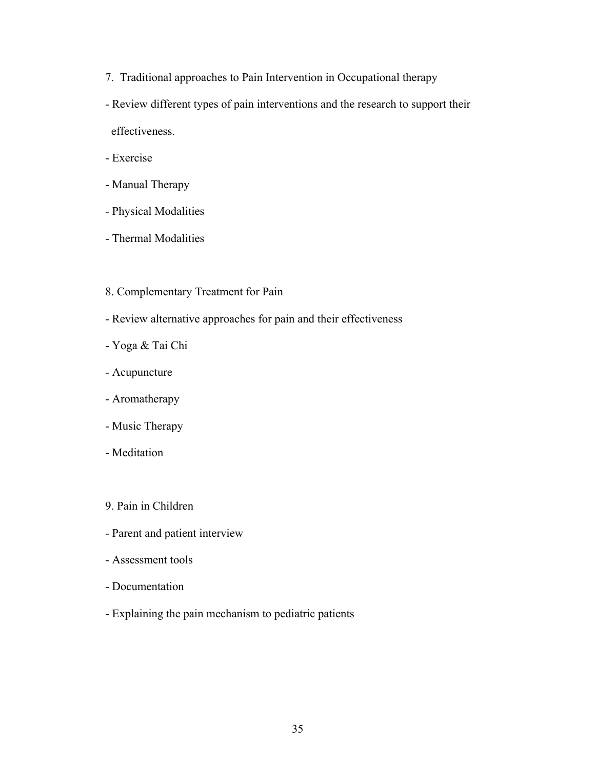- 7. Traditional approaches to Pain Intervention in Occupational therapy
- Review different types of pain interventions and the research to support their effectiveness.
- Exercise
- Manual Therapy
- Physical Modalities
- Thermal Modalities
- 8. Complementary Treatment for Pain
- Review alternative approaches for pain and their effectiveness
- Yoga & Tai Chi
- Acupuncture
- Aromatherapy
- Music Therapy
- Meditation
- 9. Pain in Children
- Parent and patient interview
- Assessment tools
- Documentation
- Explaining the pain mechanism to pediatric patients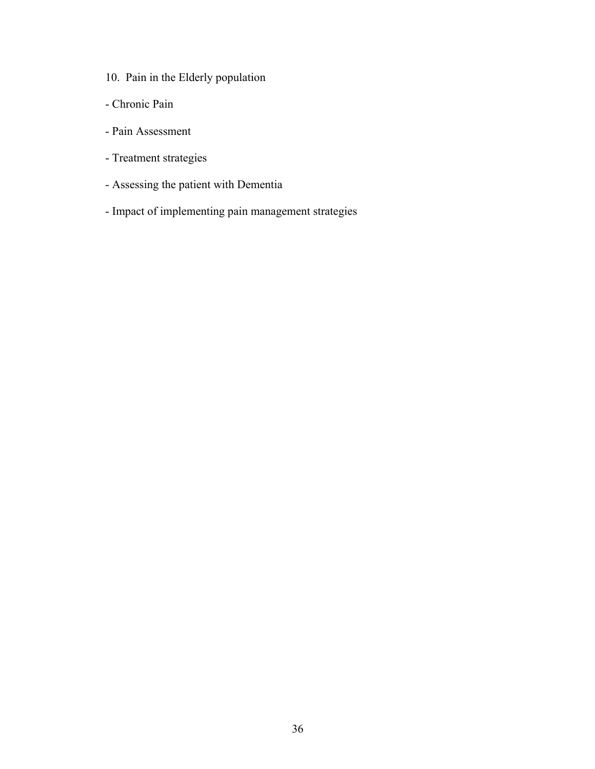- 10. Pain in the Elderly population
- Chronic Pain
- Pain Assessment
- Treatment strategies
- Assessing the patient with Dementia
- Impact of implementing pain management strategies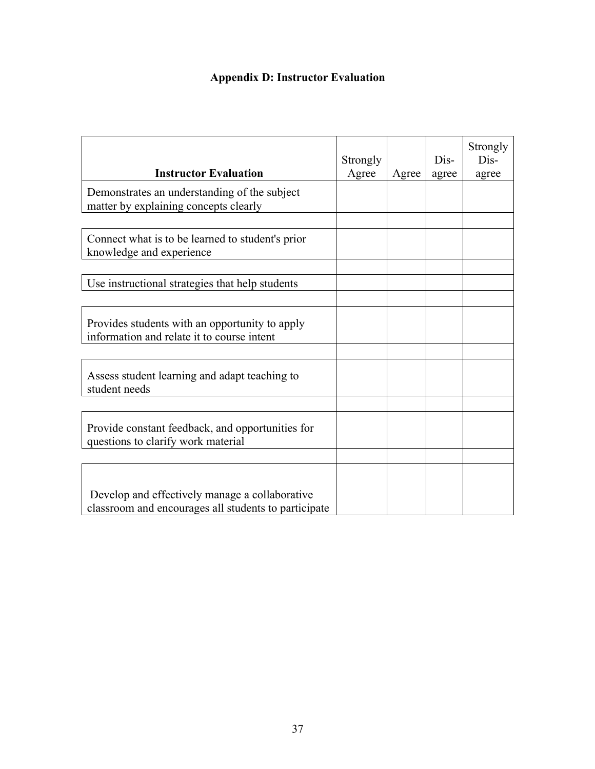# **Appendix D: Instructor Evaluation**

| <b>Instructor Evaluation</b>                                                                           | Strongly<br>Agree | Agree | Dis-<br>agree | Strongly<br>Dis-<br>agree |
|--------------------------------------------------------------------------------------------------------|-------------------|-------|---------------|---------------------------|
| Demonstrates an understanding of the subject<br>matter by explaining concepts clearly                  |                   |       |               |                           |
| Connect what is to be learned to student's prior<br>knowledge and experience                           |                   |       |               |                           |
| Use instructional strategies that help students                                                        |                   |       |               |                           |
| Provides students with an opportunity to apply<br>information and relate it to course intent           |                   |       |               |                           |
| Assess student learning and adapt teaching to<br>student needs                                         |                   |       |               |                           |
| Provide constant feedback, and opportunities for<br>questions to clarify work material                 |                   |       |               |                           |
|                                                                                                        |                   |       |               |                           |
| Develop and effectively manage a collaborative<br>classroom and encourages all students to participate |                   |       |               |                           |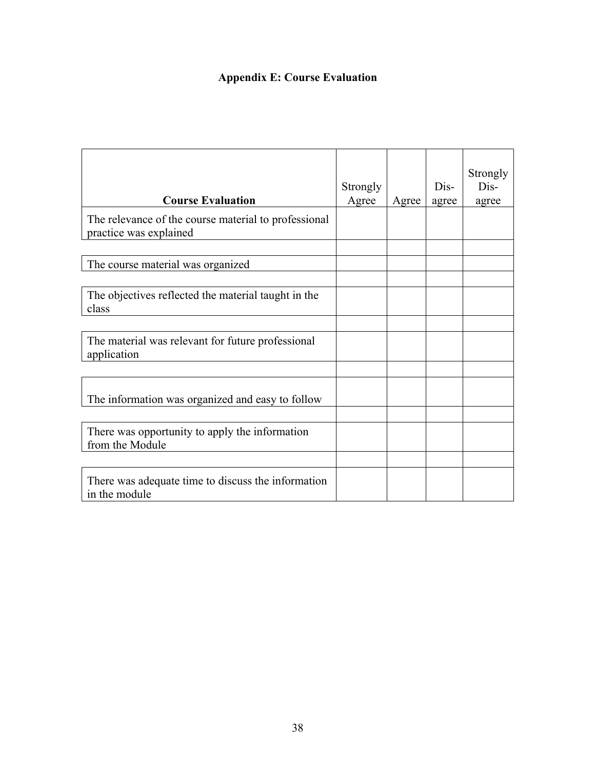# **Appendix E: Course Evaluation**

| <b>Course Evaluation</b>                                                       | Strongly<br>Agree | Agree | Dis-<br>agree | Strongly<br>Dis-<br>agree |
|--------------------------------------------------------------------------------|-------------------|-------|---------------|---------------------------|
| The relevance of the course material to professional<br>practice was explained |                   |       |               |                           |
| The course material was organized                                              |                   |       |               |                           |
| The objectives reflected the material taught in the<br>class                   |                   |       |               |                           |
| The material was relevant for future professional<br>application               |                   |       |               |                           |
| The information was organized and easy to follow                               |                   |       |               |                           |
|                                                                                |                   |       |               |                           |
| There was opportunity to apply the information<br>from the Module              |                   |       |               |                           |
|                                                                                |                   |       |               |                           |
| There was adequate time to discuss the information<br>in the module            |                   |       |               |                           |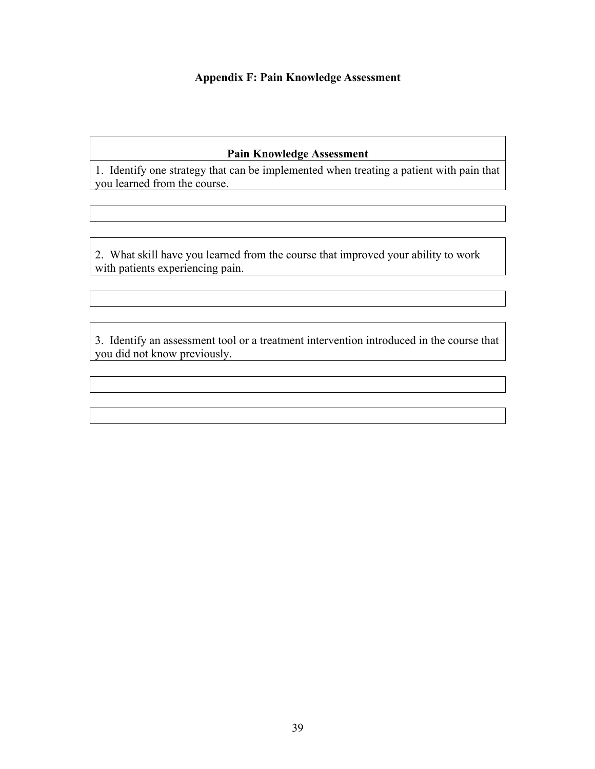## **Appendix F: Pain Knowledge Assessment**

# **Pain Knowledge Assessment**

1. Identify one strategy that can be implemented when treating a patient with pain that you learned from the course.

2. What skill have you learned from the course that improved your ability to work with patients experiencing pain.

3. Identify an assessment tool or a treatment intervention introduced in the course that you did not know previously.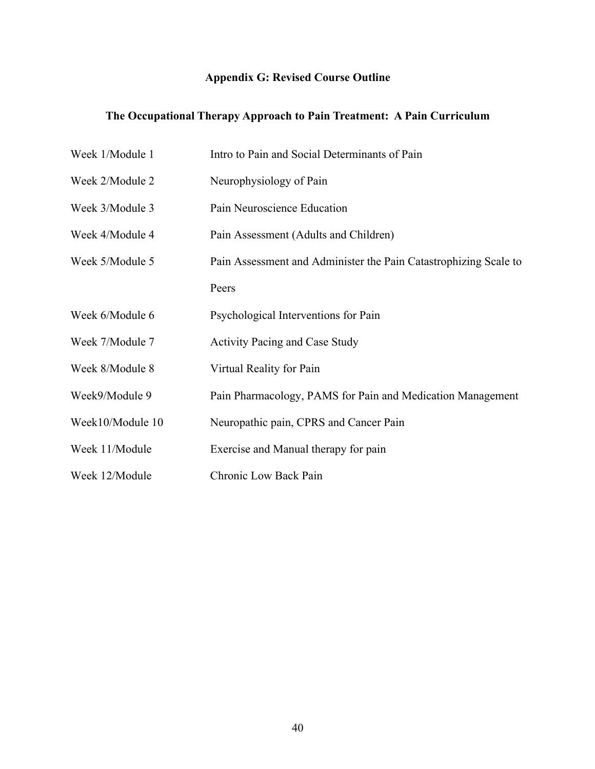# **Appendix G: Revised Course Outline**

# **The Occupational Therapy Approach to Pain Treatment: A Pain Curriculum**

| Week 1/Module 1  | Intro to Pain and Social Determinants of Pain                    |
|------------------|------------------------------------------------------------------|
| Week 2/Module 2  | Neurophysiology of Pain                                          |
| Week 3/Module 3  | Pain Neuroscience Education                                      |
| Week 4/Module 4  | Pain Assessment (Adults and Children)                            |
| Week 5/Module 5  | Pain Assessment and Administer the Pain Catastrophizing Scale to |
|                  | Peers                                                            |
| Week 6/Module 6  | Psychological Interventions for Pain                             |
| Week 7/Module 7  | <b>Activity Pacing and Case Study</b>                            |
| Week 8/Module 8  | Virtual Reality for Pain                                         |
| Week9/Module 9   | Pain Pharmacology, PAMS for Pain and Medication Management       |
| Week10/Module 10 | Neuropathic pain, CPRS and Cancer Pain                           |
| Week 11/Module   | Exercise and Manual therapy for pain                             |
| Week 12/Module   | Chronic Low Back Pain                                            |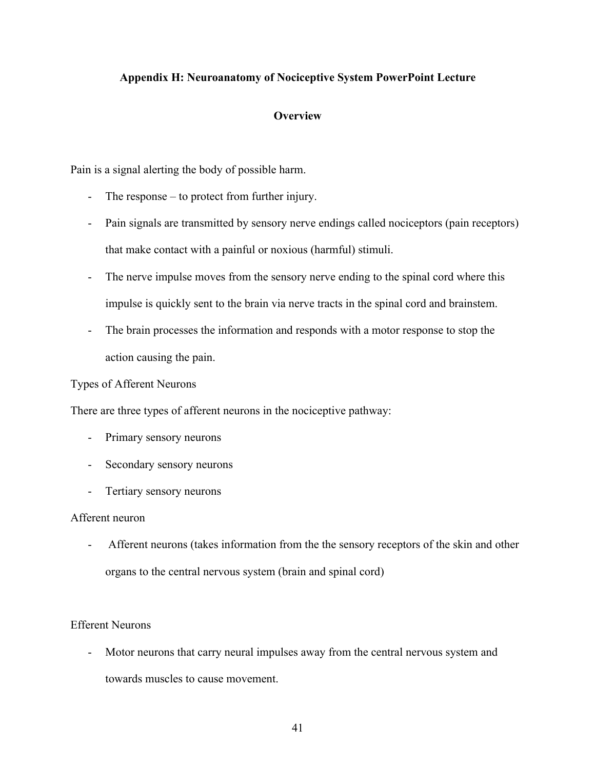## **Appendix H: Neuroanatomy of Nociceptive System PowerPoint Lecture**

## **Overview**

Pain is a signal alerting the body of possible harm.

- The response to protect from further injury.
- Pain signals are transmitted by sensory nerve endings called nociceptors (pain receptors) that make contact with a painful or noxious (harmful) stimuli.
- The nerve impulse moves from the sensory nerve ending to the spinal cord where this impulse is quickly sent to the brain via nerve tracts in the spinal cord and brainstem.
- The brain processes the information and responds with a motor response to stop the action causing the pain.

## Types of Afferent Neurons

There are three types of afferent neurons in the nociceptive pathway:

- Primary sensory neurons
- Secondary sensory neurons
- Tertiary sensory neurons

## Afferent neuron

- Afferent neurons (takes information from the the sensory receptors of the skin and other organs to the central nervous system (brain and spinal cord)

## Efferent Neurons

- Motor neurons that carry neural impulses away from the central nervous system and towards muscles to cause movement.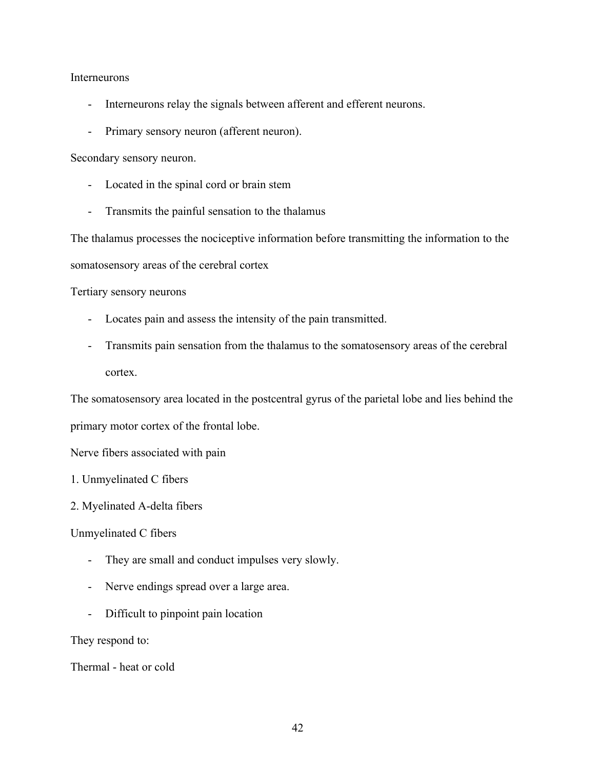Interneurons

- Interneurons relay the signals between afferent and efferent neurons.
- Primary sensory neuron (afferent neuron).

Secondary sensory neuron.

- Located in the spinal cord or brain stem
- Transmits the painful sensation to the thalamus

The thalamus processes the nociceptive information before transmitting the information to the somatosensory areas of the cerebral cortex

Tertiary sensory neurons

- Locates pain and assess the intensity of the pain transmitted.
- Transmits pain sensation from the thalamus to the somatosensory areas of the cerebral cortex.

The somatosensory area located in the postcentral gyrus of the parietal lobe and lies behind the primary motor cortex of the frontal lobe.

Nerve fibers associated with pain

- 1. Unmyelinated C fibers
- 2. Myelinated A-delta fibers

Unmyelinated C fibers

- They are small and conduct impulses very slowly.
- Nerve endings spread over a large area.
- Difficult to pinpoint pain location

They respond to:

Thermal - heat or cold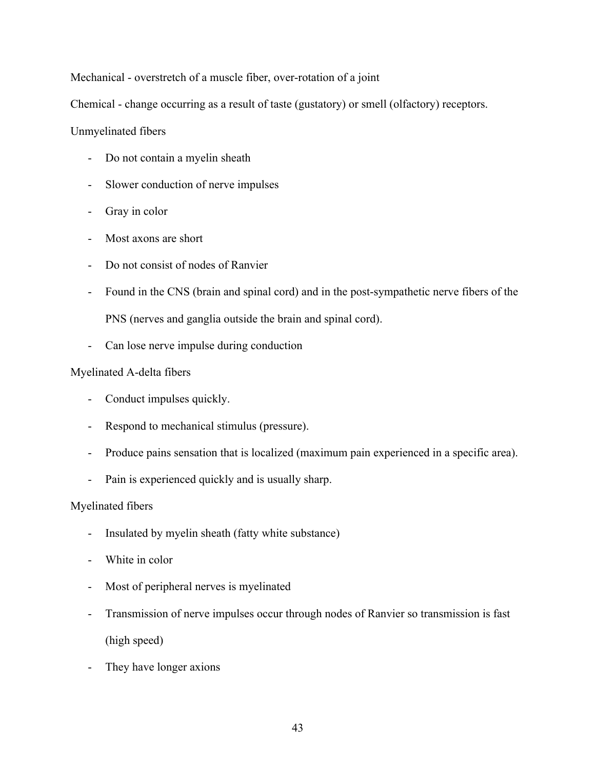Mechanical - overstretch of a muscle fiber, over-rotation of a joint

Chemical - change occurring as a result of taste (gustatory) or smell (olfactory) receptors.

## Unmyelinated fibers

- Do not contain a myelin sheath
- Slower conduction of nerve impulses
- Gray in color
- Most axons are short
- Do not consist of nodes of Ranvier
- Found in the CNS (brain and spinal cord) and in the post-sympathetic nerve fibers of the PNS (nerves and ganglia outside the brain and spinal cord).
- Can lose nerve impulse during conduction

## Myelinated A-delta fibers

- Conduct impulses quickly.
- Respond to mechanical stimulus (pressure).
- Produce pains sensation that is localized (maximum pain experienced in a specific area).
- Pain is experienced quickly and is usually sharp.

## Myelinated fibers

- Insulated by myelin sheath (fatty white substance)
- White in color
- Most of peripheral nerves is myelinated
- Transmission of nerve impulses occur through nodes of Ranvier so transmission is fast (high speed)
- They have longer axions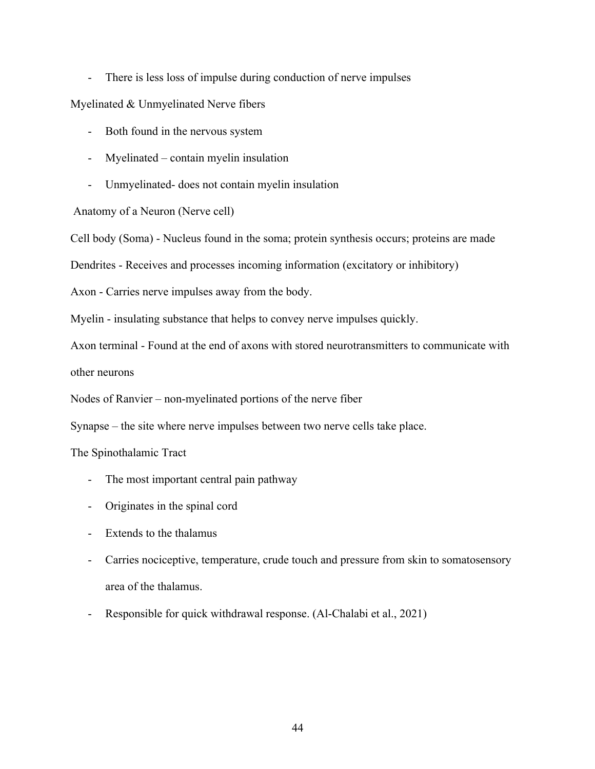- There is less loss of impulse during conduction of nerve impulses

Myelinated & Unmyelinated Nerve fibers

- Both found in the nervous system
- Myelinated contain myelin insulation
- Unmyelinated- does not contain myelin insulation

Anatomy of a Neuron (Nerve cell)

Cell body (Soma) - Nucleus found in the soma; protein synthesis occurs; proteins are made

Dendrites - Receives and processes incoming information (excitatory or inhibitory)

Axon - Carries nerve impulses away from the body.

Myelin - insulating substance that helps to convey nerve impulses quickly.

Axon terminal - Found at the end of axons with stored neurotransmitters to communicate with

other neurons

Nodes of Ranvier – non-myelinated portions of the nerve fiber

Synapse – the site where nerve impulses between two nerve cells take place.

The Spinothalamic Tract

- The most important central pain pathway
- Originates in the spinal cord
- Extends to the thalamus
- Carries nociceptive, temperature, crude touch and pressure from skin to somatosensory area of the thalamus.
- Responsible for quick withdrawal response. (Al-Chalabi et al., 2021)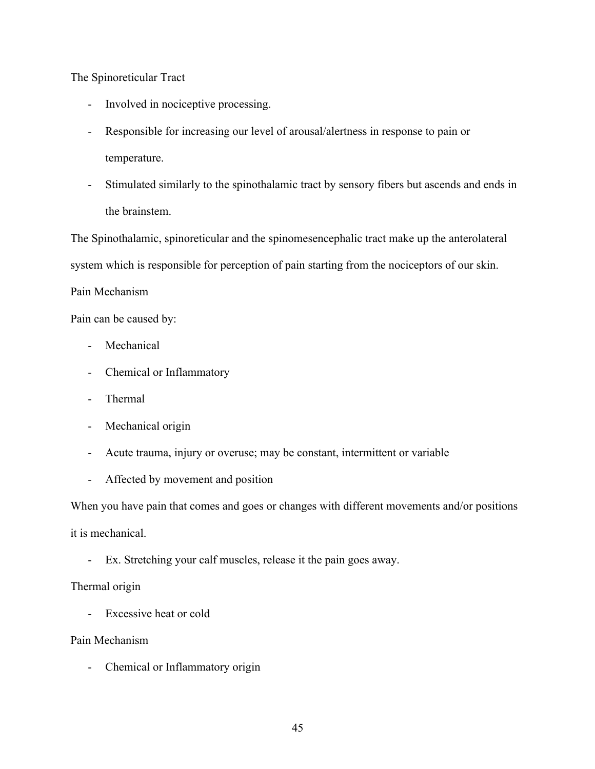The Spinoreticular Tract

- Involved in nociceptive processing.
- Responsible for increasing our level of arousal/alertness in response to pain or temperature.
- Stimulated similarly to the spinothalamic tract by sensory fibers but ascends and ends in the brainstem.

The Spinothalamic, spinoreticular and the spinomesencephalic tract make up the anterolateral system which is responsible for perception of pain starting from the nociceptors of our skin.

## Pain Mechanism

Pain can be caused by:

- Mechanical
- Chemical or Inflammatory
- Thermal
- Mechanical origin
- Acute trauma, injury or overuse; may be constant, intermittent or variable
- Affected by movement and position

When you have pain that comes and goes or changes with different movements and/or positions

it is mechanical.

- Ex. Stretching your calf muscles, release it the pain goes away.

## Thermal origin

- Excessive heat or cold

Pain Mechanism

- Chemical or Inflammatory origin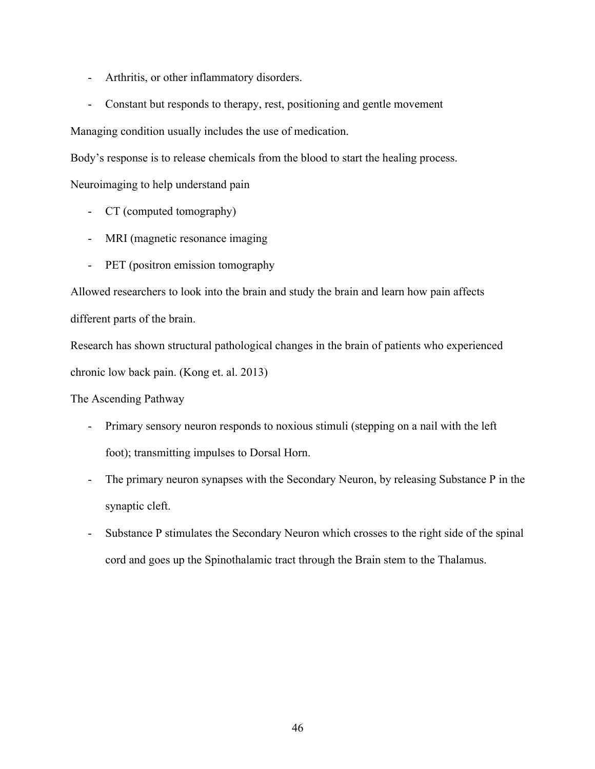- Arthritis, or other inflammatory disorders.
- Constant but responds to therapy, rest, positioning and gentle movement

Managing condition usually includes the use of medication.

Body's response is to release chemicals from the blood to start the healing process.

Neuroimaging to help understand pain

- CT (computed tomography)
- MRI (magnetic resonance imaging
- PET (positron emission tomography

Allowed researchers to look into the brain and study the brain and learn how pain affects different parts of the brain.

Research has shown structural pathological changes in the brain of patients who experienced chronic low back pain. (Kong et. al. 2013)

The Ascending Pathway

- Primary sensory neuron responds to noxious stimuli (stepping on a nail with the left foot); transmitting impulses to Dorsal Horn.
- The primary neuron synapses with the Secondary Neuron, by releasing Substance P in the synaptic cleft.
- Substance P stimulates the Secondary Neuron which crosses to the right side of the spinal cord and goes up the Spinothalamic tract through the Brain stem to the Thalamus.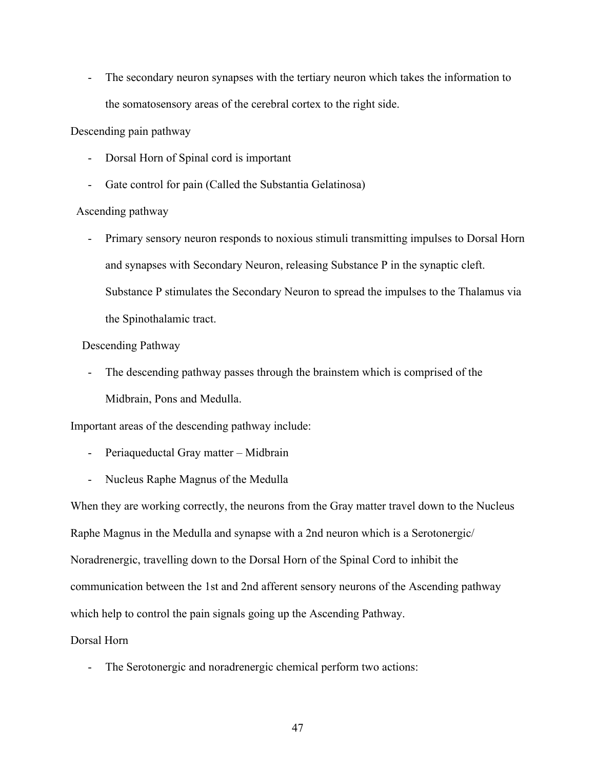- The secondary neuron synapses with the tertiary neuron which takes the information to the somatosensory areas of the cerebral cortex to the right side.

Descending pain pathway

- Dorsal Horn of Spinal cord is important
- Gate control for pain (Called the Substantia Gelatinosa)

#### Ascending pathway

- Primary sensory neuron responds to noxious stimuli transmitting impulses to Dorsal Horn and synapses with Secondary Neuron, releasing Substance P in the synaptic cleft. Substance P stimulates the Secondary Neuron to spread the impulses to the Thalamus via the Spinothalamic tract.

#### Descending Pathway

The descending pathway passes through the brainstem which is comprised of the Midbrain, Pons and Medulla.

Important areas of the descending pathway include:

- Periaqueductal Gray matter Midbrain
- Nucleus Raphe Magnus of the Medulla

When they are working correctly, the neurons from the Gray matter travel down to the Nucleus Raphe Magnus in the Medulla and synapse with a 2nd neuron which is a Serotonergic/ Noradrenergic, travelling down to the Dorsal Horn of the Spinal Cord to inhibit the communication between the 1st and 2nd afferent sensory neurons of the Ascending pathway which help to control the pain signals going up the Ascending Pathway.

## Dorsal Horn

- The Serotonergic and noradrenergic chemical perform two actions: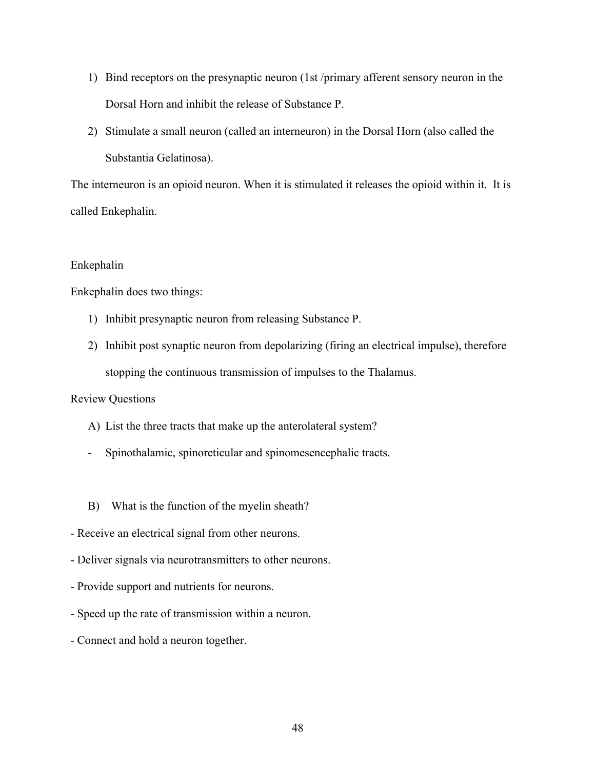- 1) Bind receptors on the presynaptic neuron (1st /primary afferent sensory neuron in the Dorsal Horn and inhibit the release of Substance P.
- 2) Stimulate a small neuron (called an interneuron) in the Dorsal Horn (also called the Substantia Gelatinosa).

The interneuron is an opioid neuron. When it is stimulated it releases the opioid within it. It is called Enkephalin.

#### Enkephalin

Enkephalin does two things:

- 1) Inhibit presynaptic neuron from releasing Substance P.
- 2) Inhibit post synaptic neuron from depolarizing (firing an electrical impulse), therefore stopping the continuous transmission of impulses to the Thalamus.

Review Questions

- A) List the three tracts that make up the anterolateral system?
- Spinothalamic, spinoreticular and spinomesencephalic tracts.
- B) What is the function of the myelin sheath?
- Receive an electrical signal from other neurons.
- Deliver signals via neurotransmitters to other neurons.
- Provide support and nutrients for neurons.
- Speed up the rate of transmission within a neuron.
- Connect and hold a neuron together.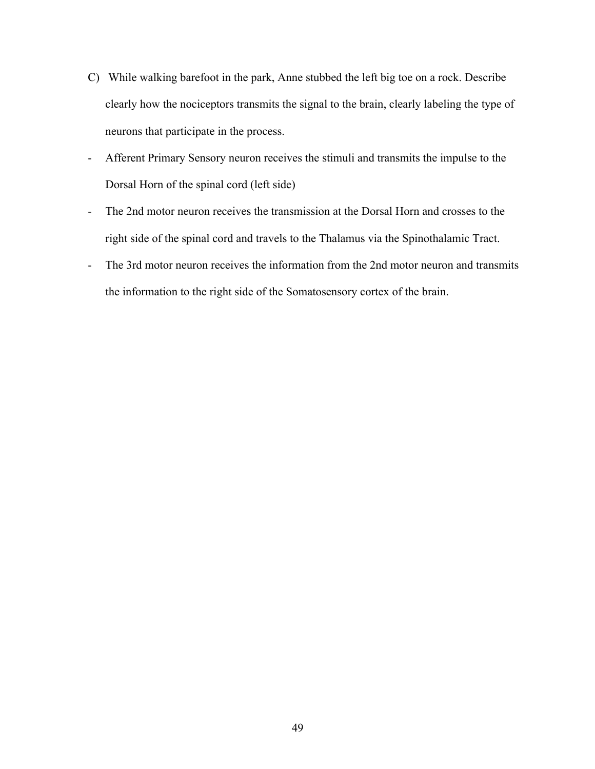- C) While walking barefoot in the park, Anne stubbed the left big toe on a rock. Describe clearly how the nociceptors transmits the signal to the brain, clearly labeling the type of neurons that participate in the process.
- Afferent Primary Sensory neuron receives the stimuli and transmits the impulse to the Dorsal Horn of the spinal cord (left side)
- The 2nd motor neuron receives the transmission at the Dorsal Horn and crosses to the right side of the spinal cord and travels to the Thalamus via the Spinothalamic Tract.
- The 3rd motor neuron receives the information from the 2nd motor neuron and transmits the information to the right side of the Somatosensory cortex of the brain.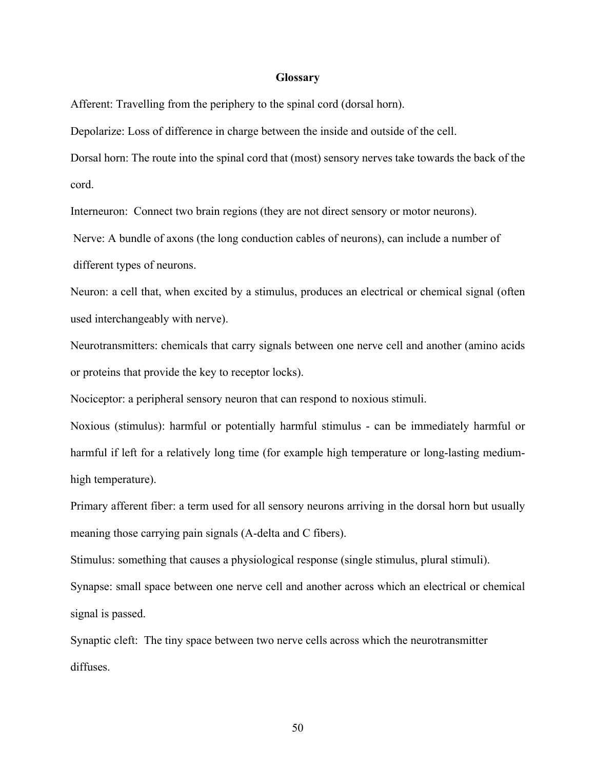## **Glossary**

Afferent: Travelling from the periphery to the spinal cord (dorsal horn).

Depolarize: Loss of difference in charge between the inside and outside of the cell.

Dorsal horn: The route into the spinal cord that (most) sensory nerves take towards the back of the cord.

Interneuron: Connect two brain regions (they are not direct sensory or motor neurons).

Nerve: A bundle of axons (the long conduction cables of neurons), can include a number of different types of neurons.

Neuron: a cell that, when excited by a stimulus, produces an electrical or chemical signal (often used interchangeably with nerve).

Neurotransmitters: chemicals that carry signals between one nerve cell and another (amino acids or proteins that provide the key to receptor locks).

Nociceptor: a peripheral sensory neuron that can respond to noxious stimuli.

Noxious (stimulus): harmful or potentially harmful stimulus - can be immediately harmful or harmful if left for a relatively long time (for example high temperature or long-lasting mediumhigh temperature).

Primary afferent fiber: a term used for all sensory neurons arriving in the dorsal horn but usually meaning those carrying pain signals (A-delta and C fibers).

Stimulus: something that causes a physiological response (single stimulus, plural stimuli).

Synapse: small space between one nerve cell and another across which an electrical or chemical signal is passed.

Synaptic cleft: The tiny space between two nerve cells across which the neurotransmitter diffuses.

50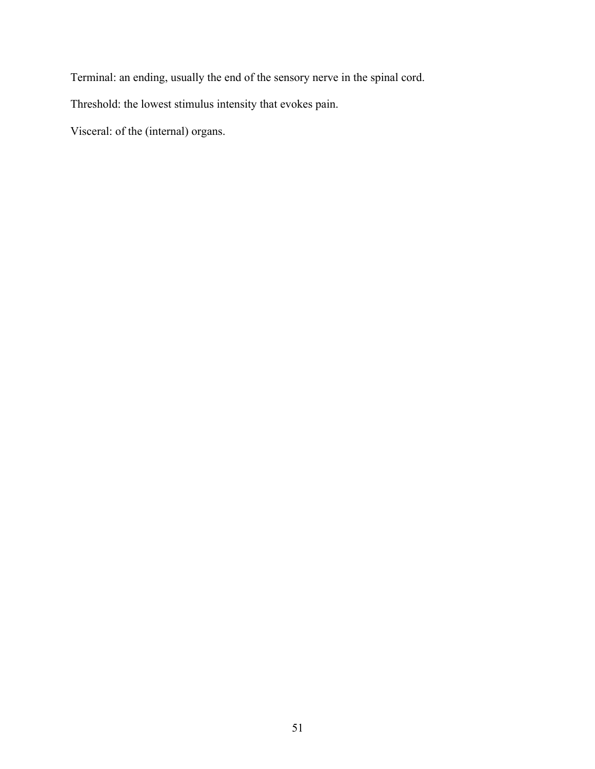Terminal: an ending, usually the end of the sensory nerve in the spinal cord.

Threshold: the lowest stimulus intensity that evokes pain.

Visceral: of the (internal) organs.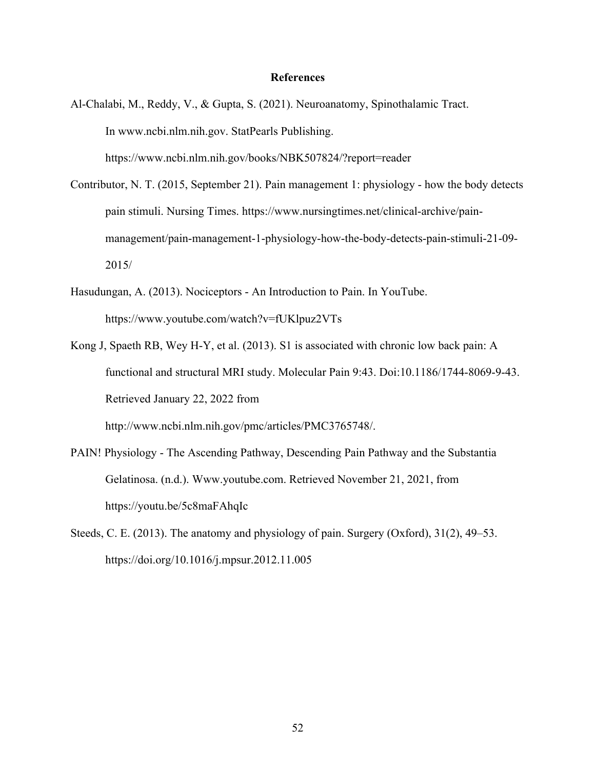#### **References**

- Al-Chalabi, M., Reddy, V., & Gupta, S. (2021). Neuroanatomy, Spinothalamic Tract. In www.ncbi.nlm.nih.gov. StatPearls Publishing. https://www.ncbi.nlm.nih.gov/books/NBK507824/?report=reader
- Contributor, N. T. (2015, September 21). Pain management 1: physiology how the body detects pain stimuli. Nursing Times. https://www.nursingtimes.net/clinical-archive/painmanagement/pain-management-1-physiology-how-the-body-detects-pain-stimuli-21-09- 2015/
- Hasudungan, A. (2013). Nociceptors An Introduction to Pain. In YouTube. https://www.youtube.com/watch?v=fUKlpuz2VTs
- Kong J, Spaeth RB, Wey H-Y, et al. (2013). S1 is associated with chronic low back pain: A functional and structural MRI study. Molecular Pain 9:43. Doi:10.1186/1744-8069-9-43. Retrieved January 22, 2022 from

http://www.ncbi.nlm.nih.gov/pmc/articles/PMC3765748/.

- PAIN! Physiology The Ascending Pathway, Descending Pain Pathway and the Substantia Gelatinosa. (n.d.). Www.youtube.com. Retrieved November 21, 2021, from https://youtu.be/5c8maFAhqIc
- Steeds, C. E. (2013). The anatomy and physiology of pain. Surgery (Oxford), 31(2), 49–53. https://doi.org/10.1016/j.mpsur.2012.11.005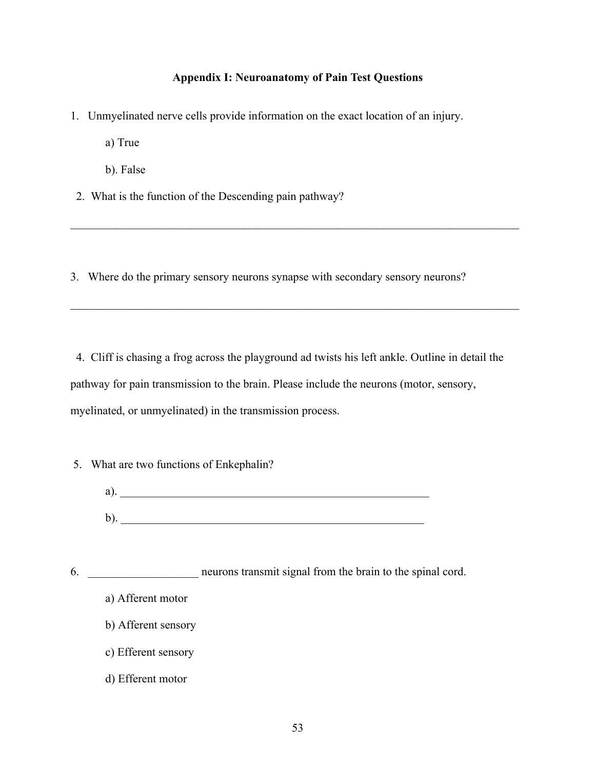## **Appendix I: Neuroanatomy of Pain Test Questions**

1. Unmyelinated nerve cells provide information on the exact location of an injury.

a) True

b). False

2. What is the function of the Descending pain pathway?

3. Where do the primary sensory neurons synapse with secondary sensory neurons?

4. Cliff is chasing a frog across the playground ad twists his left ankle. Outline in detail the pathway for pain transmission to the brain. Please include the neurons (motor, sensory, myelinated, or unmyelinated) in the transmission process.

- 5. What are two functions of Enkephalin?
	- a).  $\blacksquare$  $\mathbf{b}$ ).

6. **Example 10** neurons transmit signal from the brain to the spinal cord.

- a) Afferent motor
- b) Afferent sensory
- c) Efferent sensory
- d) Efferent motor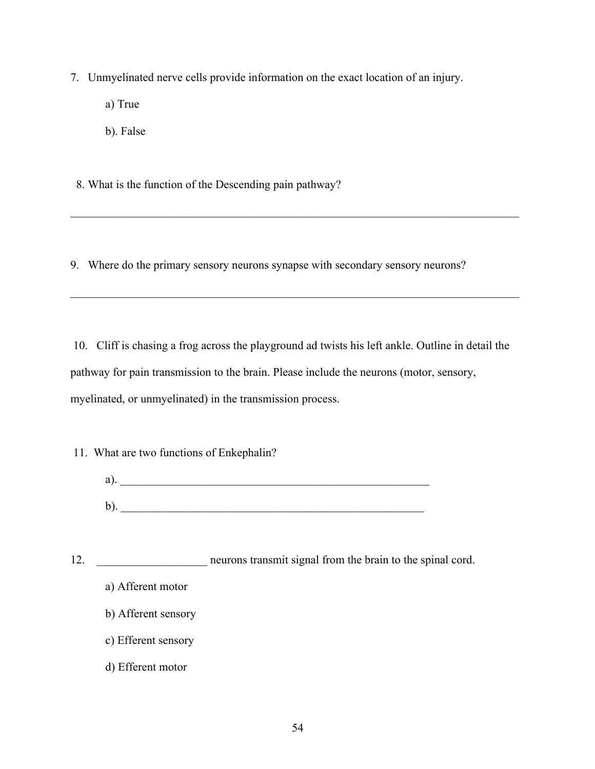7. Unmyelinated nerve cells provide information on the exact location of an injury.

- a) True
- b). False

8. What is the function of the Descending pain pathway?

9. Where do the primary sensory neurons synapse with secondary sensory neurons?

10. Cliff is chasing a frog across the playground ad twists his left ankle. Outline in detail the pathway for pain transmission to the brain. Please include the neurons (motor, sensory, myelinated, or unmyelinated) in the transmission process.

11. What are two functions of Enkephalin?

| a      |  |  |  |
|--------|--|--|--|
|        |  |  |  |
| ь<br>U |  |  |  |

12. **\_\_\_\_\_\_\_\_\_\_\_\_\_\_\_\_\_\_** neurons transmit signal from the brain to the spinal cord.

- a) Afferent motor
- b) Afferent sensory
- c) Efferent sensory
- d) Efferent motor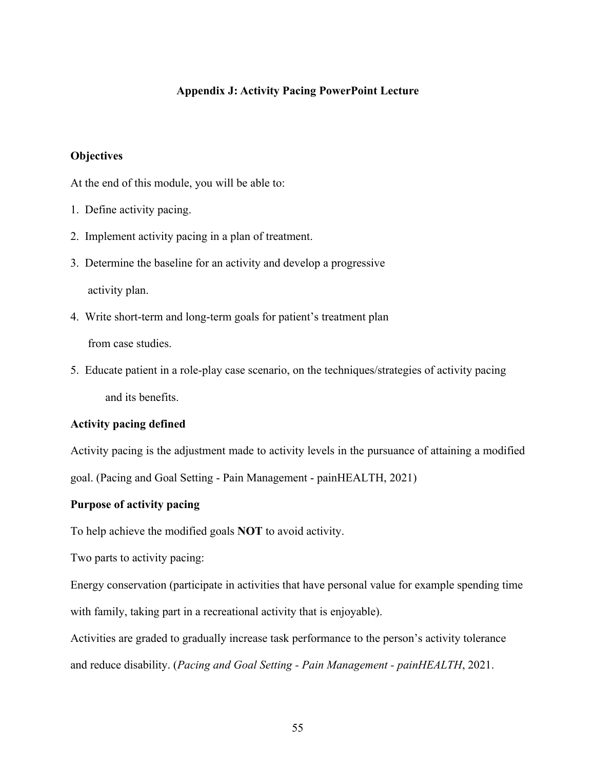## **Appendix J: Activity Pacing PowerPoint Lecture**

## **Objectives**

At the end of this module, you will be able to:

- 1. Define activity pacing.
- 2. Implement activity pacing in a plan of treatment.
- 3. Determine the baseline for an activity and develop a progressive

activity plan.

- 4. Write short-term and long-term goals for patient's treatment plan from case studies.
- 5. Educate patient in a role-play case scenario, on the techniques/strategies of activity pacing and its benefits.

## **Activity pacing defined**

Activity pacing is the adjustment made to activity levels in the pursuance of attaining a modified goal. (Pacing and Goal Setting - Pain Management - painHEALTH, 2021)

### **Purpose of activity pacing**

To help achieve the modified goals **NOT** to avoid activity.

Two parts to activity pacing:

Energy conservation (participate in activities that have personal value for example spending time with family, taking part in a recreational activity that is enjoyable).

Activities are graded to gradually increase task performance to the person's activity tolerance and reduce disability. (*Pacing and Goal Setting - Pain Management - painHEALTH*, 2021.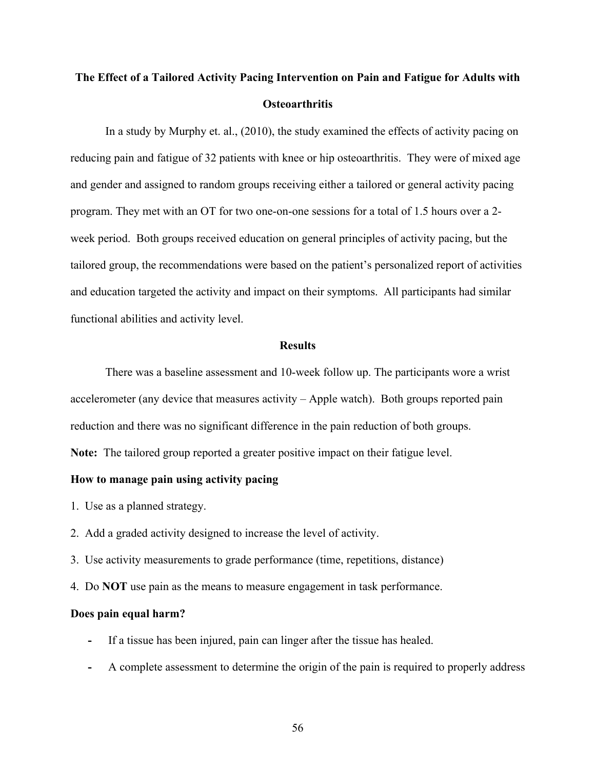# **The Effect of a Tailored Activity Pacing Intervention on Pain and Fatigue for Adults with Osteoarthritis**

In a study by Murphy et. al., (2010), the study examined the effects of activity pacing on reducing pain and fatigue of 32 patients with knee or hip osteoarthritis. They were of mixed age and gender and assigned to random groups receiving either a tailored or general activity pacing program. They met with an OT for two one-on-one sessions for a total of 1.5 hours over a 2 week period. Both groups received education on general principles of activity pacing, but the tailored group, the recommendations were based on the patient's personalized report of activities and education targeted the activity and impact on their symptoms. All participants had similar functional abilities and activity level.

#### **Results**

There was a baseline assessment and 10-week follow up. The participants wore a wrist accelerometer (any device that measures activity – Apple watch). Both groups reported pain reduction and there was no significant difference in the pain reduction of both groups. **Note:** The tailored group reported a greater positive impact on their fatigue level.

### **How to manage pain using activity pacing**

- 1. Use as a planned strategy.
- 2. Add a graded activity designed to increase the level of activity.
- 3. Use activity measurements to grade performance (time, repetitions, distance)
- 4. Do **NOT** use pain as the means to measure engagement in task performance.

### **Does pain equal harm?**

- **-** If a tissue has been injured, pain can linger after the tissue has healed.
- **-** A complete assessment to determine the origin of the pain is required to properly address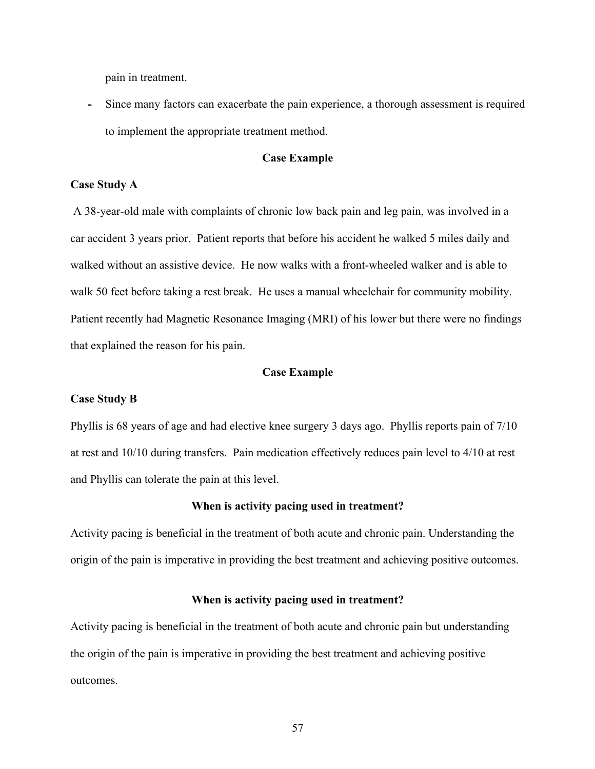pain in treatment.

**-** Since many factors can exacerbate the pain experience, a thorough assessment is required to implement the appropriate treatment method.

## **Case Example**

#### **Case Study A**

A 38-year-old male with complaints of chronic low back pain and leg pain, was involved in a car accident 3 years prior. Patient reports that before his accident he walked 5 miles daily and walked without an assistive device. He now walks with a front-wheeled walker and is able to walk 50 feet before taking a rest break. He uses a manual wheelchair for community mobility. Patient recently had Magnetic Resonance Imaging (MRI) of his lower but there were no findings that explained the reason for his pain.

#### **Case Example**

#### **Case Study B**

Phyllis is 68 years of age and had elective knee surgery 3 days ago. Phyllis reports pain of 7/10 at rest and 10/10 during transfers. Pain medication effectively reduces pain level to 4/10 at rest and Phyllis can tolerate the pain at this level.

#### **When is activity pacing used in treatment?**

Activity pacing is beneficial in the treatment of both acute and chronic pain. Understanding the origin of the pain is imperative in providing the best treatment and achieving positive outcomes.

#### **When is activity pacing used in treatment?**

Activity pacing is beneficial in the treatment of both acute and chronic pain but understanding the origin of the pain is imperative in providing the best treatment and achieving positive outcomes.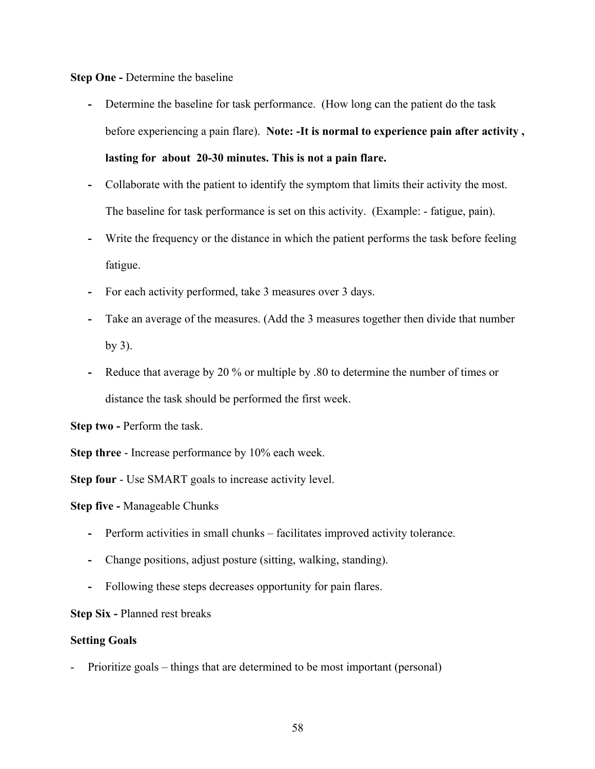**Step One -** Determine the baseline

- **-** Determine the baseline for task performance. (How long can the patient do the task before experiencing a pain flare). **Note: -It is normal to experience pain after activity , lasting for about 20-30 minutes. This is not a pain flare.**
- **-** Collaborate with the patient to identify the symptom that limits their activity the most. The baseline for task performance is set on this activity. (Example: - fatigue, pain).
- **-** Write the frequency or the distance in which the patient performs the task before feeling fatigue.
- **-** For each activity performed, take 3 measures over 3 days.
- **-** Take an average of the measures. (Add the 3 measures together then divide that number by 3).
- **-** Reduce that average by 20 % or multiple by .80 to determine the number of times or distance the task should be performed the first week.

**Step two -** Perform the task.

**Step three** - Increase performance by 10% each week.

**Step four** - Use SMART goals to increase activity level.

**Step five -** Manageable Chunks

- **-** Perform activities in small chunks facilitates improved activity tolerance.
- **-** Change positions, adjust posture (sitting, walking, standing).
- **-** Following these steps decreases opportunity for pain flares.

**Step Six -** Planned rest breaks

### **Setting Goals**

Prioritize goals – things that are determined to be most important (personal)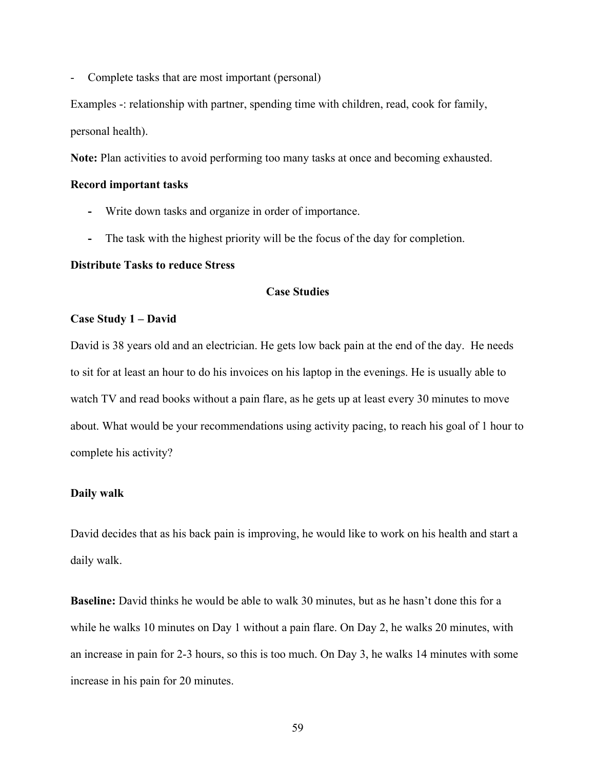- Complete tasks that are most important (personal)

Examples -: relationship with partner, spending time with children, read, cook for family, personal health).

**Note:** Plan activities to avoid performing too many tasks at once and becoming exhausted.

#### **Record important tasks**

- **-** Write down tasks and organize in order of importance.
- **-** The task with the highest priority will be the focus of the day for completion.

#### **Distribute Tasks to reduce Stress**

## **Case Studies**

### **Case Study 1 – David**

David is 38 years old and an electrician. He gets low back pain at the end of the day. He needs to sit for at least an hour to do his invoices on his laptop in the evenings. He is usually able to watch TV and read books without a pain flare, as he gets up at least every 30 minutes to move about. What would be your recommendations using activity pacing, to reach his goal of 1 hour to complete his activity?

### **Daily walk**

David decides that as his back pain is improving, he would like to work on his health and start a daily walk.

**Baseline:** David thinks he would be able to walk 30 minutes, but as he hasn't done this for a while he walks 10 minutes on Day 1 without a pain flare. On Day 2, he walks 20 minutes, with an increase in pain for 2-3 hours, so this is too much. On Day 3, he walks 14 minutes with some increase in his pain for 20 minutes.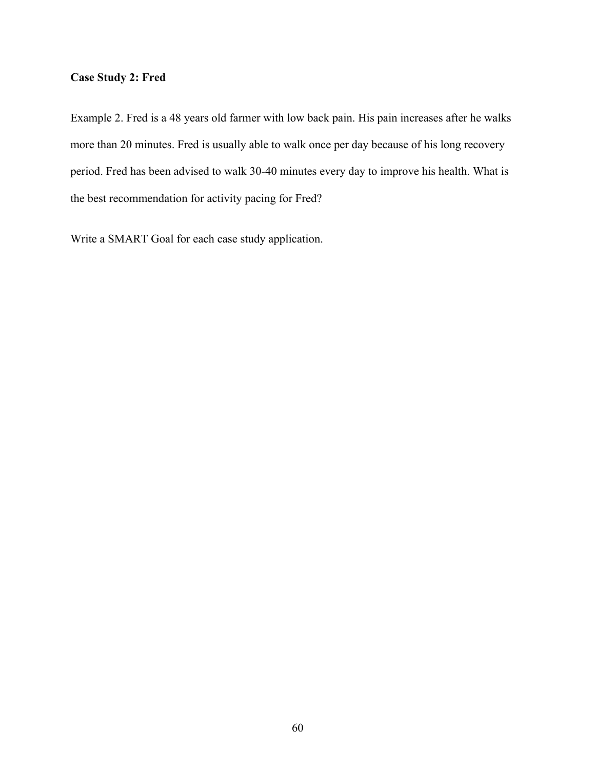# **Case Study 2: Fred**

Example 2. Fred is a 48 years old farmer with low back pain. His pain increases after he walks more than 20 minutes. Fred is usually able to walk once per day because of his long recovery period. Fred has been advised to walk 30-40 minutes every day to improve his health. What is the best recommendation for activity pacing for Fred?

Write a SMART Goal for each case study application.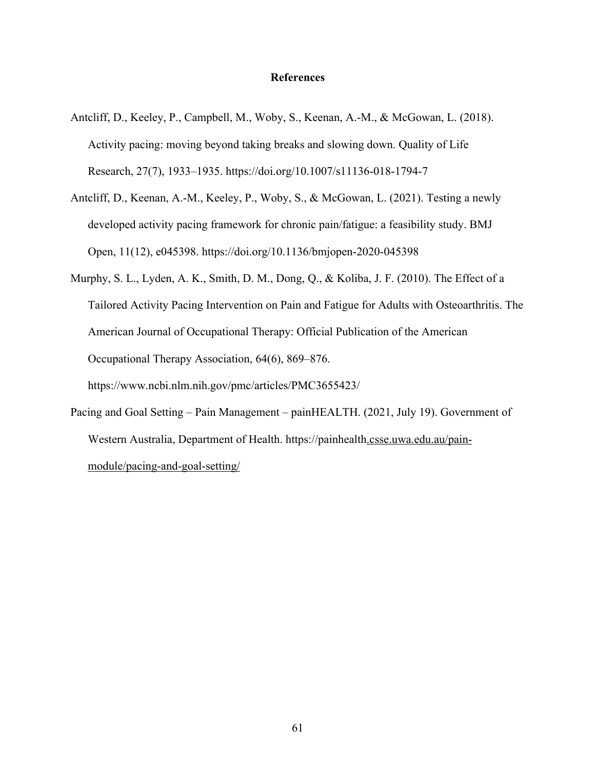## **References**

- Antcliff, D., Keeley, P., Campbell, M., Woby, S., Keenan, A.-M., & McGowan, L. (2018). Activity pacing: moving beyond taking breaks and slowing down. Quality of Life Research, 27(7), 1933–1935. https://doi.org/10.1007/s11136-018-1794-7
- Antcliff, D., Keenan, A.-M., Keeley, P., Woby, S., & McGowan, L. (2021). Testing a newly developed activity pacing framework for chronic pain/fatigue: a feasibility study. BMJ Open, 11(12), e045398. https://doi.org/10.1136/bmjopen-2020-045398
- Murphy, S. L., Lyden, A. K., Smith, D. M., Dong, Q., & Koliba, J. F. (2010). The Effect of a Tailored Activity Pacing Intervention on Pain and Fatigue for Adults with Osteoarthritis. The American Journal of Occupational Therapy: Official Publication of the American Occupational Therapy Association, 64(6), 869–876. https://www.ncbi.nlm.nih.gov/pmc/articles/PMC3655423/
- Pacing and Goal Setting Pain Management painHEALTH. (2021, July 19). Government of Western Australia, Department of Health. https://painhealth.csse.uwa.edu.au/painmodule/pacing-and-goal-setting/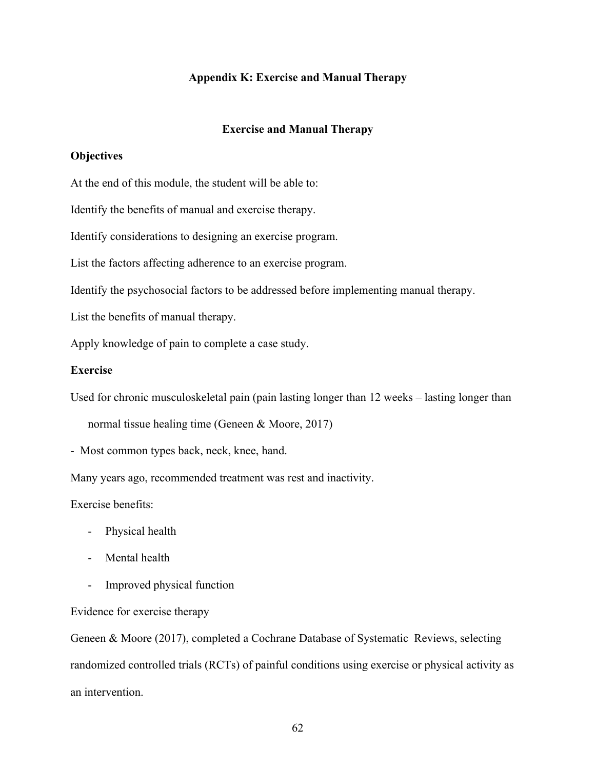### **Appendix K: Exercise and Manual Therapy**

#### **Exercise and Manual Therapy**

# **Objectives**

At the end of this module, the student will be able to:

Identify the benefits of manual and exercise therapy.

Identify considerations to designing an exercise program.

List the factors affecting adherence to an exercise program.

Identify the psychosocial factors to be addressed before implementing manual therapy.

List the benefits of manual therapy.

Apply knowledge of pain to complete a case study.

## **Exercise**

Used for chronic musculoskeletal pain (pain lasting longer than 12 weeks – lasting longer than

normal tissue healing time (Geneen & Moore, 2017)

- Most common types back, neck, knee, hand.

Many years ago, recommended treatment was rest and inactivity.

Exercise benefits:

- Physical health
- Mental health
- Improved physical function

#### Evidence for exercise therapy

Geneen & Moore (2017), completed a Cochrane Database of Systematic Reviews, selecting randomized controlled trials (RCTs) of painful conditions using exercise or physical activity as an intervention.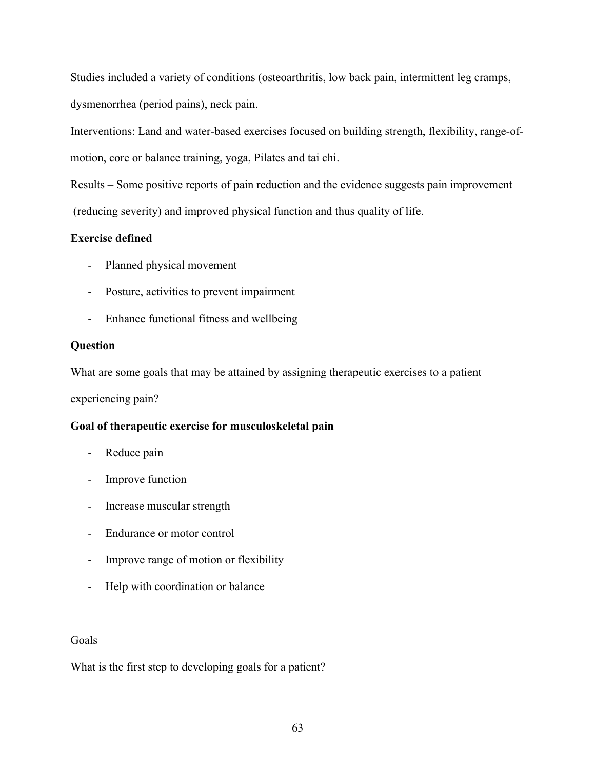Studies included a variety of conditions (osteoarthritis, low back pain, intermittent leg cramps, dysmenorrhea (period pains), neck pain.

Interventions: Land and water-based exercises focused on building strength, flexibility, range-ofmotion, core or balance training, yoga, Pilates and tai chi.

Results – Some positive reports of pain reduction and the evidence suggests pain improvement (reducing severity) and improved physical function and thus quality of life.

## **Exercise defined**

- Planned physical movement
- Posture, activities to prevent impairment
- Enhance functional fitness and wellbeing

## **Question**

What are some goals that may be attained by assigning therapeutic exercises to a patient

experiencing pain?

## **Goal of therapeutic exercise for musculoskeletal pain**

- Reduce pain
- Improve function
- Increase muscular strength
- Endurance or motor control
- Improve range of motion or flexibility
- Help with coordination or balance

## Goals

What is the first step to developing goals for a patient?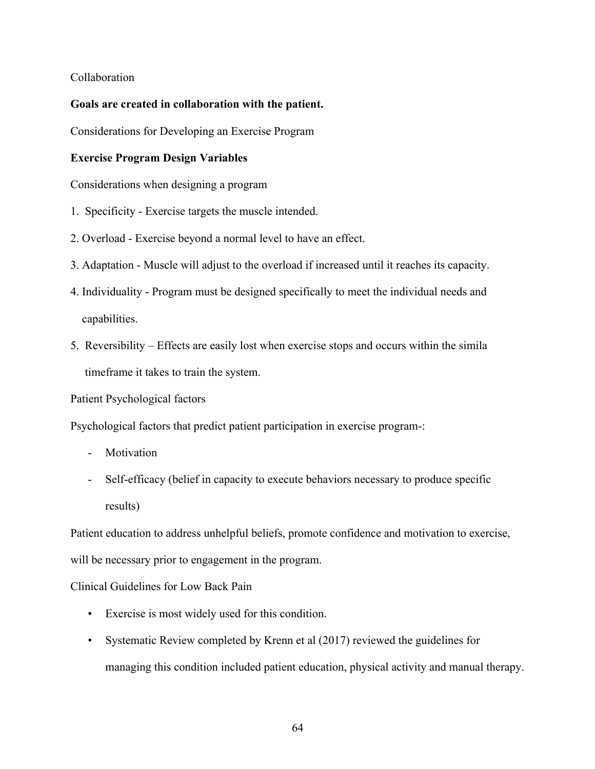### Collaboration

### **Goals are created in collaboration with the patient.**

Considerations for Developing an Exercise Program

### **Exercise Program Design Variables**

Considerations when designing a program

- 1. Specificity Exercise targets the muscle intended.
- 2. Overload Exercise beyond a normal level to have an effect.
- 3. Adaptation Muscle will adjust to the overload if increased until it reaches its capacity.
- 4. Individuality Program must be designed specifically to meet the individual needs and capabilities.
- 5. Reversibility Effects are easily lost when exercise stops and occurs within the simila timeframe it takes to train the system.

Patient Psychological factors

Psychological factors that predict patient participation in exercise program-:

- Motivation
- Self-efficacy (belief in capacity to execute behaviors necessary to produce specific results)

Patient education to address unhelpful beliefs, promote confidence and motivation to exercise, will be necessary prior to engagement in the program.

Clinical Guidelines for Low Back Pain

- Exercise is most widely used for this condition.
- Systematic Review completed by Krenn et al (2017) reviewed the guidelines for managing this condition included patient education, physical activity and manual therapy.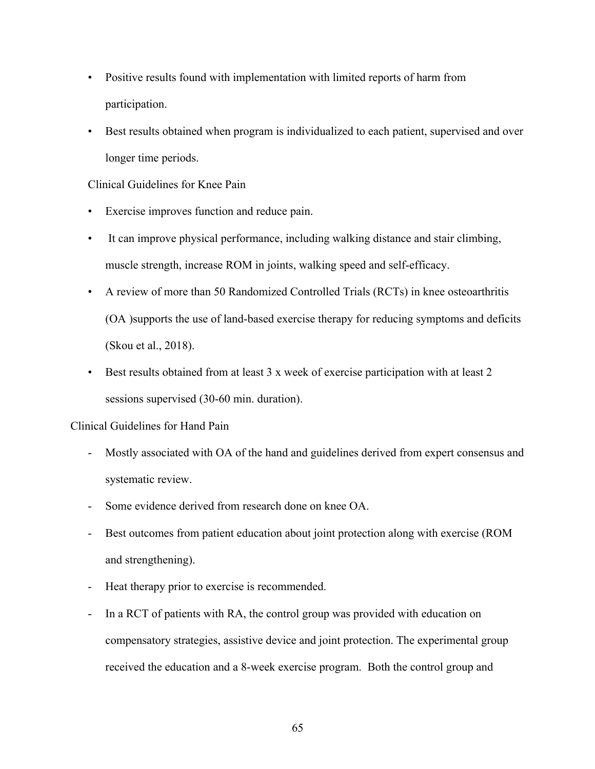- Positive results found with implementation with limited reports of harm from participation.
- Best results obtained when program is individualized to each patient, supervised and over longer time periods.

### Clinical Guidelines for Knee Pain

- Exercise improves function and reduce pain.
- It can improve physical performance, including walking distance and stair climbing, muscle strength, increase ROM in joints, walking speed and self-efficacy.
- A review of more than 50 Randomized Controlled Trials (RCTs) in knee osteoarthritis (OA )supports the use of land-based exercise therapy for reducing symptoms and deficits (Skou et al., 2018).
- Best results obtained from at least 3 x week of exercise participation with at least 2 sessions supervised (30-60 min. duration).

#### Clinical Guidelines for Hand Pain

- Mostly associated with OA of the hand and guidelines derived from expert consensus and systematic review.
- Some evidence derived from research done on knee OA.
- Best outcomes from patient education about joint protection along with exercise (ROM and strengthening).
- Heat therapy prior to exercise is recommended.
- In a RCT of patients with RA, the control group was provided with education on compensatory strategies, assistive device and joint protection. The experimental group received the education and a 8-week exercise program. Both the control group and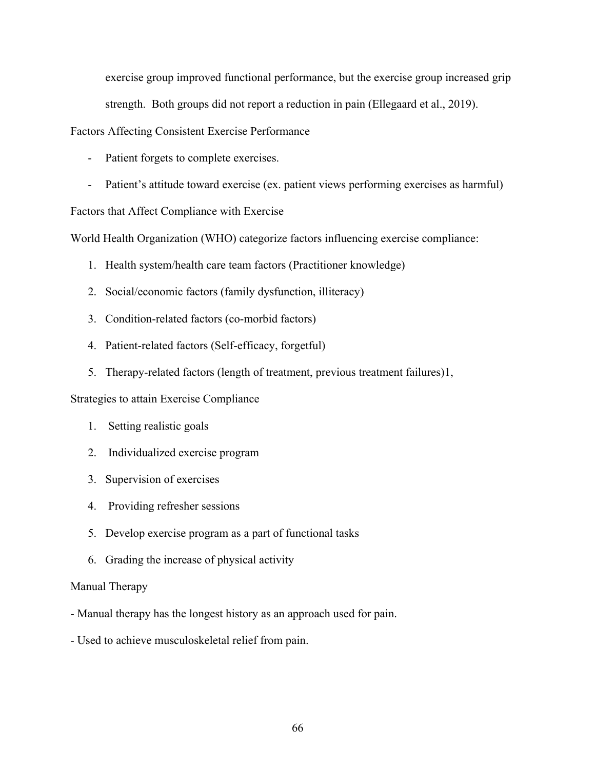exercise group improved functional performance, but the exercise group increased grip strength. Both groups did not report a reduction in pain (Ellegaard et al., 2019).

Factors Affecting Consistent Exercise Performance

- Patient forgets to complete exercises.
- Patient's attitude toward exercise (ex. patient views performing exercises as harmful)

Factors that Affect Compliance with Exercise

World Health Organization (WHO) categorize factors influencing exercise compliance:

- 1. Health system/health care team factors (Practitioner knowledge)
- 2. Social/economic factors (family dysfunction, illiteracy)
- 3. Condition-related factors (co-morbid factors)
- 4. Patient-related factors (Self-efficacy, forgetful)
- 5. Therapy-related factors (length of treatment, previous treatment failures)1,

Strategies to attain Exercise Compliance

- 1. Setting realistic goals
- 2. Individualized exercise program
- 3. Supervision of exercises
- 4. Providing refresher sessions
- 5. Develop exercise program as a part of functional tasks
- 6. Grading the increase of physical activity

### Manual Therapy

- Manual therapy has the longest history as an approach used for pain.
- Used to achieve musculoskeletal relief from pain.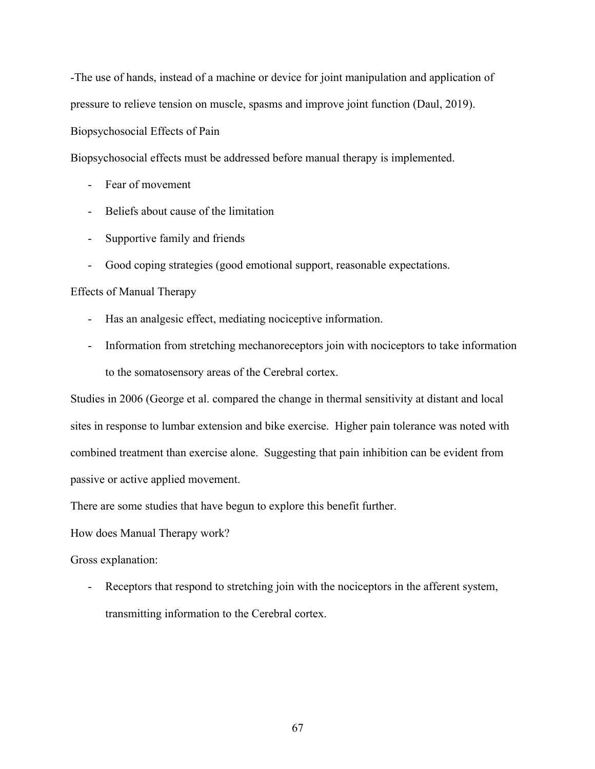-The use of hands, instead of a machine or device for joint manipulation and application of pressure to relieve tension on muscle, spasms and improve joint function (Daul, 2019).

Biopsychosocial Effects of Pain

Biopsychosocial effects must be addressed before manual therapy is implemented.

- Fear of movement
- Beliefs about cause of the limitation
- Supportive family and friends
- Good coping strategies (good emotional support, reasonable expectations.

### Effects of Manual Therapy

- Has an analgesic effect, mediating nociceptive information.
- Information from stretching mechanoreceptors join with nociceptors to take information to the somatosensory areas of the Cerebral cortex.

Studies in 2006 (George et al. compared the change in thermal sensitivity at distant and local sites in response to lumbar extension and bike exercise. Higher pain tolerance was noted with combined treatment than exercise alone. Suggesting that pain inhibition can be evident from passive or active applied movement.

There are some studies that have begun to explore this benefit further.

How does Manual Therapy work?

Gross explanation:

- Receptors that respond to stretching join with the nociceptors in the afferent system, transmitting information to the Cerebral cortex.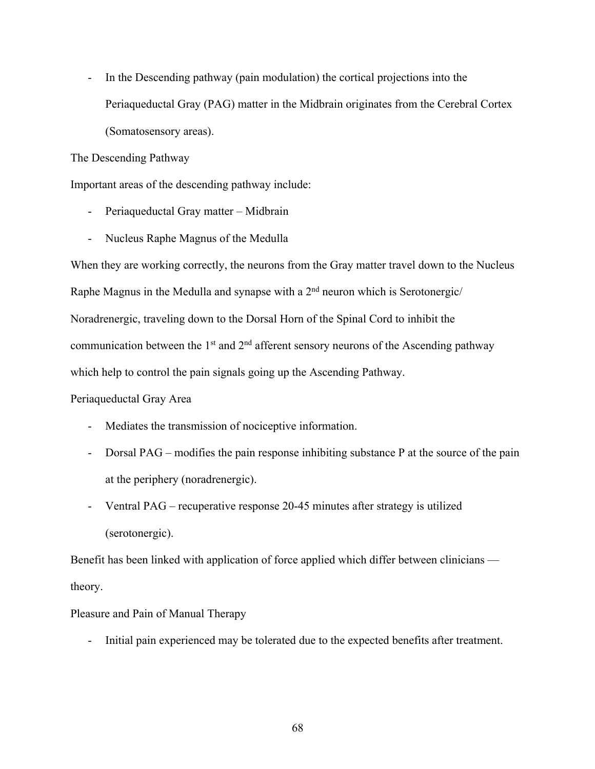- In the Descending pathway (pain modulation) the cortical projections into the Periaqueductal Gray (PAG) matter in the Midbrain originates from the Cerebral Cortex (Somatosensory areas).

The Descending Pathway

Important areas of the descending pathway include:

- Periaqueductal Gray matter Midbrain
- Nucleus Raphe Magnus of the Medulla

When they are working correctly, the neurons from the Gray matter travel down to the Nucleus Raphe Magnus in the Medulla and synapse with a  $2<sup>nd</sup>$  neuron which is Serotonergic/ Noradrenergic, traveling down to the Dorsal Horn of the Spinal Cord to inhibit the communication between the  $1<sup>st</sup>$  and  $2<sup>nd</sup>$  afferent sensory neurons of the Ascending pathway which help to control the pain signals going up the Ascending Pathway.

#### Periaqueductal Gray Area

- Mediates the transmission of nociceptive information.
- Dorsal PAG modifies the pain response inhibiting substance P at the source of the pain at the periphery (noradrenergic).
- Ventral PAG recuperative response 20-45 minutes after strategy is utilized (serotonergic).

Benefit has been linked with application of force applied which differ between clinicians theory.

Pleasure and Pain of Manual Therapy

- Initial pain experienced may be tolerated due to the expected benefits after treatment.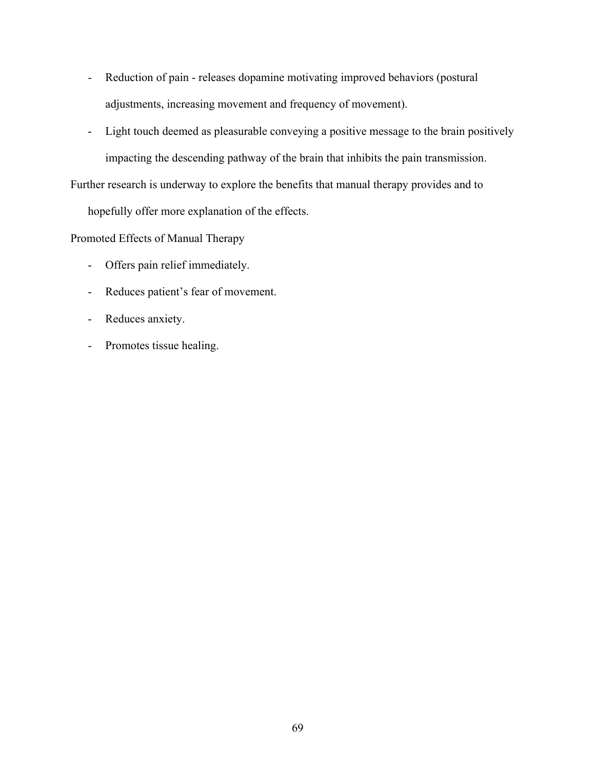- Reduction of pain releases dopamine motivating improved behaviors (postural adjustments, increasing movement and frequency of movement).
- Light touch deemed as pleasurable conveying a positive message to the brain positively impacting the descending pathway of the brain that inhibits the pain transmission.

Further research is underway to explore the benefits that manual therapy provides and to

hopefully offer more explanation of the effects.

Promoted Effects of Manual Therapy

- Offers pain relief immediately.
- Reduces patient's fear of movement.
- Reduces anxiety.
- Promotes tissue healing.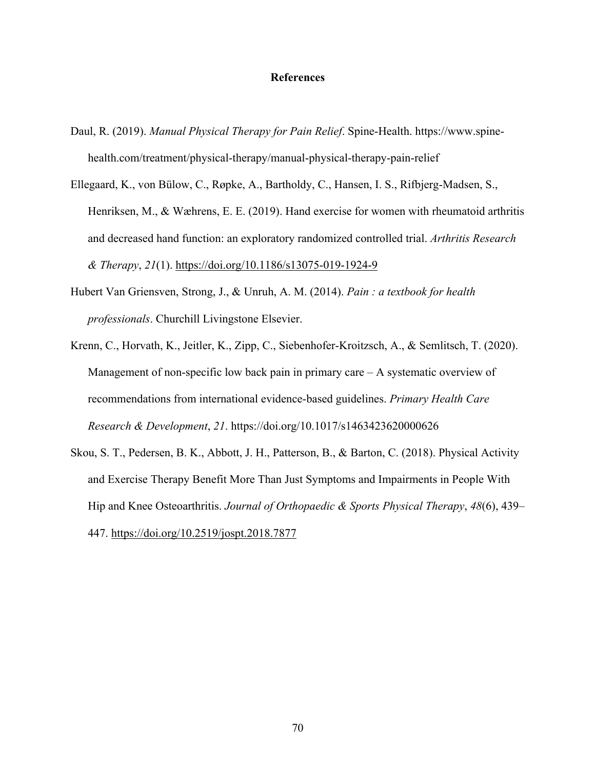#### **References**

- Daul, R. (2019). *Manual Physical Therapy for Pain Relief*. Spine-Health. https://www.spinehealth.com/treatment/physical-therapy/manual-physical-therapy-pain-relief
- Ellegaard, K., von Bülow, C., Røpke, A., Bartholdy, C., Hansen, I. S., Rifbjerg-Madsen, S., Henriksen, M., & Wæhrens, E. E. (2019). Hand exercise for women with rheumatoid arthritis and decreased hand function: an exploratory randomized controlled trial. *Arthritis Research & Therapy*, *21*(1). https://doi.org/10.1186/s13075-019-1924-9
- Hubert Van Griensven, Strong, J., & Unruh, A. M. (2014). *Pain : a textbook for health professionals*. Churchill Livingstone Elsevier.
- Krenn, C., Horvath, K., Jeitler, K., Zipp, C., Siebenhofer-Kroitzsch, A., & Semlitsch, T. (2020). Management of non-specific low back pain in primary care  $-$  A systematic overview of recommendations from international evidence-based guidelines. *Primary Health Care Research & Development*, *21*. https://doi.org/10.1017/s1463423620000626
- Skou, S. T., Pedersen, B. K., Abbott, J. H., Patterson, B., & Barton, C. (2018). Physical Activity and Exercise Therapy Benefit More Than Just Symptoms and Impairments in People With Hip and Knee Osteoarthritis. *Journal of Orthopaedic & Sports Physical Therapy*, *48*(6), 439– 447. https://doi.org/10.2519/jospt.2018.7877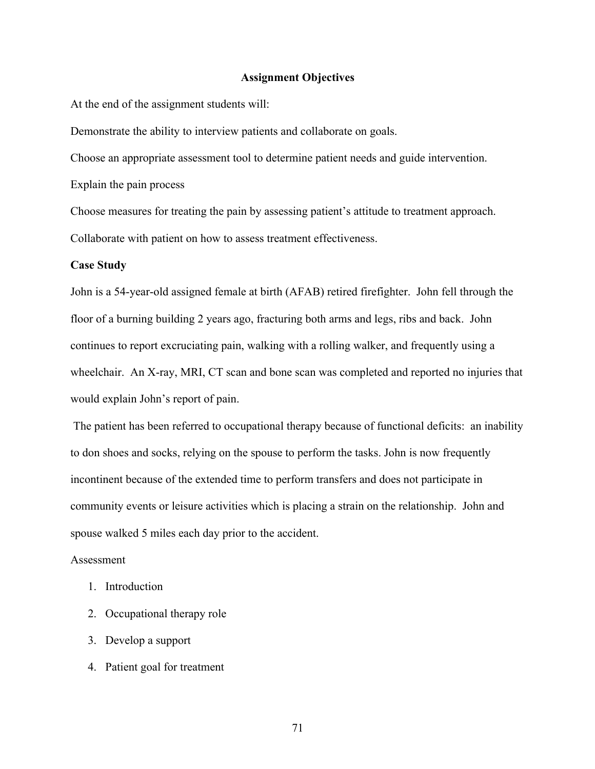#### **Assignment Objectives**

At the end of the assignment students will:

Demonstrate the ability to interview patients and collaborate on goals.

Choose an appropriate assessment tool to determine patient needs and guide intervention.

Explain the pain process

Choose measures for treating the pain by assessing patient's attitude to treatment approach. Collaborate with patient on how to assess treatment effectiveness.

#### **Case Study**

John is a 54-year-old assigned female at birth (AFAB) retired firefighter. John fell through the floor of a burning building 2 years ago, fracturing both arms and legs, ribs and back. John continues to report excruciating pain, walking with a rolling walker, and frequently using a wheelchair. An X-ray, MRI, CT scan and bone scan was completed and reported no injuries that would explain John's report of pain.

The patient has been referred to occupational therapy because of functional deficits: an inability to don shoes and socks, relying on the spouse to perform the tasks. John is now frequently incontinent because of the extended time to perform transfers and does not participate in community events or leisure activities which is placing a strain on the relationship. John and spouse walked 5 miles each day prior to the accident.

#### Assessment

- 1. Introduction
- 2. Occupational therapy role
- 3. Develop a support
- 4. Patient goal for treatment

71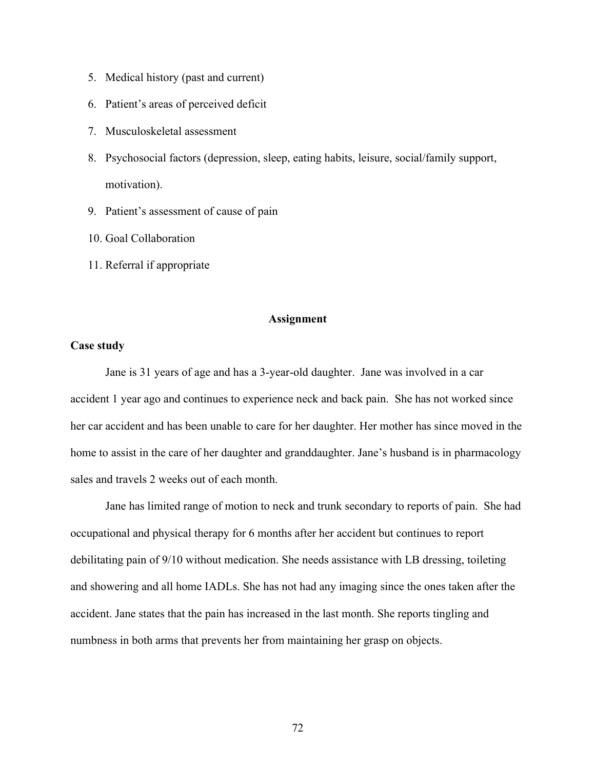- 5. Medical history (past and current)
- 6. Patient's areas of perceived deficit
- 7. Musculoskeletal assessment
- 8. Psychosocial factors (depression, sleep, eating habits, leisure, social/family support, motivation).
- 9. Patient's assessment of cause of pain
- 10. Goal Collaboration
- 11. Referral if appropriate

#### **Assignment**

### **Case study**

Jane is 31 years of age and has a 3-year-old daughter. Jane was involved in a car accident 1 year ago and continues to experience neck and back pain. She has not worked since her car accident and has been unable to care for her daughter. Her mother has since moved in the home to assist in the care of her daughter and granddaughter. Jane's husband is in pharmacology sales and travels 2 weeks out of each month.

Jane has limited range of motion to neck and trunk secondary to reports of pain. She had occupational and physical therapy for 6 months after her accident but continues to report debilitating pain of 9/10 without medication. She needs assistance with LB dressing, toileting and showering and all home IADLs. She has not had any imaging since the ones taken after the accident. Jane states that the pain has increased in the last month. She reports tingling and numbness in both arms that prevents her from maintaining her grasp on objects.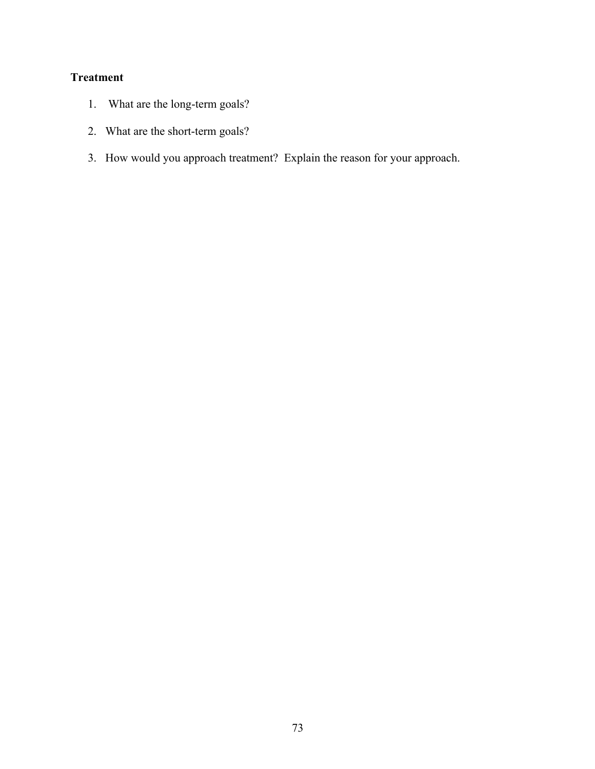# **Treatment**

- 1. What are the long-term goals?
- 2. What are the short-term goals?
- 3. How would you approach treatment? Explain the reason for your approach.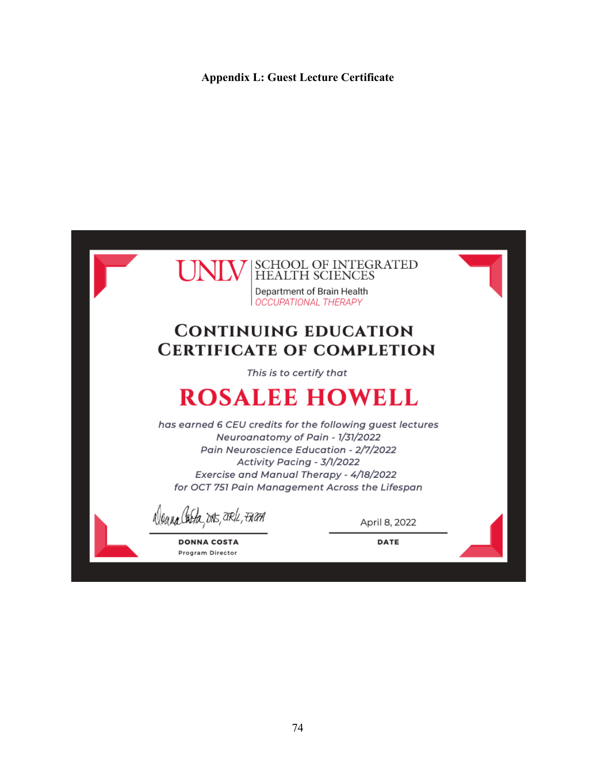### **Appendix L: Guest Lecture Certificate**

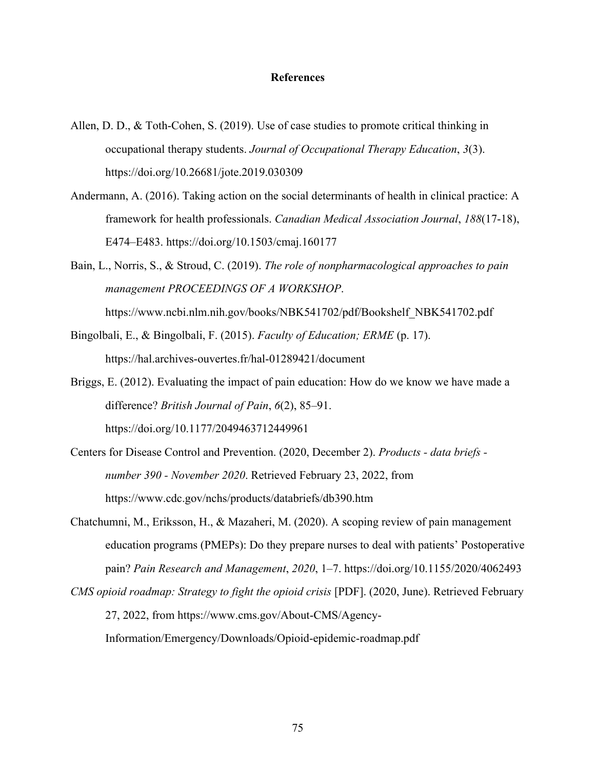#### **References**

- Allen, D. D., & Toth-Cohen, S. (2019). Use of case studies to promote critical thinking in occupational therapy students. *Journal of Occupational Therapy Education*, *3*(3). https://doi.org/10.26681/jote.2019.030309
- Andermann, A. (2016). Taking action on the social determinants of health in clinical practice: A framework for health professionals. *Canadian Medical Association Journal*, *188*(17-18), E474–E483. https://doi.org/10.1503/cmaj.160177
- Bain, L., Norris, S., & Stroud, C. (2019). *The role of nonpharmacological approaches to pain management PROCEEDINGS OF A WORKSHOP*. https://www.ncbi.nlm.nih.gov/books/NBK541702/pdf/Bookshelf\_NBK541702.pdf
- Bingolbali, E., & Bingolbali, F. (2015). *Faculty of Education; ERME* (p. 17). https://hal.archives-ouvertes.fr/hal-01289421/document
- Briggs, E. (2012). Evaluating the impact of pain education: How do we know we have made a difference? *British Journal of Pain*, *6*(2), 85–91. https://doi.org/10.1177/2049463712449961
- Centers for Disease Control and Prevention. (2020, December 2). *Products - data briefs number 390 - November 2020*. Retrieved February 23, 2022, from https://www.cdc.gov/nchs/products/databriefs/db390.htm
- Chatchumni, M., Eriksson, H., & Mazaheri, M. (2020). A scoping review of pain management education programs (PMEPs): Do they prepare nurses to deal with patients' Postoperative pain? *Pain Research and Management*, *2020*, 1–7. https://doi.org/10.1155/2020/4062493
- *CMS opioid roadmap: Strategy to fight the opioid crisis* [PDF]. (2020, June). Retrieved February 27, 2022, from https://www.cms.gov/About-CMS/Agency-Information/Emergency/Downloads/Opioid-epidemic-roadmap.pdf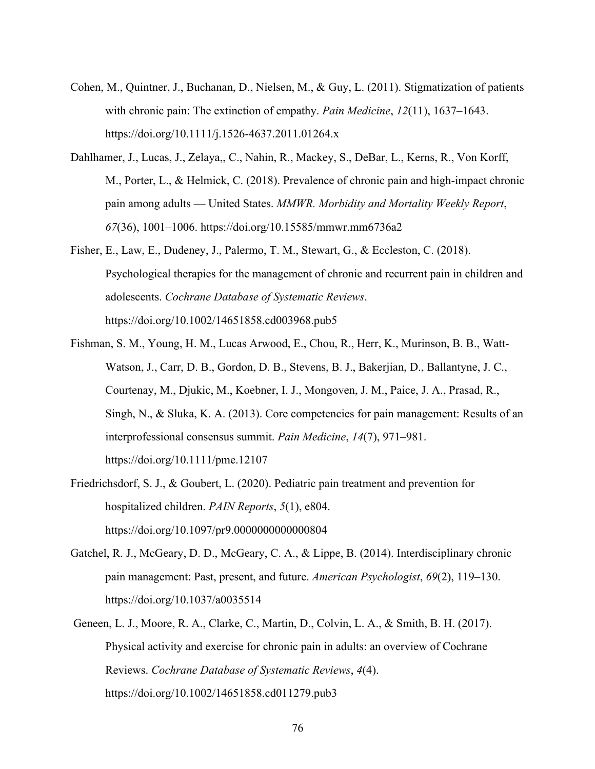- Cohen, M., Quintner, J., Buchanan, D., Nielsen, M., & Guy, L. (2011). Stigmatization of patients with chronic pain: The extinction of empathy. *Pain Medicine*, *12*(11), 1637–1643. https://doi.org/10.1111/j.1526-4637.2011.01264.x
- Dahlhamer, J., Lucas, J., Zelaya,, C., Nahin, R., Mackey, S., DeBar, L., Kerns, R., Von Korff, M., Porter, L., & Helmick, C. (2018). Prevalence of chronic pain and high-impact chronic pain among adults — United States. *MMWR. Morbidity and Mortality Weekly Report*, *67*(36), 1001–1006. https://doi.org/10.15585/mmwr.mm6736a2
- Fisher, E., Law, E., Dudeney, J., Palermo, T. M., Stewart, G., & Eccleston, C. (2018). Psychological therapies for the management of chronic and recurrent pain in children and adolescents. *Cochrane Database of Systematic Reviews*. https://doi.org/10.1002/14651858.cd003968.pub5
- Fishman, S. M., Young, H. M., Lucas Arwood, E., Chou, R., Herr, K., Murinson, B. B., Watt-Watson, J., Carr, D. B., Gordon, D. B., Stevens, B. J., Bakerjian, D., Ballantyne, J. C., Courtenay, M., Djukic, M., Koebner, I. J., Mongoven, J. M., Paice, J. A., Prasad, R., Singh, N., & Sluka, K. A. (2013). Core competencies for pain management: Results of an interprofessional consensus summit. *Pain Medicine*, *14*(7), 971–981. https://doi.org/10.1111/pme.12107
- Friedrichsdorf, S. J., & Goubert, L. (2020). Pediatric pain treatment and prevention for hospitalized children. *PAIN Reports*, *5*(1), e804. https://doi.org/10.1097/pr9.0000000000000804
- Gatchel, R. J., McGeary, D. D., McGeary, C. A., & Lippe, B. (2014). Interdisciplinary chronic pain management: Past, present, and future. *American Psychologist*, *69*(2), 119–130. https://doi.org/10.1037/a0035514
- Geneen, L. J., Moore, R. A., Clarke, C., Martin, D., Colvin, L. A., & Smith, B. H. (2017). Physical activity and exercise for chronic pain in adults: an overview of Cochrane Reviews. *Cochrane Database of Systematic Reviews*, *4*(4). https://doi.org/10.1002/14651858.cd011279.pub3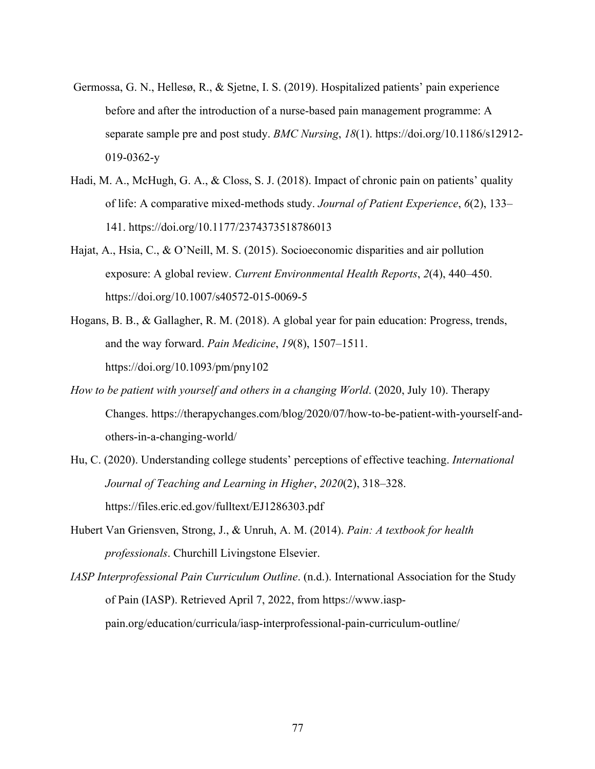- Germossa, G. N., Hellesø, R., & Sjetne, I. S. (2019). Hospitalized patients' pain experience before and after the introduction of a nurse-based pain management programme: A separate sample pre and post study. *BMC Nursing*, *18*(1). https://doi.org/10.1186/s12912- 019-0362-y
- Hadi, M. A., McHugh, G. A., & Closs, S. J. (2018). Impact of chronic pain on patients' quality of life: A comparative mixed-methods study. *Journal of Patient Experience*, *6*(2), 133– 141. https://doi.org/10.1177/2374373518786013
- Hajat, A., Hsia, C., & O'Neill, M. S. (2015). Socioeconomic disparities and air pollution exposure: A global review. *Current Environmental Health Reports*, *2*(4), 440–450. https://doi.org/10.1007/s40572-015-0069-5
- Hogans, B. B., & Gallagher, R. M. (2018). A global year for pain education: Progress, trends, and the way forward. *Pain Medicine*, *19*(8), 1507–1511. https://doi.org/10.1093/pm/pny102
- *How to be patient with yourself and others in a changing World*. (2020, July 10). Therapy Changes. https://therapychanges.com/blog/2020/07/how-to-be-patient-with-yourself-andothers-in-a-changing-world/
- Hu, C. (2020). Understanding college students' perceptions of effective teaching. *International Journal of Teaching and Learning in Higher*, *2020*(2), 318–328. https://files.eric.ed.gov/fulltext/EJ1286303.pdf
- Hubert Van Griensven, Strong, J., & Unruh, A. M. (2014). *Pain: A textbook for health professionals*. Churchill Livingstone Elsevier.
- *IASP Interprofessional Pain Curriculum Outline*. (n.d.). International Association for the Study of Pain (IASP). Retrieved April 7, 2022, from https://www.iasppain.org/education/curricula/iasp-interprofessional-pain-curriculum-outline/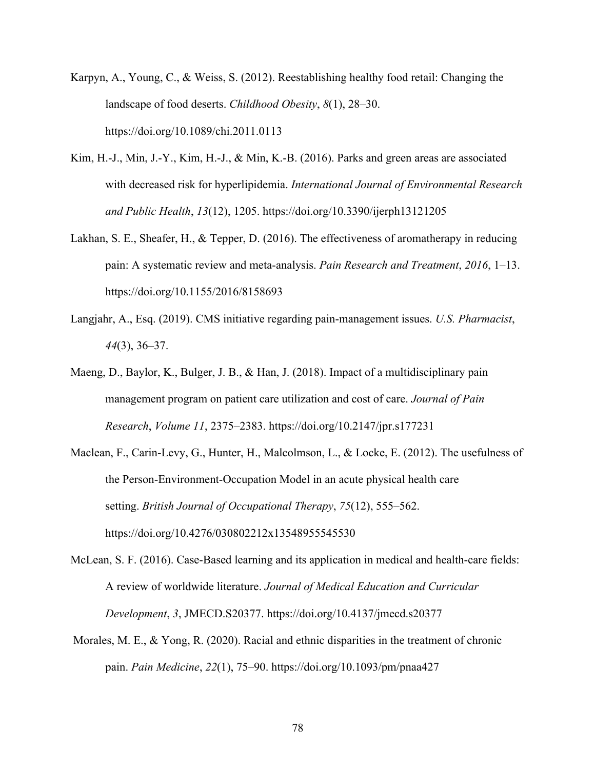- Karpyn, A., Young, C., & Weiss, S. (2012). Reestablishing healthy food retail: Changing the landscape of food deserts. *Childhood Obesity*, *8*(1), 28–30. https://doi.org/10.1089/chi.2011.0113
- Kim, H.-J., Min, J.-Y., Kim, H.-J., & Min, K.-B. (2016). Parks and green areas are associated with decreased risk for hyperlipidemia. *International Journal of Environmental Research and Public Health*, *13*(12), 1205. https://doi.org/10.3390/ijerph13121205
- Lakhan, S. E., Sheafer, H., & Tepper, D. (2016). The effectiveness of aromatherapy in reducing pain: A systematic review and meta-analysis. *Pain Research and Treatment*, *2016*, 1–13. https://doi.org/10.1155/2016/8158693
- Langjahr, A., Esq. (2019). CMS initiative regarding pain-management issues. *U.S. Pharmacist*, *44*(3), 36–37.
- Maeng, D., Baylor, K., Bulger, J. B., & Han, J. (2018). Impact of a multidisciplinary pain management program on patient care utilization and cost of care. *Journal of Pain Research*, *Volume 11*, 2375–2383. https://doi.org/10.2147/jpr.s177231
- Maclean, F., Carin-Levy, G., Hunter, H., Malcolmson, L., & Locke, E. (2012). The usefulness of the Person-Environment-Occupation Model in an acute physical health care setting. *British Journal of Occupational Therapy*, *75*(12), 555–562. https://doi.org/10.4276/030802212x13548955545530
- McLean, S. F. (2016). Case-Based learning and its application in medical and health-care fields: A review of worldwide literature. *Journal of Medical Education and Curricular Development*, *3*, JMECD.S20377. https://doi.org/10.4137/jmecd.s20377
- Morales, M. E., & Yong, R. (2020). Racial and ethnic disparities in the treatment of chronic pain. *Pain Medicine*, *22*(1), 75–90. https://doi.org/10.1093/pm/pnaa427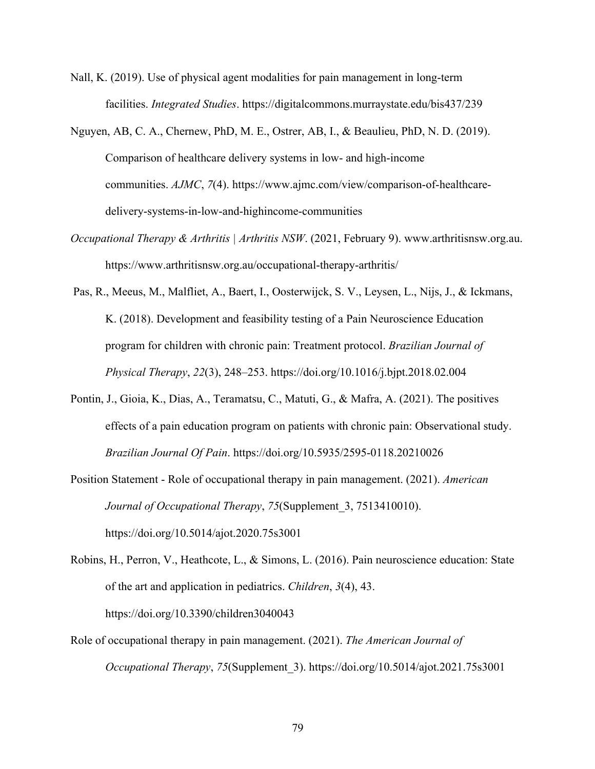- Nall, K. (2019). Use of physical agent modalities for pain management in long-term facilities. *Integrated Studies*. https://digitalcommons.murraystate.edu/bis437/239
- Nguyen, AB, C. A., Chernew, PhD, M. E., Ostrer, AB, I., & Beaulieu, PhD, N. D. (2019). Comparison of healthcare delivery systems in low- and high-income communities. *AJMC*, *7*(4). https://www.ajmc.com/view/comparison-of-healthcaredelivery-systems-in-low-and-highincome-communities
- *Occupational Therapy & Arthritis | Arthritis NSW*. (2021, February 9). www.arthritisnsw.org.au. https://www.arthritisnsw.org.au/occupational-therapy-arthritis/
- Pas, R., Meeus, M., Malfliet, A., Baert, I., Oosterwijck, S. V., Leysen, L., Nijs, J., & Ickmans, K. (2018). Development and feasibility testing of a Pain Neuroscience Education program for children with chronic pain: Treatment protocol. *Brazilian Journal of Physical Therapy*, *22*(3), 248–253. https://doi.org/10.1016/j.bjpt.2018.02.004
- Pontin, J., Gioia, K., Dias, A., Teramatsu, C., Matuti, G., & Mafra, A. (2021). The positives effects of a pain education program on patients with chronic pain: Observational study. *Brazilian Journal Of Pain*. https://doi.org/10.5935/2595-0118.20210026
- Position Statement Role of occupational therapy in pain management. (2021). *American Journal of Occupational Therapy*, *75*(Supplement\_3, 7513410010). https://doi.org/10.5014/ajot.2020.75s3001
- Robins, H., Perron, V., Heathcote, L., & Simons, L. (2016). Pain neuroscience education: State of the art and application in pediatrics. *Children*, *3*(4), 43. https://doi.org/10.3390/children3040043
- Role of occupational therapy in pain management. (2021). *The American Journal of Occupational Therapy*, *75*(Supplement\_3). https://doi.org/10.5014/ajot.2021.75s3001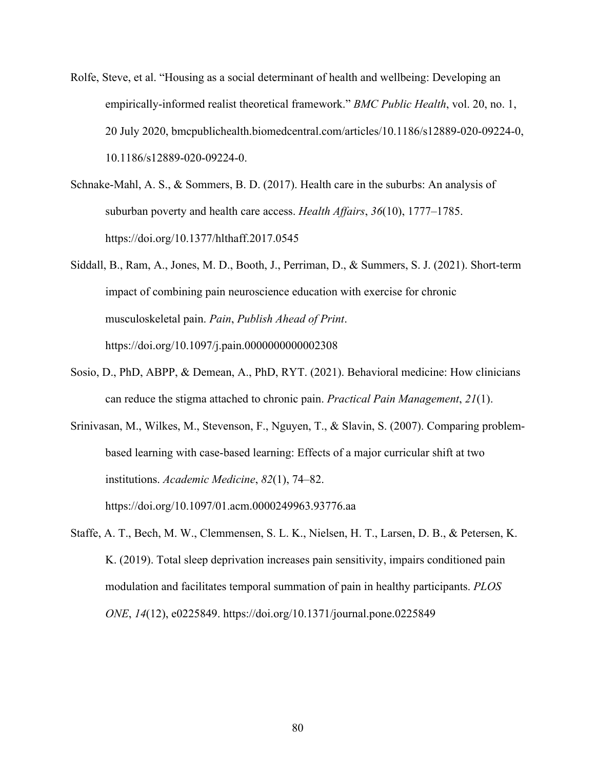- Rolfe, Steve, et al. "Housing as a social determinant of health and wellbeing: Developing an empirically-informed realist theoretical framework." *BMC Public Health*, vol. 20, no. 1, 20 July 2020, bmcpublichealth.biomedcentral.com/articles/10.1186/s12889-020-09224-0, 10.1186/s12889-020-09224-0.
- Schnake-Mahl, A. S., & Sommers, B. D. (2017). Health care in the suburbs: An analysis of suburban poverty and health care access. *Health Affairs*, *36*(10), 1777–1785. https://doi.org/10.1377/hlthaff.2017.0545
- Siddall, B., Ram, A., Jones, M. D., Booth, J., Perriman, D., & Summers, S. J. (2021). Short-term impact of combining pain neuroscience education with exercise for chronic musculoskeletal pain. *Pain*, *Publish Ahead of Print*. https://doi.org/10.1097/j.pain.0000000000002308
- Sosio, D., PhD, ABPP, & Demean, A., PhD, RYT. (2021). Behavioral medicine: How clinicians can reduce the stigma attached to chronic pain. *Practical Pain Management*, *21*(1).

Srinivasan, M., Wilkes, M., Stevenson, F., Nguyen, T., & Slavin, S. (2007). Comparing problembased learning with case-based learning: Effects of a major curricular shift at two institutions. *Academic Medicine*, *82*(1), 74–82. https://doi.org/10.1097/01.acm.0000249963.93776.aa

Staffe, A. T., Bech, M. W., Clemmensen, S. L. K., Nielsen, H. T., Larsen, D. B., & Petersen, K. K. (2019). Total sleep deprivation increases pain sensitivity, impairs conditioned pain modulation and facilitates temporal summation of pain in healthy participants. *PLOS ONE*, *14*(12), e0225849. https://doi.org/10.1371/journal.pone.0225849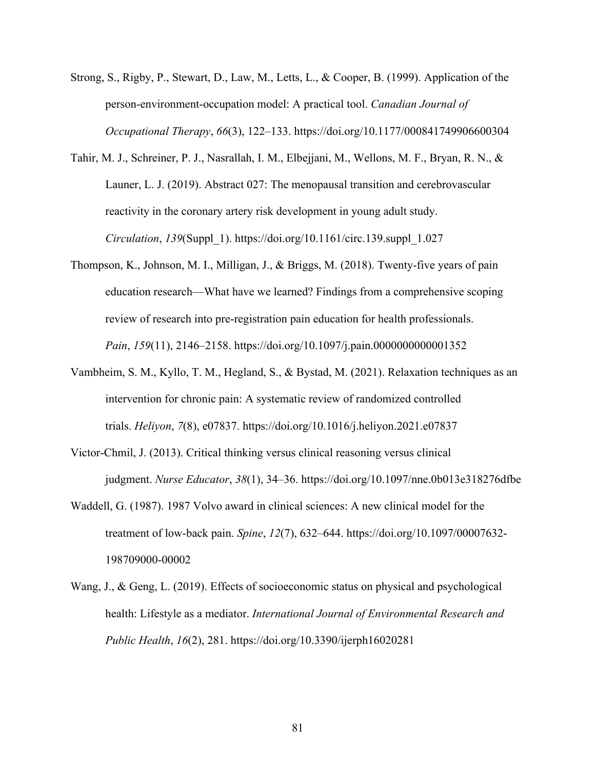- Strong, S., Rigby, P., Stewart, D., Law, M., Letts, L., & Cooper, B. (1999). Application of the person-environment-occupation model: A practical tool. *Canadian Journal of Occupational Therapy*, *66*(3), 122–133. https://doi.org/10.1177/000841749906600304
- Tahir, M. J., Schreiner, P. J., Nasrallah, I. M., Elbejjani, M., Wellons, M. F., Bryan, R. N., & Launer, L. J. (2019). Abstract 027: The menopausal transition and cerebrovascular reactivity in the coronary artery risk development in young adult study. *Circulation*, *139*(Suppl\_1). https://doi.org/10.1161/circ.139.suppl\_1.027
- Thompson, K., Johnson, M. I., Milligan, J., & Briggs, M. (2018). Twenty-five years of pain education research—What have we learned? Findings from a comprehensive scoping review of research into pre-registration pain education for health professionals. *Pain*, *159*(11), 2146–2158. https://doi.org/10.1097/j.pain.0000000000001352
- Vambheim, S. M., Kyllo, T. M., Hegland, S., & Bystad, M. (2021). Relaxation techniques as an intervention for chronic pain: A systematic review of randomized controlled trials. *Heliyon*, *7*(8), e07837. https://doi.org/10.1016/j.heliyon.2021.e07837
- Victor-Chmil, J. (2013). Critical thinking versus clinical reasoning versus clinical judgment. *Nurse Educator*, *38*(1), 34–36. https://doi.org/10.1097/nne.0b013e318276dfbe
- Waddell, G. (1987). 1987 Volvo award in clinical sciences: A new clinical model for the treatment of low-back pain. *Spine*, *12*(7), 632–644. https://doi.org/10.1097/00007632- 198709000-00002
- Wang, J., & Geng, L. (2019). Effects of socioeconomic status on physical and psychological health: Lifestyle as a mediator. *International Journal of Environmental Research and Public Health*, *16*(2), 281. https://doi.org/10.3390/ijerph16020281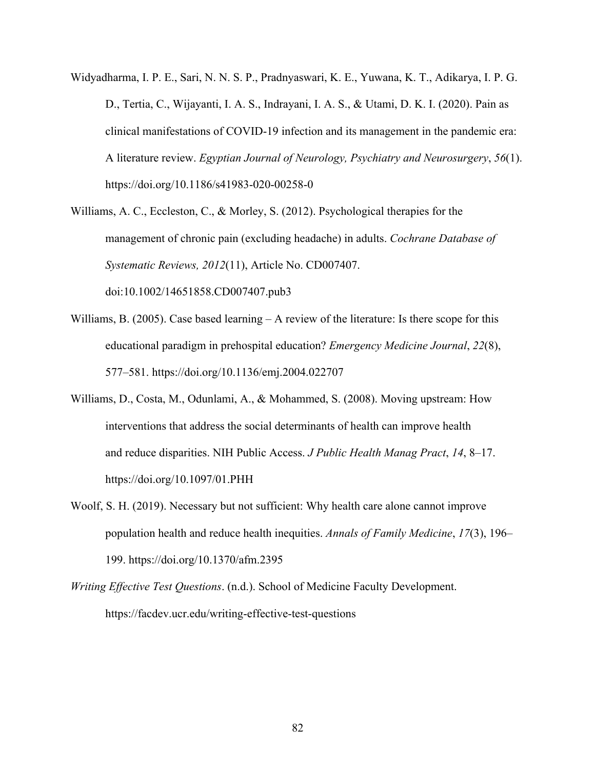- Widyadharma, I. P. E., Sari, N. N. S. P., Pradnyaswari, K. E., Yuwana, K. T., Adikarya, I. P. G. D., Tertia, C., Wijayanti, I. A. S., Indrayani, I. A. S., & Utami, D. K. I. (2020). Pain as clinical manifestations of COVID-19 infection and its management in the pandemic era: A literature review. *Egyptian Journal of Neurology, Psychiatry and Neurosurgery*, *56*(1). https://doi.org/10.1186/s41983-020-00258-0
- Williams, A. C., Eccleston, C., & Morley, S. (2012). Psychological therapies for the management of chronic pain (excluding headache) in adults. *Cochrane Database of Systematic Reviews, 2012*(11), Article No. CD007407. doi:10.1002/14651858.CD007407.pub3
- Williams, B. (2005). Case based learning A review of the literature: Is there scope for this educational paradigm in prehospital education? *Emergency Medicine Journal*, *22*(8), 577–581. https://doi.org/10.1136/emj.2004.022707
- Williams, D., Costa, M., Odunlami, A., & Mohammed, S. (2008). Moving upstream: How interventions that address the social determinants of health can improve health and reduce disparities. NIH Public Access. *J Public Health Manag Pract*, *14*, 8–17. https://doi.org/10.1097/01.PHH
- Woolf, S. H. (2019). Necessary but not sufficient: Why health care alone cannot improve population health and reduce health inequities. *Annals of Family Medicine*, *17*(3), 196– 199. https://doi.org/10.1370/afm.2395
- *Writing Effective Test Questions*. (n.d.). School of Medicine Faculty Development. https://facdev.ucr.edu/writing-effective-test-questions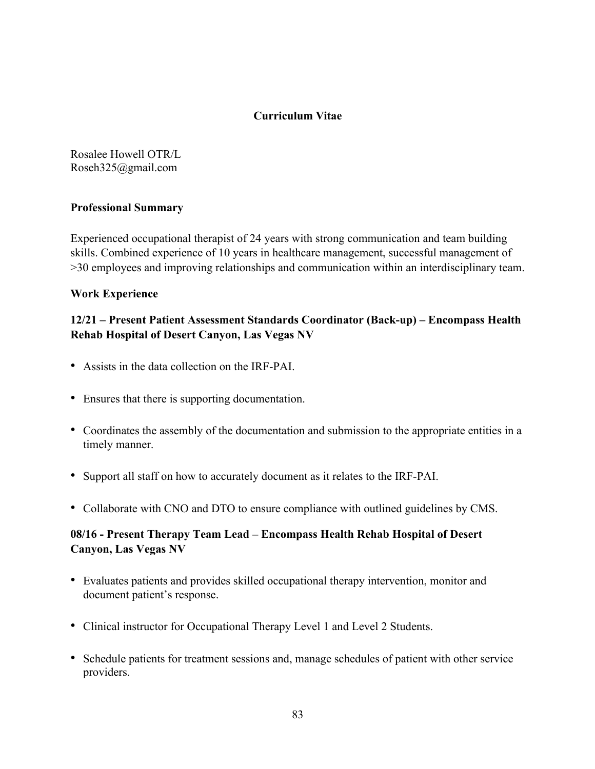### **Curriculum Vitae**

Rosalee Howell OTR/L Roseh325@gmail.com

### **Professional Summary**

Experienced occupational therapist of 24 years with strong communication and team building skills. Combined experience of 10 years in healthcare management, successful management of >30 employees and improving relationships and communication within an interdisciplinary team.

### **Work Experience**

## **12/21 – Present Patient Assessment Standards Coordinator (Back-up) – Encompass Health Rehab Hospital of Desert Canyon, Las Vegas NV**

- ! Assists in the data collection on the IRF-PAI.
- Ensures that there is supporting documentation.
- ! Coordinates the assembly of the documentation and submission to the appropriate entities in a timely manner.
- ! Support all staff on how to accurately document as it relates to the IRF-PAI.
- ! Collaborate with CNO and DTO to ensure compliance with outlined guidelines by CMS.

# **08/16 - Present Therapy Team Lead – Encompass Health Rehab Hospital of Desert Canyon, Las Vegas NV**

- ! Evaluates patients and provides skilled occupational therapy intervention, monitor and document patient's response.
- ! Clinical instructor for Occupational Therapy Level 1 and Level 2 Students.
- ! Schedule patients for treatment sessions and, manage schedules of patient with other service providers.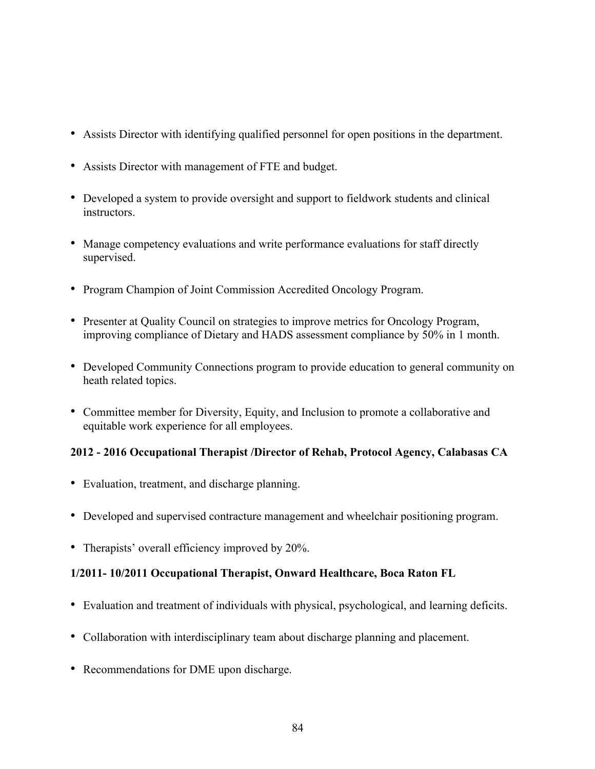- ! Assists Director with identifying qualified personnel for open positions in the department.
- ! Assists Director with management of FTE and budget.
- ! Developed a system to provide oversight and support to fieldwork students and clinical instructors.
- ! Manage competency evaluations and write performance evaluations for staff directly supervised.
- ! Program Champion of Joint Commission Accredited Oncology Program.
- ! Presenter at Quality Council on strategies to improve metrics for Oncology Program, improving compliance of Dietary and HADS assessment compliance by 50% in 1 month.
- ! Developed Community Connections program to provide education to general community on heath related topics.
- ! Committee member for Diversity, Equity, and Inclusion to promote a collaborative and equitable work experience for all employees.

# **2012 - 2016 Occupational Therapist /Director of Rehab, Protocol Agency, Calabasas CA**

- ! Evaluation, treatment, and discharge planning.
- ! Developed and supervised contracture management and wheelchair positioning program.
- Therapists' overall efficiency improved by 20%.

# **1/2011- 10/2011 Occupational Therapist, Onward Healthcare, Boca Raton FL**

- ! Evaluation and treatment of individuals with physical, psychological, and learning deficits.
- ! Collaboration with interdisciplinary team about discharge planning and placement.
- ! Recommendations for DME upon discharge.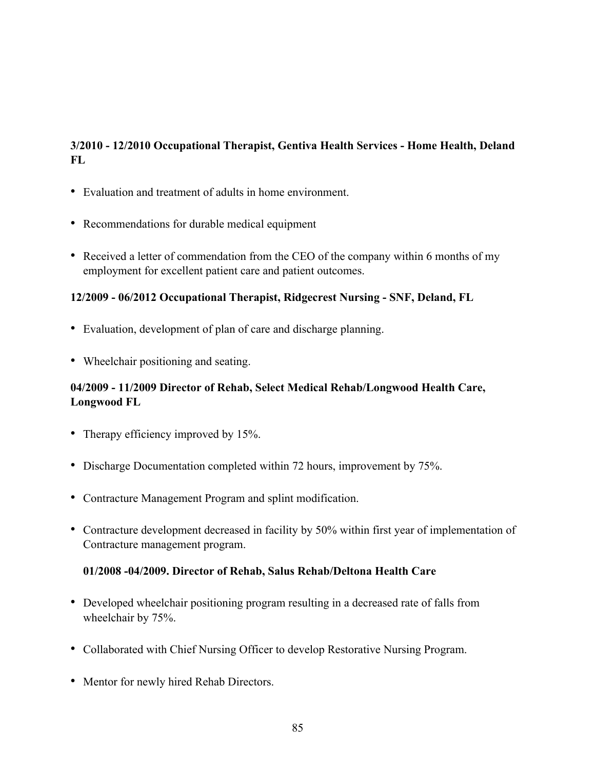# **3/2010 - 12/2010 Occupational Therapist, Gentiva Health Services - Home Health, Deland FL**

- ! Evaluation and treatment of adults in home environment.
- ! Recommendations for durable medical equipment
- ! Received a letter of commendation from the CEO of the company within 6 months of my employment for excellent patient care and patient outcomes.

### **12/2009 - 06/2012 Occupational Therapist, Ridgecrest Nursing - SNF, Deland, FL**

- ! Evaluation, development of plan of care and discharge planning.
- Wheelchair positioning and seating.

# **04/2009 - 11/2009 Director of Rehab, Select Medical Rehab/Longwood Health Care, Longwood FL**

- Therapy efficiency improved by 15%.
- Discharge Documentation completed within 72 hours, improvement by 75%.
- ! Contracture Management Program and splint modification.
- Contracture development decreased in facility by 50% within first year of implementation of Contracture management program.

### **01/2008 -04/2009. Director of Rehab, Salus Rehab/Deltona Health Care**

- Developed wheelchair positioning program resulting in a decreased rate of falls from wheelchair by 75%.
- ! Collaborated with Chief Nursing Officer to develop Restorative Nursing Program.
- Mentor for newly hired Rehab Directors.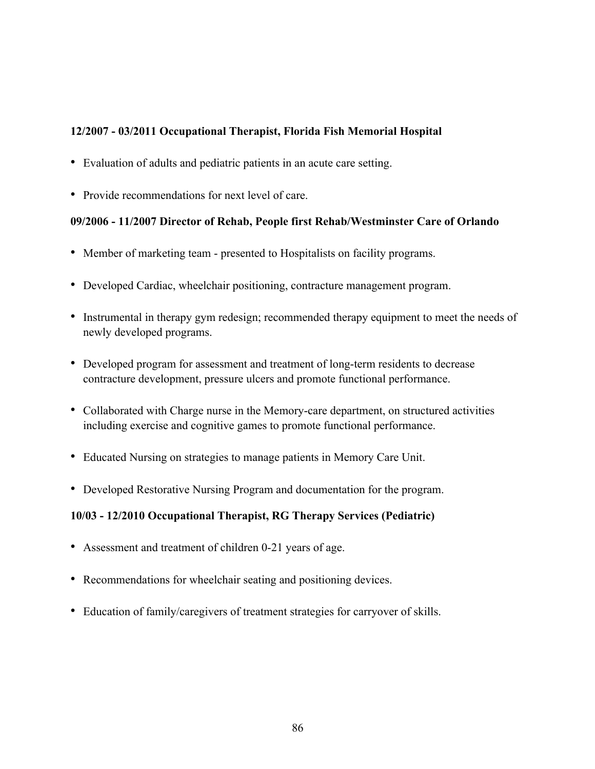## **12/2007 - 03/2011 Occupational Therapist, Florida Fish Memorial Hospital**

- ! Evaluation of adults and pediatric patients in an acute care setting.
- ! Provide recommendations for next level of care.

# **09/2006 - 11/2007 Director of Rehab, People first Rehab/Westminster Care of Orlando**

- ! Member of marketing team presented to Hospitalists on facility programs.
- ! Developed Cardiac, wheelchair positioning, contracture management program.
- ! Instrumental in therapy gym redesign; recommended therapy equipment to meet the needs of newly developed programs.
- ! Developed program for assessment and treatment of long-term residents to decrease contracture development, pressure ulcers and promote functional performance.
- Collaborated with Charge nurse in the Memory-care department, on structured activities including exercise and cognitive games to promote functional performance.
- ! Educated Nursing on strategies to manage patients in Memory Care Unit.
- ! Developed Restorative Nursing Program and documentation for the program.

# **10/03 - 12/2010 Occupational Therapist, RG Therapy Services (Pediatric)**

- ! Assessment and treatment of children 0-21 years of age.
- ! Recommendations for wheelchair seating and positioning devices.
- ! Education of family/caregivers of treatment strategies for carryover of skills.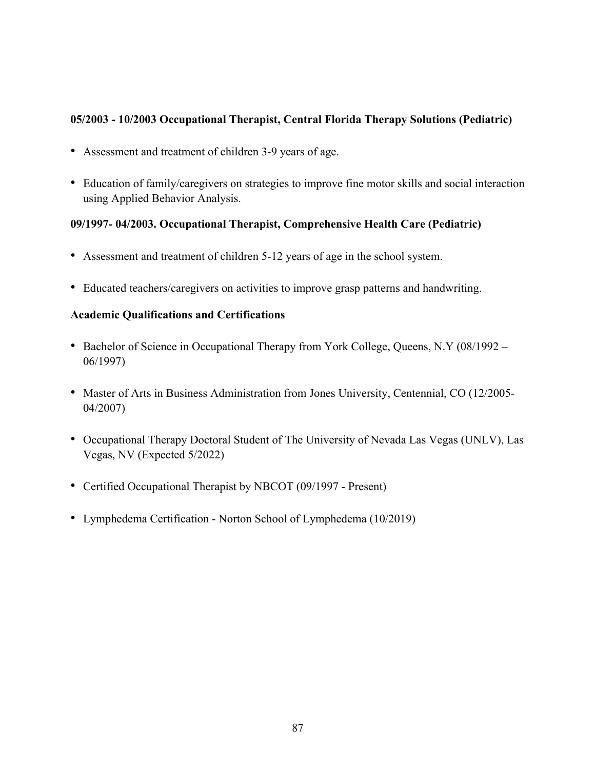## **05/2003 - 10/2003 Occupational Therapist, Central Florida Therapy Solutions (Pediatric)**

- ! Assessment and treatment of children 3-9 years of age.
- ! Education of family/caregivers on strategies to improve fine motor skills and social interaction using Applied Behavior Analysis.

# **09/1997- 04/2003. Occupational Therapist, Comprehensive Health Care (Pediatric)**

- ! Assessment and treatment of children 5-12 years of age in the school system.
- ! Educated teachers/caregivers on activities to improve grasp patterns and handwriting.

# **Academic Qualifications and Certifications**

- Bachelor of Science in Occupational Therapy from York College, Queens, N.Y (08/1992 06/1997)
- ! Master of Arts in Business Administration from Jones University, Centennial, CO (12/2005- 04/2007)
- ! Occupational Therapy Doctoral Student of The University of Nevada Las Vegas (UNLV), Las Vegas, NV (Expected 5/2022)
- Certified Occupational Therapist by NBCOT (09/1997 Present)
- ! Lymphedema Certification Norton School of Lymphedema (10/2019)